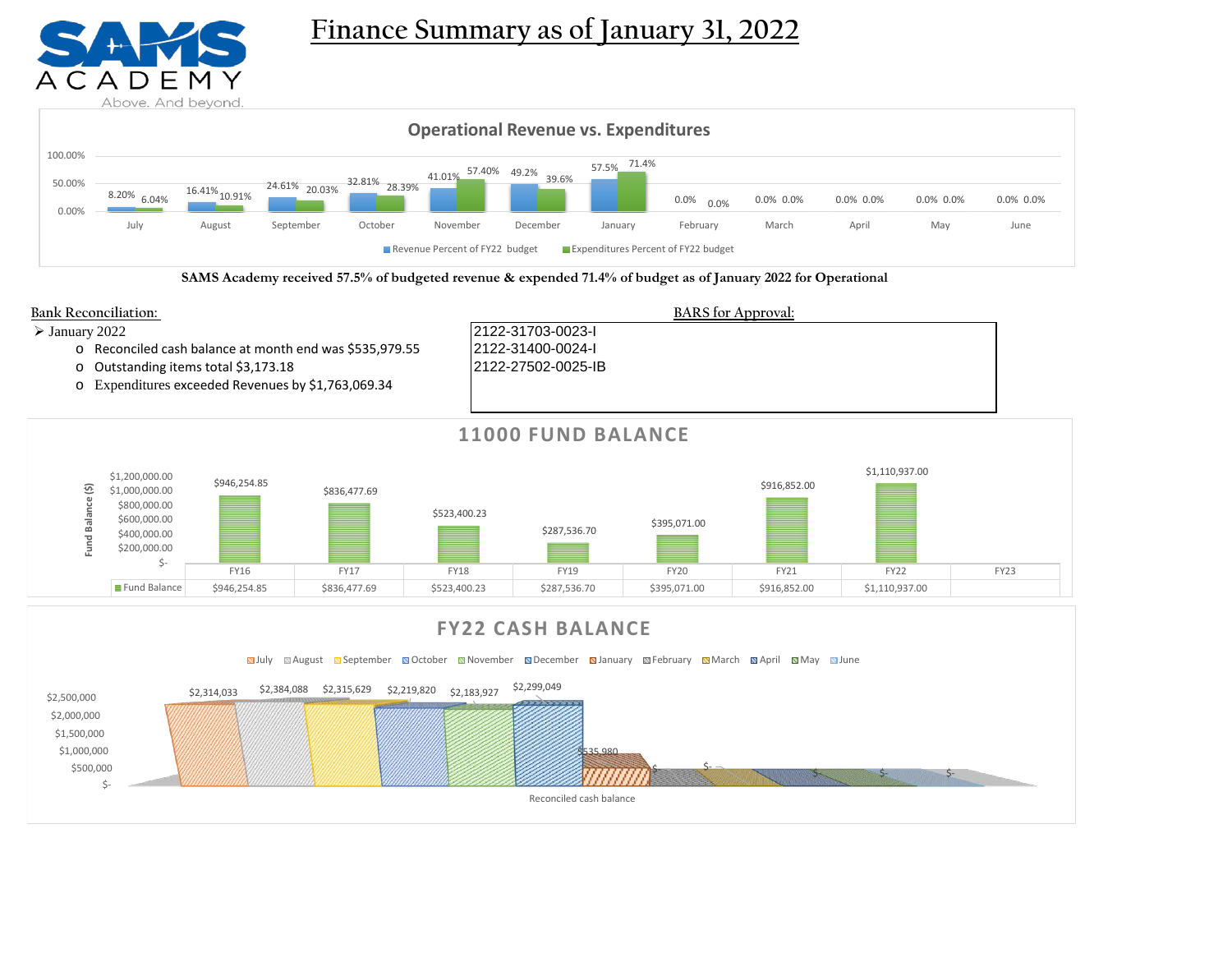

**Finance Summary as of January 31, 2022**



**SAMS Academy received 57.5% of budgeted revenue & expended 71.4% of budget as of January 2022 for Operational**





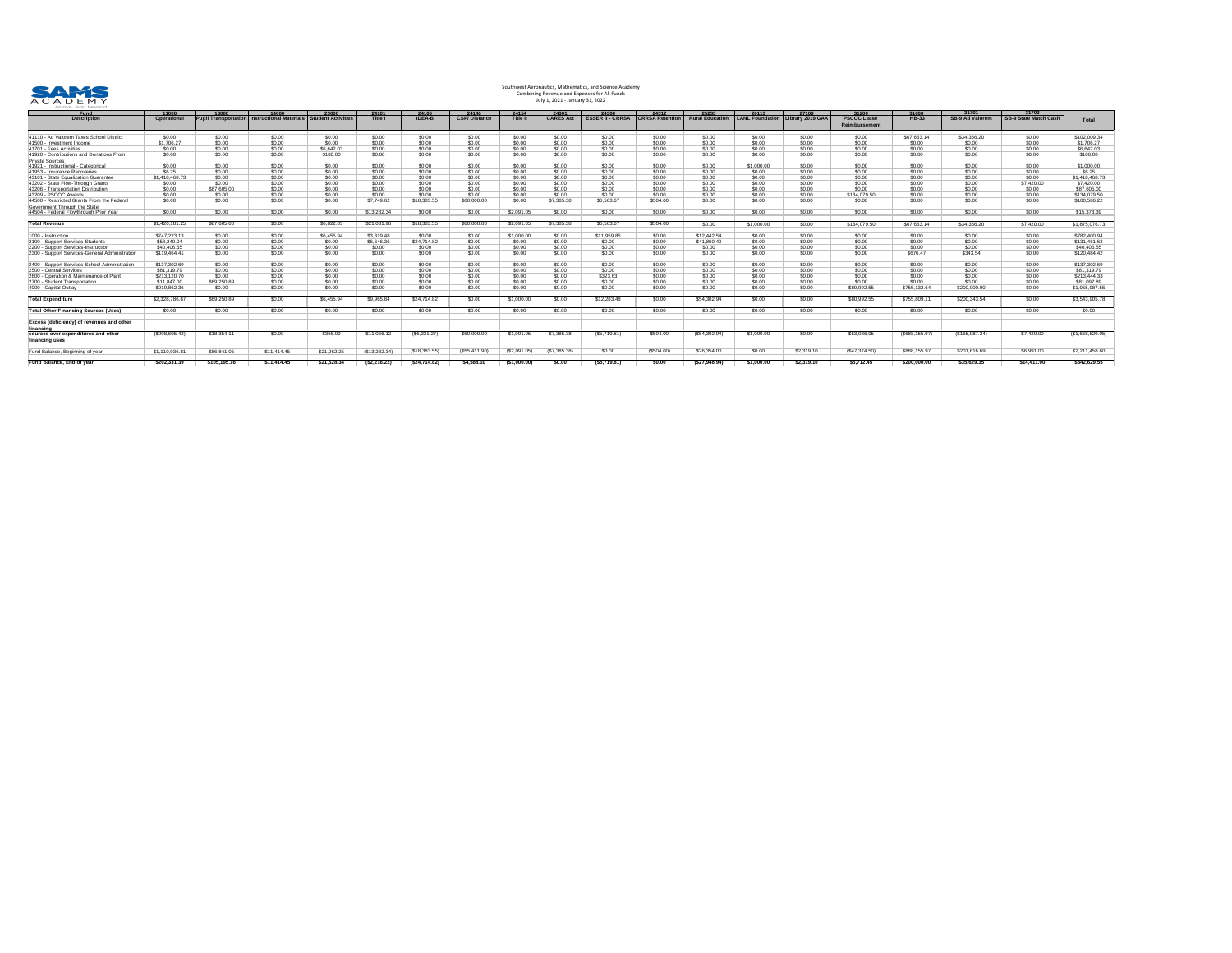

| <u>Fund</u>                                                            | 11000             | <u>13000 </u> | <u>14000 </u>                                       | 23000                     | 24101          | 24106         | 24146               | 24154           | 24301            | <u>24308</u>            | <u>24312 </u>          | 25233                  | 26113                              | 27109         | 31200                               | 31600              | 31701                  | 31703                        |                  |
|------------------------------------------------------------------------|-------------------|---------------|-----------------------------------------------------|---------------------------|----------------|---------------|---------------------|-----------------|------------------|-------------------------|------------------------|------------------------|------------------------------------|---------------|-------------------------------------|--------------------|------------------------|------------------------------|------------------|
| <b>Description</b>                                                     | <b>Operationa</b> |               | <b>Pupil Transportation Instructional Materials</b> | <b>Student Activities</b> | <b>Title I</b> | <b>IDEA-B</b> | <b>CSP/Distance</b> | <b>Title II</b> | <b>CARES Act</b> | <b>ESSER II - CRRSA</b> | <b>CRRSA Retention</b> | <b>Rural Education</b> | LANL Foundation   Library 2019 GAA |               | <b>PSCOC Lease</b><br>Reimbursement | <b>HB-33</b>       | <b>SB-9 Ad Valorem</b> | <b>SB-9 State Match Cash</b> | <b>Total</b>     |
| 41110 - Ad Valorem Taxes School District                               | \$0.00            | \$0.00        | \$0.00                                              | \$0.00                    | \$0.00         | \$0.00        | \$0.00              | \$0.00          | \$0.00           | \$0.00                  | \$0.00                 | \$0.00                 | \$0.00                             | \$0.00        | \$0.00                              | \$67,653.14        | \$34,356.20            | \$0.00                       | \$102,009.34     |
| 41500 - Investment Income                                              | \$1,706.27        | \$0.00        | \$0.00                                              | \$0.00                    | \$0.00         | \$0.00        | \$0.00              | \$0.00          | \$0.00           | \$0.00                  | \$0.00                 | \$0.00                 | \$0.00                             | <u>\$0.00</u> | \$0.00                              | \$0.00             | <u>\$0.00</u>          | \$0.00                       | \$1,706.27       |
| 41701 - Fees Activities                                                |                   | \$0.00        | \$0.00                                              | \$6,642.03                | \$0.00         | \$0.00        | \$0.00              | \$0.00          | \$0.00           | \$0.00                  | \$0.00                 | <u>\$0.00</u>          | \$0.00                             | \$0.00        | \$0.00                              | \$0.00             | \$0.00                 | \$0.00                       | \$6,642.03       |
| 41920 - Contributions and Donations From                               | \$0.00            | \$0.00        | \$0.00                                              | \$180.00                  | \$0.00         | \$0.00        | \$0.00              | \$0.00          | \$0.00           | \$0.00                  | \$0.00                 | \$0.00                 | \$0.00                             | \$0.00        | \$0.00                              | \$0.00             | \$0.00                 | \$0.00                       | \$180.00         |
| <b>Private Sources</b>                                                 |                   |               |                                                     |                           |                |               |                     |                 |                  |                         |                        |                        |                                    |               |                                     |                    |                        |                              |                  |
| 41921 - Instructional - Categorical                                    | \$0.00            | \$0.00        | \$0.00                                              | \$0.00                    | \$0.00         | \$0.00        | \$0.00              | \$0.00          | \$0.00           | \$0.00                  | \$0.00                 | \$0.00                 | \$1,000.00                         | \$0.00        | \$0.00                              | \$0.00             | \$0.00                 | \$0.00                       | \$1,000.00       |
| 41953 - Insurance Recoveries                                           | \$6.25            |               | \$0.00                                              | \$0.00                    | \$0.00         | \$0.00        | \$0.00              | \$0.00          | <u>\$0.00</u>    | \$0.00                  | \$0.00                 | <u>\$0.00</u>          | \$0.00                             | <u>\$0.00</u> | \$0.00                              | \$0.00             | \$0.00                 | \$0.00                       | <b>\$6.25</b>    |
| 43101 - State Equalization Guarantee                                   | \$1,418,468.73    | \$0.00        | \$0.00                                              | \$0.00                    | \$0.00         | \$0.00        | \$0.00              | \$0.00          |                  | \$0.00                  | \$0.00                 | \$0.00                 | \$0.00                             |               | \$0.00                              | \$0.00             | \$0.00                 | \$0.00                       | \$1,418,468.73   |
| 43202 - State Flow-Through Grants                                      | <u>\$0.00</u>     | \$0.00        | \$0.00                                              | \$0.00                    | \$0.00         | \$0.00        | \$0.00              | \$0.00          | \$0.00           | \$0.00                  | \$0.00                 | \$0.00                 | \$0.00                             | \$0.00        | \$0.00                              | \$0.00             | \$0.00                 | \$7,420.00                   | \$7,420.00       |
| 43206 - Transportation Distribution                                    | \$0.00            | \$87,605.00   | \$0.00                                              | \$0.00                    | \$0.00         |               | \$0.00              | \$0.00          |                  | \$0.00                  |                        | \$0.00                 | \$0.00                             | <u>\$0.00</u> | \$0.00                              | \$0.00             | .SN 00.                | \$0.00                       | \$87,605.00      |
| 43209 - PSCOC Awards                                                   | \$0.00            | \$0.00        | \$0.00                                              | \$0.00                    | \$0.00         | \$0.00        | \$0.00              | \$0.00          | \$0.00           | \$0.00                  | \$0.00                 | \$0.00                 | \$0.00                             | \$0.00        | \$134,079.50                        | \$0.00             |                        | \$0.00                       | \$134,079.50     |
| 44500 - Restricted Grants From the Federal                             |                   | \$0.00        | \$0.00                                              | \$0.00                    | \$7,749.62     | \$18,383.55   | \$60,000.00         | \$0.00          | \$7,385.38       | \$6,563.67              | \$504.00               | \$0.00                 | \$0.00                             | \$0.00        | \$0.00                              | \$0.00             | \$0.00                 | \$0.00                       | \$100,586.22     |
| Government Through the State<br>44504 - Federal Flowthrough Prior Year | \$0.00            | \$0.00        | \$0.00                                              | \$0.00                    | \$13,282.34    | \$0.00        | \$0.00              | \$2,091.05      | \$0.00           | \$0.00                  | \$0.00                 | \$0.00                 | \$0.00                             | \$0.00        | \$0.00                              | \$0.00             | \$0.00                 | \$0.00                       | \$15,373.39      |
| <b>Total Revenue</b>                                                   | \$1,420,181.25    | \$87,605.00   | \$0.00                                              | \$6,822.03                | \$21,031.96    | \$18,383.55   | \$60,000.00         | \$2,091.05      | \$7,385.38       | \$6,563.67              | \$504.00               | \$0.00                 | \$1,000.00                         | \$0.00        | \$134,079.50                        | \$67,653.14        | \$34,356.20            | \$7,420.00                   | \$1,875,076.73   |
| 1000 - Instruction                                                     | \$747,223.13      | \$0.00        | \$0.00                                              | \$6,455.94                | \$3,319.48     | \$0.00        | \$0.00              | \$1,000.00      | \$0.00           | \$11,959.85             | \$0.00                 | \$12,442.54            | \$0.00                             | \$0.00        | \$0.00                              | \$0.00             | \$0.00                 | \$0.00                       | \$782,400.94     |
| 2100 - Support Services-Students                                       | \$58,240.04       | \$0.00        | \$0.00                                              | \$0.00                    | \$6,646.36     | \$24,714.82   | \$0.00              | \$0.00          | \$0.00           | \$0.00                  | \$0.00                 | \$41,860.40            | \$0.00                             | \$0.00        | \$0.00                              | \$0.00             | SO 00.                 | \$0.00                       | \$131,461.62     |
| 2200 - Support Services-Instruction                                    | \$40,406.55       | \$0.00        | \$0.00                                              |                           | \$0.00         | \$0.00        | \$0.00              |                 | \$0.00           | \$0.00                  | \$0.00                 | \$0.00                 | \$0.00                             | \$0.00        | \$0.00                              |                    |                        | \$0.00                       | \$40,406.55      |
| 2300 - Support Services-General Administration                         | \$119,464.41      | \$0.00        | \$0.00                                              | \$0.00<br>\$0.00          | \$0.00         | \$0.00        | \$0.00              | 0.00<br>\$0.00  | \$0.00           | \$0.00                  | \$0.00                 | \$0.00                 | \$0.00                             | \$0.00        | \$0.00                              | \$0.00<br>\$676.47 | \$343.54               | \$0.00                       | \$120,484.42     |
|                                                                        |                   |               |                                                     |                           |                |               |                     |                 |                  |                         |                        |                        |                                    |               |                                     |                    |                        |                              |                  |
| 2400 - Support Services-School Administration                          | \$137,302.69      | \$0.00        | \$0.00                                              | \$0.00                    | \$0.00         | \$0.00        | \$0.00              | \$0.00          | \$0.00           | \$0.00                  | \$0.00                 | \$0.00                 | \$0.00                             | \$0.00        | \$0.00                              | \$0.00             | \$0.00                 | \$0.00                       | \$137,302.69     |
| 2500 - Central Services                                                | \$81,319.79       | \$0.00        | \$0.00                                              | \$0.00                    | \$0.00         | \$0.00        | \$0.00              | \$0.00          | \$0.00           | \$0.00                  | \$0.00                 | \$0.00                 | \$0.00                             | \$0.00        | \$0.00                              | \$0.00             | \$0.00                 | \$0.00                       | \$81,319.79      |
| 2600 - Operation & Maintenance of Plant                                | \$213,120.70      | \$0.00        | \$0.00                                              | \$0.00                    | \$0.00         | \$0.00        | \$0.00              | \$0.00          | \$0.00           | \$323.63                | \$0.00                 | \$0.00                 | \$0.00                             | \$0.00        | \$0.00                              | \$0.00             | \$0.00                 | \$0.00                       | \$213,444.33     |
| 2700 - Student Transportation                                          | \$11,847.00       | \$69,250.89   | \$0.00                                              | \$0.00                    | \$0.00         | \$0.00        | \$0.00              | \$0.00          | \$0.00           | \$0.00                  | \$0.00                 | \$0.00                 | \$0.00                             | \$0.00        | \$0.00                              | \$0.00             | \$0.00                 | \$0.00                       | \$81,097.89      |
| 4000 - Capital Outlay                                                  | \$919,862.36      | \$0.00        | \$0.00                                              | \$0.00                    | \$0.00         | \$0.00        | \$0.00              | \$0.00          | \$0.00           | \$0.00                  | \$0.00                 | \$0.00                 | \$0.00                             | \$0.00        | \$80,992.55                         | \$755,132.64       | \$200,000.00           | \$0.00                       | \$1,955,987.55   |
| <b>Total Expenditure</b>                                               | \$2,328,786.67    | \$69,250.89   | \$0.00                                              | \$6,455.94                | \$9,965.84     | \$24,714.82   | \$0.00              | \$1,000.00      | \$0.00           | \$12,283.48             | \$0.00                 | \$54,302.94            | \$0.00                             | \$0.00        | \$80,992.55                         | \$755,809.11       | \$200,343.54           | \$0.00                       | \$3,543,905.78   |
| <b>Total Other Financing Sources (Uses)</b>                            | \$0.00            | \$0.00        | \$0.00                                              | \$0.00                    | \$0.00         | \$0.00        | \$0.00              | \$0.00          | \$0.00           | \$0.00                  | \$0.00                 | \$0.00                 | \$0.00                             | \$0.00        | \$0.00                              | \$0.00             | \$0.00                 | \$0.00                       | \$0.00           |
| <b>Excess (deficiency) of revenues and other</b><br>financing          |                   |               |                                                     |                           |                |               |                     |                 |                  |                         |                        |                        |                                    |               |                                     |                    |                        |                              |                  |
| sources over expenditures and other<br>financing uses                  | (\$908,605.42)    | \$18,354.11   | \$0.00                                              | \$366.09                  | \$11,066.12    | (\$6,331.27)  | \$60,000.00         | \$1,091.05      | \$7,385.38       | (\$5,719.81)            | \$504.00               | (\$54,302.94)          | \$1,000.00                         | \$0.00        | \$53,086.95                         | (\$688, 155.97)    | (\$165,987.34)         | \$7,420.00                   | (\$1,668,829.05) |
| Fund Balance, Beginning of year                                        | \$1,110,936.81    | \$86,841.05   | \$11,414.45                                         | \$21,262.25               | (\$13,282.34)  | (\$18,383.55) | (\$55,411.90)       | (\$2,091.05)    | (\$7,385.38)     | \$0.00                  | (\$504.00)             | \$26,354.00            | \$0.00                             | \$2,319.10    | $(\$47,374.50)$                     | \$888,155.97       | \$201,616.69           | \$6,991.00                   | \$2,211,458.60   |
| <b>Fund Balance, End of year</b>                                       | \$202,331.39      | \$105,195.16  | \$11,414.45                                         | \$21,628.34               | (\$2,216.22)   | (\$24,714.82) | \$4,588.10          | (\$1,000.00)    | \$0.00           | (\$5,719.81)            | \$0.00                 | (\$27,948.94)          | \$1,000.00                         | \$2,319.10    | \$5,712.45                          | \$200,000.00       | \$35,629.35            | \$14,411.00                  | \$542,629.55     |

# Southwest Aeronautics, Mathematics, and Science Academy Combining Revenue and Expenses for All Funds July 1, 2021 - January 31, 2022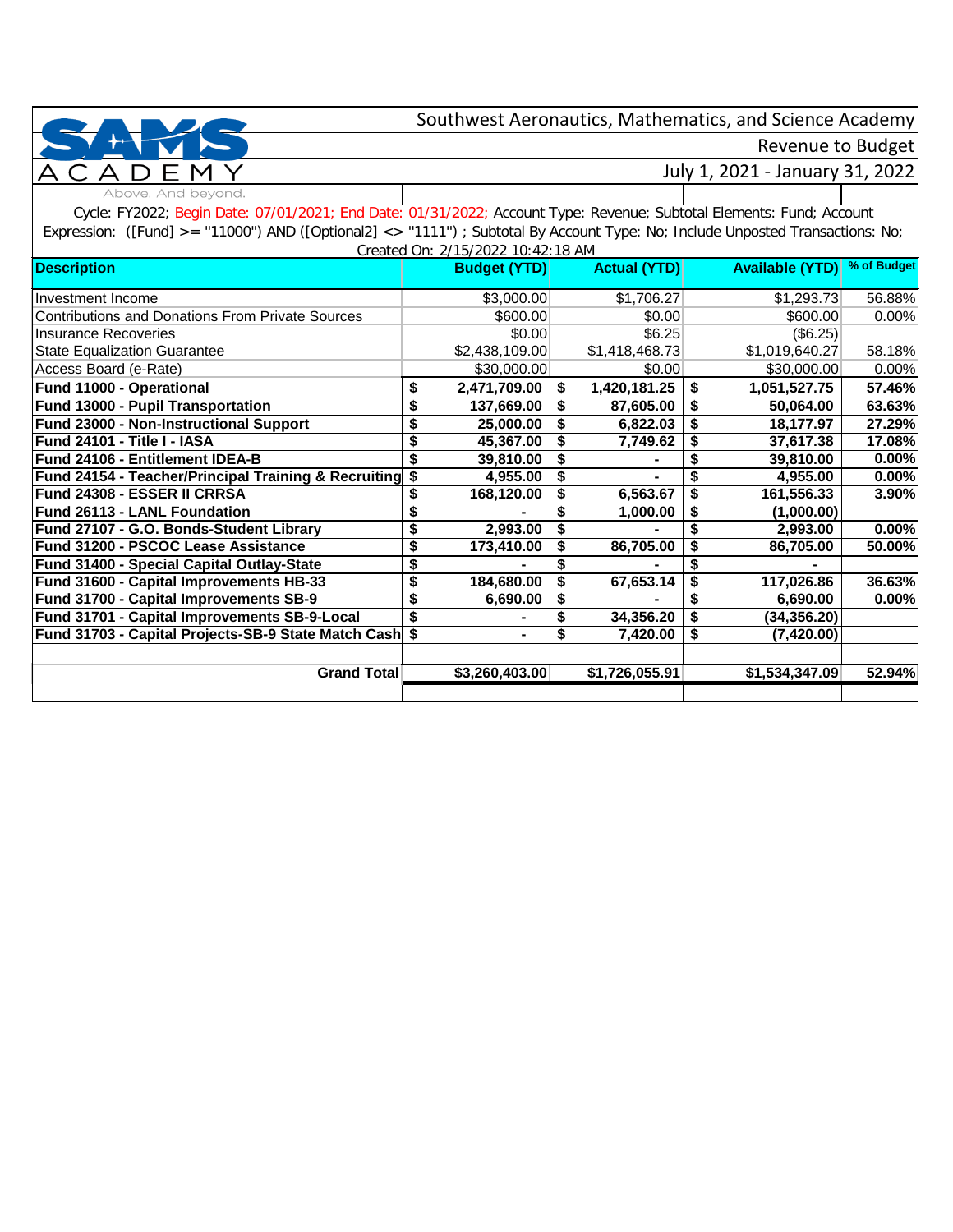## Revenue to Budget

July 1, 2021 - January 31, 2022

Above. And beyond.

Cycle: FY2022; Begin Date: 07/01/2021; End Date: 01/31/2022; Account Type: Revenue; Subtotal Elements: Fund; Account Expression: ([Fund] >= "11000") AND ([Optional2] <> "1111") ; Subtotal By Account Type: No; Include Unposted Transactions: No; Created On: 2/15/2022 10:42:18 AM

| <b>Description</b>                                                 | GI GALGU OIT. Z/ TU/ZUZZ TU.42. TU AINI<br><b>Budget (YTD)</b> | <b>Actual (YTD)</b> |    | <b>Available (YTD)</b> | % of Budget |
|--------------------------------------------------------------------|----------------------------------------------------------------|---------------------|----|------------------------|-------------|
| Investment Income                                                  | \$3,000.00                                                     | \$1,706.27          |    | \$1,293.73             | 56.88%      |
| <b>Contributions and Donations From Private Sources</b>            | \$600.00                                                       | \$0.00              |    | \$600.00               | 0.00%       |
| <b>Insurance Recoveries</b>                                        | \$0.00                                                         | \$6.25              |    | (\$6.25)               |             |
| <b>State Equalization Guarantee</b>                                | \$2,438,109.00                                                 | \$1,418,468.73      |    | \$1,019,640.27         | 58.18%      |
| Access Board (e-Rate)                                              | \$30,000.00                                                    | \$0.00              |    | \$30,000.00            | 0.00%       |
| <b>Fund 11000 - Operational</b>                                    | \$<br>2,471,709.00                                             | \$<br>1,420,181.25  | \$ | 1,051,527.75           | 57.46%      |
| <b>Fund 13000 - Pupil Transportation</b>                           | 137,669.00                                                     | 87,605.00           | S  | 50,064.00              | 63.63%      |
| Fund 23000 - Non-Instructional Support                             | \$<br>25,000.00                                                | 6,822.03            | \$ | 18,177.97              | 27.29%      |
| Fund 24101 - Title I - IASA                                        | 45,367.00                                                      | 7,749.62            |    | 37,617.38              | 17.08%      |
| Fund 24106 - Entitlement IDEA-B                                    | 39,810.00                                                      |                     |    | 39,810.00              | 0.00%       |
| <b>Fund 24154 - Teacher/Principal Training &amp; Recruiting \$</b> | 4,955.00                                                       |                     |    | 4,955.00               | 0.00%       |
| Fund 24308 - ESSER II CRRSA                                        | 168,120.00                                                     | 6,563.67            | \$ | 161,556.33             | 3.90%       |
| Fund 26113 - LANL Foundation                                       |                                                                | 1,000.00            |    | (1,000.00)             |             |
| Fund 27107 - G.O. Bonds-Student Library                            | 2,993.00                                                       |                     |    | 2,993.00               | 0.00%       |
| Fund 31200 - PSCOC Lease Assistance                                | \$<br>173,410.00                                               | 86,705.00           | \$ | 86,705.00              | 50.00%      |
| <b>Fund 31400 - Special Capital Outlay-State</b>                   |                                                                |                     |    |                        |             |
| Fund 31600 - Capital Improvements HB-33                            | \$<br>184,680.00                                               | 67,653.14           | S  | 117,026.86             | 36.63%      |
| Fund 31700 - Capital Improvements SB-9                             | 6,690.00                                                       |                     |    | 6,690.00               | 0.00%       |
| Fund 31701 - Capital Improvements SB-9-Local                       | \$                                                             | 34,356.20           | \$ | (34, 356.20)           |             |
| Fund 31703 - Capital Projects-SB-9 State Match Cash                | \$                                                             | \$<br>7,420.00      | S  | (7,420.00)             |             |
|                                                                    |                                                                |                     |    |                        |             |
| <b>Grand Total</b>                                                 | \$3,260,403.00                                                 | \$1,726,055.91      |    | \$1,534,347.09         | 52.94%      |
|                                                                    |                                                                |                     |    |                        |             |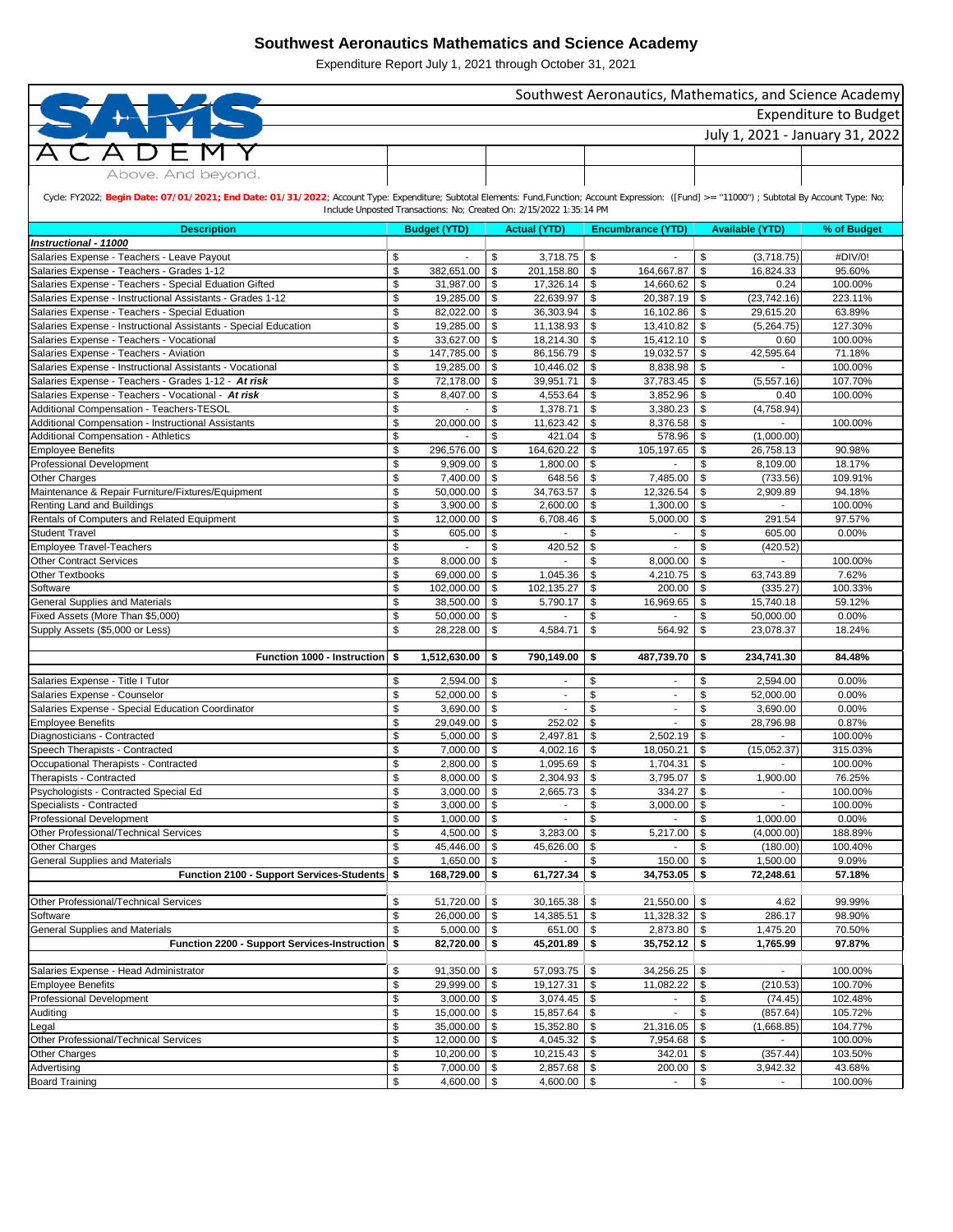| Southwest Aeronautics, Mathematics, and Science Academy                                                                                                                                           |          |                        |               |                                                                     |                                      |                           |                                 |                       |  |  |  |
|---------------------------------------------------------------------------------------------------------------------------------------------------------------------------------------------------|----------|------------------------|---------------|---------------------------------------------------------------------|--------------------------------------|---------------------------|---------------------------------|-----------------------|--|--|--|
|                                                                                                                                                                                                   |          |                        |               |                                                                     |                                      |                           |                                 | Expenditure to Budget |  |  |  |
|                                                                                                                                                                                                   |          |                        |               |                                                                     |                                      |                           | July 1, 2021 - January 31, 2022 |                       |  |  |  |
|                                                                                                                                                                                                   |          |                        |               |                                                                     |                                      |                           |                                 |                       |  |  |  |
|                                                                                                                                                                                                   |          |                        |               |                                                                     |                                      |                           |                                 |                       |  |  |  |
| Above. And beyond.                                                                                                                                                                                |          |                        |               |                                                                     |                                      |                           |                                 |                       |  |  |  |
| Cycle: FY2022; Begin Date: 07/01/2021; End Date: 01/31/2022; Account Type: Expenditure; Subtotal Elements: Fund,Function; Account Expression: ([Fund] >= "11000") ; Subtotal By Account Type: No; |          |                        |               |                                                                     |                                      |                           |                                 |                       |  |  |  |
|                                                                                                                                                                                                   |          |                        |               | Include Unposted Transactions: No; Created On: 2/15/2022 1:35:14 PM |                                      |                           |                                 |                       |  |  |  |
| <b>Description</b>                                                                                                                                                                                |          | <b>Budget (YTD)</b>    |               | <b>Actual (YTD)</b>                                                 | <b>Encumbrance (YTD)</b>             |                           | <b>Available (YTD)</b>          | % of Budget           |  |  |  |
| Instructional - 11000                                                                                                                                                                             |          |                        |               |                                                                     |                                      |                           |                                 |                       |  |  |  |
| Salaries Expense - Teachers - Leave Payout                                                                                                                                                        | \$<br>\$ | 382,651.00             | \$            | 3,718.75                                                            | \$<br>\$<br>164,667.87               | \$<br>\$                  | (3,718.75)                      | #DIV/0!               |  |  |  |
| Salaries Expense - Teachers - Grades 1-12<br>Salaries Expense - Teachers - Special Eduation Gifted                                                                                                | \$       | 31,987.00              | \$<br>-\$     | 201,158.80<br>17,326.14                                             | \$<br>14,660.62                      | \$                        | 16,824.33<br>0.24               | 95.60%<br>100.00%     |  |  |  |
| Salaries Expense - Instructional Assistants - Grades 1-12                                                                                                                                         | \$       | 19,285.00              | \$            | 22,639.97                                                           | \$<br>20,387.19                      | \$                        | (23, 742.16)                    | 223.11%               |  |  |  |
| Salaries Expense - Teachers - Special Eduation                                                                                                                                                    | \$       | 82,022.00              | \$            | 36,303.94                                                           | \$<br>16,102.86                      | -\$                       | 29,615.20                       | 63.89%                |  |  |  |
| Salaries Expense - Instructional Assistants - Special Education                                                                                                                                   | \$       | 19,285.00              | \$            | 11,138.93                                                           | \$<br>13,410.82                      | \$                        | (5,264.75)                      | 127.30%               |  |  |  |
| Salaries Expense - Teachers - Vocational                                                                                                                                                          | \$       | 33,627.00              | \$            | 18,214.30                                                           | \$<br>15,412.10                      | -\$                       | 0.60                            | 100.00%               |  |  |  |
| Salaries Expense - Teachers - Aviation                                                                                                                                                            | \$       | 147,785.00             | -\$           | 86,156.79                                                           | \$<br>19,032.57                      | \$                        | 42,595.64                       | 71.18%                |  |  |  |
| Salaries Expense - Instructional Assistants - Vocational                                                                                                                                          | \$       | 19,285.00              | \$            | 10,446.02                                                           | \$<br>8,838.98<br>37,783.45          | \$                        |                                 | 100.00%               |  |  |  |
| Salaries Expense - Teachers - Grades 1-12 - At risk<br>Salaries Expense - Teachers - Vocational - At risk                                                                                         | \$<br>\$ | 72,178.00<br>8,407.00  | -\$<br>\$     | 39,951.71<br>4,553.64                                               | \$<br>\$<br>3,852.96                 | \$<br>\$                  | (5,557.16)<br>0.40              | 107.70%<br>100.00%    |  |  |  |
| Additional Compensation - Teachers-TESOL                                                                                                                                                          | \$       |                        | \$            | 1,378.71                                                            | \$<br>3,380.23                       | \$                        | (4,758.94)                      |                       |  |  |  |
| Additional Compensation - Instructional Assistants                                                                                                                                                | \$       | 20,000.00              | \$            | 11,623.42                                                           | \$<br>8,376.58                       | \$                        |                                 | 100.00%               |  |  |  |
| <b>Additional Compensation - Athletics</b>                                                                                                                                                        | \$       |                        | \$            | 421.04                                                              | \$<br>578.96                         | \$                        | (1,000.00)                      |                       |  |  |  |
| <b>Employee Benefits</b>                                                                                                                                                                          | \$       | 296,576.00             | \$            | 164,620.22                                                          | \$<br>105,197.65                     | \$                        | 26,758.13                       | 90.98%                |  |  |  |
| Professional Development                                                                                                                                                                          | \$       | 9,909.00               | \$            | 1,800.00                                                            | \$                                   | \$                        | 8,109.00                        | 18.17%                |  |  |  |
| <b>Other Charges</b>                                                                                                                                                                              | \$       | 7,400.00               | \$            | 648.56                                                              | \$<br>7,485.00                       | $\sqrt[6]{3}$             | (733.56)                        | 109.91%               |  |  |  |
| Maintenance & Repair Furniture/Fixtures/Equipment<br>Renting Land and Buildings                                                                                                                   | \$<br>\$ | 50,000.00<br>3,900.00  | \$<br>-\$     | 34,763.57<br>2,600.00                                               | \$<br>12,326.54<br>\$<br>1,300.00    | \$<br>\$                  | 2,909.89                        | 94.18%<br>100.00%     |  |  |  |
| Rentals of Computers and Related Equipment                                                                                                                                                        | \$       | 12,000.00              | $\sqrt[6]{3}$ | 6,708.46                                                            | \$<br>5,000.00                       | \$                        | 291.54                          | 97.57%                |  |  |  |
| <b>Student Travel</b>                                                                                                                                                                             | \$       | 605.00                 | \$            |                                                                     | \$                                   | \$                        | 605.00                          | 0.00%                 |  |  |  |
| <b>Employee Travel-Teachers</b>                                                                                                                                                                   | \$       |                        | \$            | 420.52                                                              | \$                                   | \$                        | (420.52)                        |                       |  |  |  |
| <b>Other Contract Services</b>                                                                                                                                                                    | \$       | 8,000.00               | -\$           |                                                                     | \$<br>8,000.00                       | -\$                       |                                 | 100.00%               |  |  |  |
| <b>Other Textbooks</b>                                                                                                                                                                            | \$       | 69,000.00              | \$            | 1,045.36                                                            | \$<br>4,210.75                       | \$                        | 63,743.89                       | 7.62%                 |  |  |  |
| Software                                                                                                                                                                                          | P        | 102,000.00             |               | 102,135.27                                                          | \$<br>200.00                         | - \$                      | (335.27)                        | 100.33%               |  |  |  |
| <b>General Supplies and Materials</b><br>Fixed Assets (More Than \$5,000)                                                                                                                         | \$<br>\$ | 38,500.00<br>50,000.00 | -\$<br>\$     | 5,790.17                                                            | \$<br>16,969.65<br>\$                | -\$<br>\$                 | 15,740.18<br>50,000.00          | 59.12%<br>0.00%       |  |  |  |
| Supply Assets (\$5,000 or Less)                                                                                                                                                                   | \$       | 28,228.00              | - \$          | 4,584.71                                                            | \$<br>564.92                         | \$                        | 23,078.37                       | 18.24%                |  |  |  |
|                                                                                                                                                                                                   |          |                        |               |                                                                     |                                      |                           |                                 |                       |  |  |  |
| <b>Function 1000 - Instruction S</b>                                                                                                                                                              |          | 1,512,630.00           | \$            | 790,149.00                                                          | \$<br>487,739.70                     | -\$                       | 234,741.30                      | 84.48%                |  |  |  |
| Salaries Expense - Title I Tutor                                                                                                                                                                  |          | 2,594.00               |               |                                                                     | $\blacksquare$                       |                           | 2,594.00                        | 0.00%                 |  |  |  |
| Salaries Expense - Counselor                                                                                                                                                                      | \$<br>\$ | 52,000.00              | \$<br>\$      |                                                                     | \$<br>\$                             | \$<br>\$                  | 52,000.00                       | 0.00%                 |  |  |  |
| Salaries Expense - Special Education Coordinator                                                                                                                                                  | \$       | 3,690.00               | \$            |                                                                     | \$                                   | \$                        | 3,690.00                        | 0.00%                 |  |  |  |
| <b>Employee Benefits</b>                                                                                                                                                                          | \$       | 29,049.00              | \$            | 252.02                                                              | \$                                   | \$                        | 28,796.98                       | 0.87%                 |  |  |  |
| Diagnosticians - Contracted                                                                                                                                                                       | \$       | 5,000.00               | \$            | 2,497.81                                                            | \$<br>2,502.19                       | $\boldsymbol{\mathsf{S}}$ |                                 | 100.00%               |  |  |  |
| Speech Therapists - Contracted                                                                                                                                                                    | \$       | 7,000.00               | \$            | 4,002.16                                                            | \$<br>18,050.21                      | $\boldsymbol{\mathsf{S}}$ | (15,052.37)                     | 315.03%               |  |  |  |
| Occupational Therapists - Contracted                                                                                                                                                              | \$       | 2,800.00               | \$            | 1,095.69                                                            | \$<br>1,704.31                       | \$                        |                                 | 100.00%               |  |  |  |
| Therapists - Contracted                                                                                                                                                                           | \$<br>\$ | 8,000.00<br>3,000.00   | -\$           | 2,304.93<br>2,665.73                                                | \$<br>3,795.07<br>\$<br>334.27       | \$<br>\$                  | 1,900.00<br>$\sim$              | 76.25%<br>100.00%     |  |  |  |
| Psychologists - Contracted Special Ed<br>Specialists - Contracted                                                                                                                                 | \$       | 3,000.00               | -\$<br>-\$    |                                                                     | \$<br>3,000.00                       | \$                        |                                 | 100.00%               |  |  |  |
| Professional Development                                                                                                                                                                          | \$       | 1,000.00               | \$            |                                                                     | $\boldsymbol{\mathsf{S}}$            | \$                        | 1,000.00                        | 0.00%                 |  |  |  |
| Other Professional/Technical Services                                                                                                                                                             | \$       | 4,500.00               | \$            | 3,283.00                                                            | \$<br>5,217.00                       | \$                        | (4,000.00)                      | 188.89%               |  |  |  |
| <b>Other Charges</b>                                                                                                                                                                              | \$       | 45,446.00              | \$            | 45,626.00                                                           | \$                                   | \$                        | (180.00)                        | 100.40%               |  |  |  |
| <b>General Supplies and Materials</b>                                                                                                                                                             | \$       | 1,650.00               | -\$           |                                                                     | \$<br>150.00                         | \$                        | 1,500.00                        | 9.09%                 |  |  |  |
| Function 2100 - Support Services-Students \$                                                                                                                                                      |          | 168,729.00             | \$            | 61,727.34                                                           | \$<br>34,753.05                      | -\$                       | 72,248.61                       | 57.18%                |  |  |  |
| Other Professional/Technical Services                                                                                                                                                             | \$       | 51,720.00              | \$            | 30,165.38                                                           | \$<br>21,550.00                      | -\$                       | 4.62                            | 99.99%                |  |  |  |
| Software                                                                                                                                                                                          | \$       | 26,000.00              | -\$           | 14,385.51                                                           | \$<br>11,328.32                      | \$                        | 286.17                          | 98.90%                |  |  |  |
| <b>General Supplies and Materials</b>                                                                                                                                                             | \$       | 5,000.00               | -\$           | 651.00                                                              | \$<br>2,873.80                       | -\$                       | 1,475.20                        | 70.50%                |  |  |  |
| Function 2200 - Support Services-Instruction \$                                                                                                                                                   |          | 82,720.00              | \$            | 45,201.89                                                           | \$<br>35,752.12                      | -\$                       | 1,765.99                        | 97.87%                |  |  |  |
|                                                                                                                                                                                                   |          |                        |               |                                                                     |                                      |                           |                                 |                       |  |  |  |
| Salaries Expense - Head Administrator                                                                                                                                                             | \$       | 91,350.00              | \$            | 57,093.75                                                           | 34,256.25<br>\$                      | \$                        |                                 | 100.00%               |  |  |  |
| <b>Employee Benefits</b>                                                                                                                                                                          | \$       | 29,999.00              | $\sqrt[6]{3}$ | 19,127.31                                                           | \$<br>11,082.22                      | \$                        | (210.53)                        | 100.70%               |  |  |  |
| Professional Development<br>Auditing                                                                                                                                                              | \$<br>\$ | 3,000.00<br>15,000.00  | -\$<br>\$     | 3,074.45<br>15,857.64                                               | \$<br>$\overline{\phantom{a}}$<br>\$ | \$<br>\$                  | (74.45)<br>(857.64)             | 102.48%<br>105.72%    |  |  |  |
| Legal                                                                                                                                                                                             | \$       | 35,000.00              | -\$           | 15,352.80                                                           | \$<br>21,316.05                      | \$                        | (1,668.85)                      | 104.77%               |  |  |  |
| Other Professional/Technical Services                                                                                                                                                             | \$       | 12,000.00              | -\$           | 4,045.32                                                            | \$<br>7,954.68                       | \$                        |                                 | 100.00%               |  |  |  |
| Other Charges                                                                                                                                                                                     | \$       | 10,200.00              | \$            | 10,215.43                                                           | \$<br>342.01                         | \$                        | (357.44)                        | 103.50%               |  |  |  |
| Advertising                                                                                                                                                                                       | \$       | 7,000.00               | \$            | 2,857.68                                                            | \$<br>200.00                         | \$                        | 3,942.32                        | 43.68%                |  |  |  |
| <b>Board Training</b>                                                                                                                                                                             | \$       | 4,600.00 $\vert$ \$    |               | 4,600.00                                                            | \$                                   | \$                        |                                 | 100.00%               |  |  |  |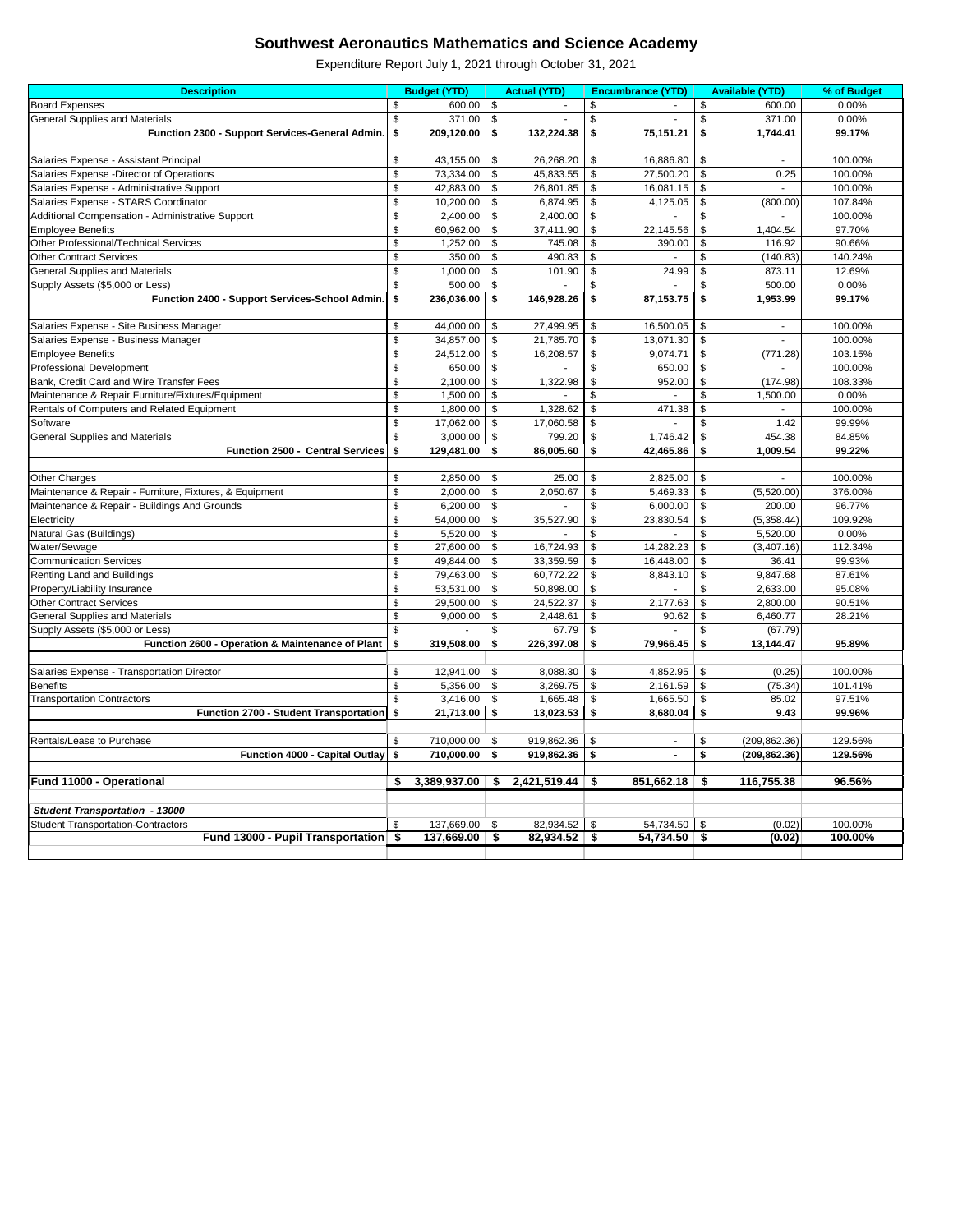| <b>Description</b>                                                          |                | <b>Budget (YTD)</b> |                         | <b>Actual (YTD)</b> |                           | <b>Encumbrance (YTD)</b> |               | <b>Available (YTD)</b> | % of Budget        |
|-----------------------------------------------------------------------------|----------------|---------------------|-------------------------|---------------------|---------------------------|--------------------------|---------------|------------------------|--------------------|
| <b>Board Expenses</b>                                                       | \$             | 600.00              | $\boldsymbol{\theta}$   |                     | \$                        |                          | \$            | 600.00                 | 0.00%              |
| <b>General Supplies and Materials</b>                                       | \$             | 371.00              | $\sqrt[6]{3}$           |                     | \$                        |                          | \$            | 371.00                 | 0.00%              |
| Function 2300 - Support Services-General Admin.                             | \$             | 209,120.00          | \$                      | 132,224.38          | \$                        | 75,151.21                | \$            | 1,744.41               | 99.17%             |
|                                                                             |                |                     |                         |                     |                           |                          |               |                        |                    |
| Salaries Expense - Assistant Principal                                      | \$             | 43,155.00           | \$                      | 26,268.20           | \$                        | 16,886.80                | \$            |                        | 100.00%            |
| Salaries Expense - Director of Operations                                   | \$             | 73,334.00           | \$                      | 45,833.55           | \$                        | 27,500.20                | \$            | 0.25                   | 100.00%            |
| Salaries Expense - Administrative Support                                   | \$             | 42,883.00           | \$                      | 26,801.85           | \$                        | 16,081.15                | \$            |                        | 100.00%            |
| Salaries Expense - STARS Coordinator                                        | \$             | 10,200.00           | \$                      | 6,874.95            | \$                        | 4,125.05                 | \$            | (800.00)               | 107.84%            |
| Additional Compensation - Administrative Support                            | \$             | 2,400.00            | \$                      | 2,400.00            | \$                        |                          | \$            |                        | 100.00%            |
| <b>Employee Benefits</b>                                                    | \$             | 60,962.00           | \$                      | 37,411.90           | \$                        | 22,145.56                | \$            | 1,404.54               | 97.70%             |
| Other Professional/Technical Services                                       | \$             | 1,252.00            | \$                      | 745.08              | \$                        | 390.00                   | \$            | 116.92                 | 90.66%             |
| <b>Other Contract Services</b>                                              | \$             | 350.00              | \$                      | 490.83              | \$                        |                          | \$            | (140.83)               | 140.24%            |
| <b>General Supplies and Materials</b>                                       | \$             | 1,000.00            | \$                      | 101.90              | \$                        | 24.99                    | \$            | 873.11                 | 12.69%             |
| Supply Assets (\$5,000 or Less)                                             | \$             | 500.00              | \$                      |                     | \$                        |                          | \$            | 500.00                 | 0.00%              |
| Function 2400 - Support Services-School Admin.                              | \$             | 236,036.00          | \$                      | 146,928.26          | \$                        | 87, 153. 75              | \$            | 1,953.99               | 99.17%             |
|                                                                             |                |                     |                         |                     |                           |                          |               |                        |                    |
| Salaries Expense - Site Business Manager                                    | \$             | 44,000.00           | -\$                     | 27,499.95           | \$                        | 16,500.05                | \$            | $\blacksquare$         | 100.00%            |
| Salaries Expense - Business Manager                                         | \$<br>\$       | 34,857.00           | \$                      | 21,785.70           | \$                        | 13,071.30                | \$            | $\blacksquare$         | 100.00%            |
| <b>Employee Benefits</b>                                                    |                | 24,512.00           | \$                      | 16,208.57           | \$                        | 9,074.71                 | \$            | (771.28)               | 103.15%            |
| <b>Professional Development</b><br>Bank, Credit Card and Wire Transfer Fees | \$<br>\$       | 650.00<br>2,100.00  | $\boldsymbol{\theta}$   | 1,322.98            | \$<br>\$                  | 650.00                   | \$            | (174.98)               | 100.00%<br>108.33% |
| Maintenance & Repair Furniture/Fixtures/Equipment                           | \$             | 1,500.00            | \$<br>\$                |                     | \$                        | 952.00                   | \$<br>\$      | 1,500.00               | 0.00%              |
| Rentals of Computers and Related Equipment                                  | \$             | 1,800.00            | $\sqrt[6]{\frac{1}{2}}$ | 1,328.62            | \$                        | 471.38                   | \$            |                        | 100.00%            |
| Software                                                                    | \$             | 17,062.00           | \$                      | 17,060.58           | \$                        |                          | \$            | 1.42                   | 99.99%             |
| <b>General Supplies and Materials</b>                                       | \$             | 3,000.00            | \$                      | 799.20              | \$                        | 1,746.42                 | \$            | 454.38                 | 84.85%             |
| Function 2500 - Central Services                                            | \$             | 129,481.00          | \$                      | 86,005.60           | \$                        | 42,465.86                | \$            | 1,009.54               | 99.22%             |
|                                                                             |                |                     |                         |                     |                           |                          |               |                        |                    |
| Other Charges                                                               | \$             | 2,850.00            | \$                      | 25.00               | \$                        | 2,825.00                 | \$            |                        | 100.00%            |
| Maintenance & Repair - Furniture, Fixtures, & Equipment                     | \$             | 2,000.00            | \$                      | 2,050.67            | \$                        | 5,469.33                 | \$            | (5,520.00)             | 376.00%            |
| Maintenance & Repair - Buildings And Grounds                                | \$             | 6,200.00            | \$                      |                     | \$                        | 6,000.00                 | \$            | 200.00                 | 96.77%             |
| Electricity                                                                 | \$             | 54,000.00           | \$                      | 35,527.90           | \$                        | 23,830.54                | \$            | (5,358.44)             | 109.92%            |
| Natural Gas (Buildings)                                                     | \$             | 5,520.00            | $\sqrt[6]{3}$           |                     | \$                        |                          | $\frac{1}{2}$ | 5,520.00               | 0.00%              |
| Water/Sewage                                                                | \$             | 27,600.00           | \$                      | 16,724.93           | -\$                       | 14,282.23                | \$            | (3,407.16)             | 112.34%            |
| <b>Communication Services</b>                                               | \$             | 49,844.00           | -\$                     | 33,359.59           | \$                        | 16,448.00                | \$            | 36.41                  | 99.93%             |
| Renting Land and Buildings                                                  | \$             | 79,463.00           | -\$                     | 60,772.22           | \$                        | 8,843.10                 | \$            | 9,847.68               | 87.61%             |
| Property/Liability Insurance                                                | \$             | 53,531.00 \$        |                         | 50,898.00           | \$                        |                          | \$            | 2,633.00               | 95.08%             |
| <b>Other Contract Services</b>                                              | \$             | 29,500.00           | \$                      | 24,522.37           | \$                        | 2,177.63                 | \$            | 2,800.00               | 90.51%             |
| <b>General Supplies and Materials</b>                                       | $$\mathbb{S}$$ | 9,000.00            | \$                      | 2,448.61            | \$                        | 90.62                    | \$            | 6,460.77               | 28.21%             |
| Supply Assets (\$5,000 or Less)                                             | \$             |                     | \$                      | 67.79               | $\sqrt[6]{\frac{1}{2}}$   |                          | \$            | (67.79)                |                    |
| Function 2600 - Operation & Maintenance of Plant                            | \$             | 319,508.00          | \$                      | 226,397.08          | \$                        | 79,966.45                | \$            | 13,144.47              | 95.89%             |
|                                                                             |                |                     |                         |                     |                           |                          |               |                        |                    |
| Salaries Expense - Transportation Director                                  | \$             | 12,941.00           | \$                      | 8,088.30            | \$                        | 4,852.95                 | \$            | (0.25)                 | 100.00%            |
| <b>Benefits</b>                                                             | \$             | 5,356.00            | \$                      | 3,269.75            | \$                        | 2,161.59                 | $\$\$         | (75.34)                | 101.41%            |
| <b>Transportation Contractors</b>                                           | \$             | $3,416.00$ \$       |                         | 1,665.48            | \$                        | 1,665.50                 | \$            | 85.02                  | 97.51%             |
| Function 2700 - Student Transportation   \$                                 |                | 21,713.00           | \$                      | 13,023.53           | \$                        | 8,680.04                 | \$            | 9.43                   | 99.96%             |
| Rentals/Lease to Purchase                                                   | \$             | 710,000.00          | \$                      | 919,862.36          | \$                        |                          | \$            | (209, 862.36)          | 129.56%            |
| Function 4000 - Capital Outlay   \$                                         |                | 710,000.00          | \$                      | 919,862.36          | \$                        | $\blacksquare$           | \$            | (209, 862.36)          | 129.56%            |
|                                                                             |                |                     |                         |                     |                           |                          |               |                        |                    |
| Fund 11000 - Operational                                                    | S              | 3,389,937.00        | \$                      | 2,421,519.44        | \$                        | 851,662.18               | - \$          | 116,755.38             | 96.56%             |
|                                                                             |                |                     |                         |                     |                           |                          |               |                        |                    |
| <b>Student Transportation - 13000</b>                                       |                |                     |                         |                     |                           |                          |               |                        |                    |
| <b>Student Transportation-Contractors</b>                                   | \$             | 137,669.00          | \$                      | 82,934.52           | $\boldsymbol{\mathsf{S}}$ | 54,734.50                | $\sqrt[6]{3}$ | (0.02)                 | 100.00%            |
| Fund 13000 - Pupil Transportation \$                                        |                | $137,669.00$ \$     |                         | $82,934.52$ \$      |                           | $54,734.50$ \$           |               | (0.02)                 | 100.00%            |
|                                                                             |                |                     |                         |                     |                           |                          |               |                        |                    |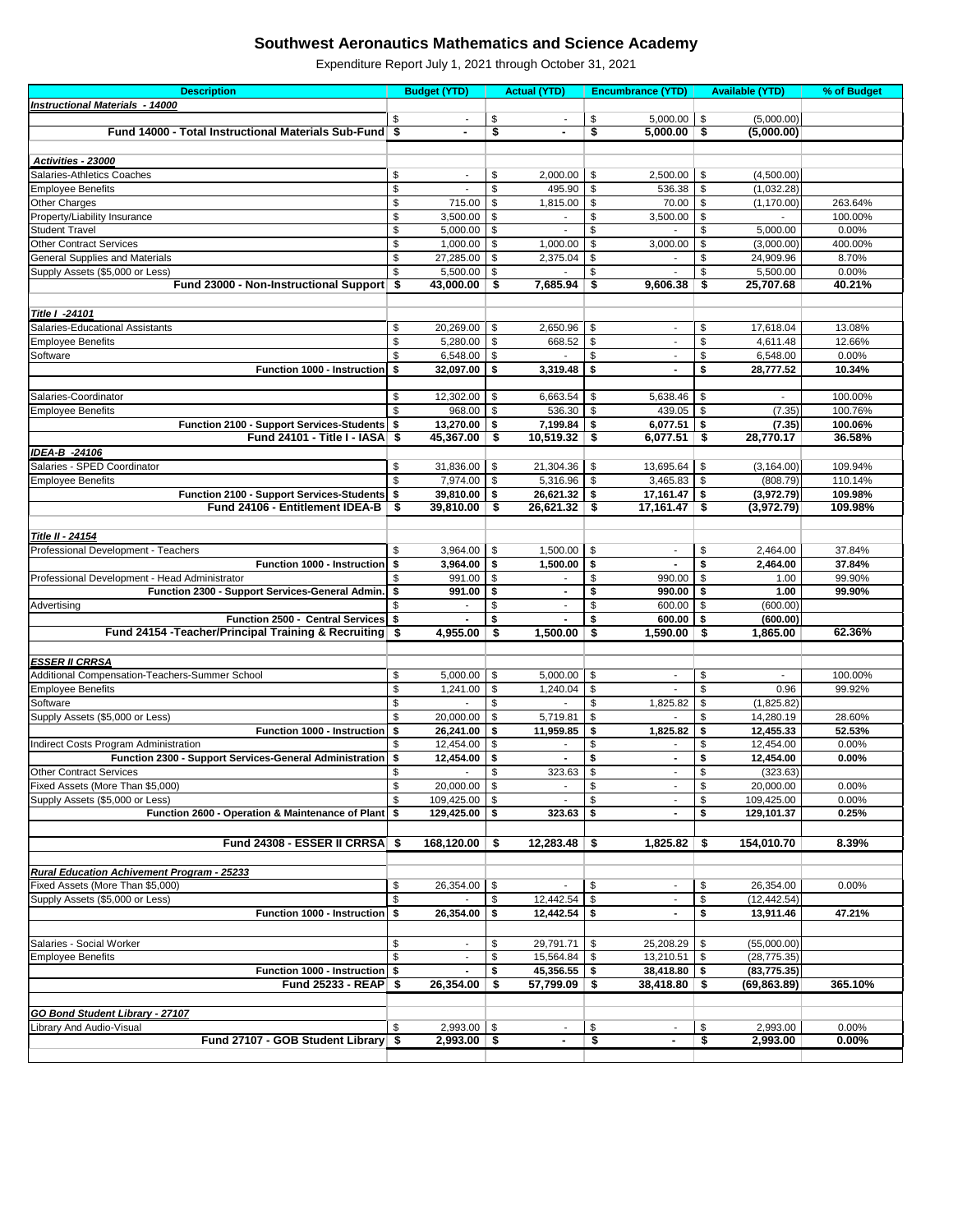| <b>Instructional Materials - 14000</b><br>\$<br>\$<br>\$<br>5,000.00<br>\$<br>(5,000.00)<br>\$<br>$5,000.00$ \$<br>Fund 14000 - Total Instructional Materials Sub-Fund \$<br>\$<br>(5,000.00)<br>Activities - 23000<br><b>Salaries-Athletics Coaches</b><br>\$<br>\$<br>\$<br>\$<br>2,000.00<br>2,500.00<br>(4,500.00)<br>$\blacksquare$<br>\$<br>\$<br>$\boldsymbol{\mathsf{S}}$<br>$\boldsymbol{\mathsf{S}}$<br>495.90<br>536.38<br>(1,032.28)<br><b>Employee Benefits</b><br>\$<br>Other Charges<br>715.00<br>\$<br>$\sqrt[6]{\frac{1}{2}}$<br>70.00<br>\$<br>263.64%<br>1,815.00<br>(1, 170.00)<br>\$<br>3,500.00<br>\$<br>\$<br>3,500.00<br>\$<br>Property/Liability Insurance<br>100.00%<br>\$<br>\$<br><b>Student Travel</b><br>5,000.00<br>\$<br>\$<br>0.00%<br>5,000.00<br>\$<br>\$<br><b>Other Contract Services</b><br>1,000.00<br>1,000.00<br>\$<br>\$<br>400.00%<br>3,000.00<br>(3,000.00)<br>\$<br><b>General Supplies and Materials</b><br>27,285.00<br>\$<br>\$<br>\$<br>24,909.96<br>8.70%<br>2,375.04<br>\$<br>$\sqrt[6]{\frac{1}{2}}$<br>0.00%<br>Supply Assets (\$5,000 or Less)<br>5,500.00<br>-\$<br>\$<br>5,500.00<br>$43,000.00$ \$<br>7,685.94<br>40.21%<br>Fund 23000 - Non-Instructional Support \$<br>\$<br>9,606.38<br>\$<br>25,707.68<br>Title I -24101<br>\$<br>\$<br>2,650.96<br>\$<br>\$<br>Salaries-Educational Assistants<br>20,269.00<br>17,618.04<br>13.08%<br>$\overline{\phantom{a}}$<br>\$<br>$\sqrt[6]{\frac{1}{2}}$<br>$\boldsymbol{\mathsf{S}}$<br>\$<br>5,280.00<br>668.52<br>4,611.48<br>12.66%<br><b>Employee Benefits</b><br>$\overline{\phantom{a}}$<br>\$<br>\$<br>\$<br>\$<br>Software<br>6,548.00<br>6,548.00<br>0.00%<br>$\blacksquare$<br>\$<br>\$<br>Function 1000 - Instruction<br>\$<br>32,097.00<br>3,319.48<br>\$<br>10.34%<br>28,777.52<br>\$<br>\$<br>\$<br>\$<br>Salaries-Coordinator<br>12,302.00<br>6,663.54<br>5,638.46<br>100.00%<br>\$<br>968.00<br>536.30<br>-\$<br>\$<br>439.05<br>\$<br>(7.35)<br>100.76%<br><b>Employee Benefits</b><br>Function 2100 - Support Services-Students \$<br>13,270.00<br>-\$<br>7,199.84<br>\$<br>$6,077.51$ \$<br>(7.35)<br>100.06%<br>Fund 24101 - Title I - IASA \$<br>45,367.00<br>\$<br>10,519.32<br>$6,077.51$ \$<br>28,770.17<br>36.58%<br>-\$<br>IDEA-B -24106<br>Salaries - SPED Coordinator<br>-\$<br>13,695.64<br>109.94%<br>\$<br>31,836.00<br>21,304.36<br>\$<br>\$<br>(3, 164.00)<br>\$<br>$7,974.00$ \ \$<br>5,316.96<br>\$<br>$3,465.83$ \$<br>(808.79)<br>110.14%<br><b>Employee Benefits</b><br>Function 2100 - Support Services-Students \$<br>39,810.00<br>26,621.32<br>$17,161.47$ \$<br>(3,972.79)<br>109.98%<br>-\$<br>-\$<br>Fund 24106 - Entitlement IDEA-B<br>$\overline{\mathsf{I}}$<br>\$<br>39,810.00<br>\$<br>26,621.32<br>\$<br>17,161.47<br>(3,972.79)<br>109.98%<br><b>Title II - 24154</b><br>Professional Development - Teachers<br>\$<br>3,964.00<br>-\$<br>\$<br>2,464.00<br>37.84%<br>1,500.00<br>\$<br>\$<br>\$<br>Function 1000 - Instruction<br>3,964.00<br>\$<br>\$<br>2,464.00<br>37.84%<br>1,500.00<br>\$<br>\$<br>\$<br>\$<br>Professional Development - Head Administrator<br>991.00<br>990.00<br>1.00<br>99.90%<br>$\blacksquare$<br>Function 2300 - Support Services-General Admin.<br>\$<br>\$<br>991.00<br>\$<br>\$<br>990.00<br>1.00<br>99.90%<br>\$<br>Advertising<br>-\$<br>600.00<br>(600.00)<br>S<br>- \$<br>Function 2500 - Central Services \$<br>\$<br>\$<br>$600.00$ \$<br>(600.00)<br>Fund 24154 - Teacher/Principal Training & Recruiting \$<br>4,955.00<br>1,500.00<br>$1,590.00$ \$<br>1,865.00<br>62.36%<br>\$<br>- \$<br><b>ESSER II CRRSA</b><br>Additional Compensation-Teachers-Summer School<br>\$<br>-\$<br>\$<br>5,000.00<br>5,000.00<br>\$<br>100.00%<br>$\sim$<br>$\blacksquare$<br>\$<br>\$<br><b>Employee Benefits</b><br>1,241.00<br>\$<br>\$<br>0.96<br>99.92%<br>1,240.04<br>\$<br>Software<br>\$<br>\$<br>\$<br>1,825.82<br>(1,825.82)<br>Supply Assets (\$5,000 or Less)<br>\$<br>$\sqrt[6]{\frac{1}{2}}$<br>28.60%<br>20,000.00<br>\$<br>5,719.81<br>\$<br>14,280.19<br>Function 1000 - Instruction \$<br>1,825.82<br>\$<br>52.53%<br>26,241.00<br>\$<br>11,959.85<br>\$<br>12,455.33<br>\$<br>\$<br>\$<br>\$<br>12,454.00<br>12,454.00<br>0.00%<br>Function 2300 - Support Services-General Administration \$<br>\$<br>\$<br>\$<br>12,454.00<br>0.00%<br>12,454.00<br>$\blacksquare$<br>\$<br>$\boldsymbol{\mathsf{S}}$<br><b>Other Contract Services</b><br>\$<br>\$<br>323.63<br>(323.63)<br>$\blacksquare$<br>\$<br>\$<br>\$<br>Fixed Assets (More Than \$5,000)<br>20,000.00<br>\$<br>20,000.00<br>0.00%<br>$\blacksquare$<br>$\boldsymbol{\mathsf{S}}$<br>\$<br>\$<br>\$<br>Supply Assets (\$5,000 or Less)<br>109,425.00<br>109,425.00<br>0.00%<br>$\blacksquare$<br>Function 2600 - Operation & Maintenance of Plant \$<br>129,425.00<br>\$<br>\$<br>\$<br>323.63<br>129,101.37<br>0.25%<br>Fund 24308 - ESSER II CRRSA \$<br>$168,120.00$ \$<br>12,283.48<br>1,825.82<br>154,010.70<br>8.39%<br>- \$<br>- \$<br><b>Rural Education Achivement Program - 25233</b><br>\$<br>$\sqrt[6]{\frac{1}{2}}$<br>\$<br>\$<br>Fixed Assets (More Than \$5,000)<br>26,354.00<br>26,354.00<br>0.00%<br>$\overline{\phantom{a}}$<br>$\mathsf{\$}$<br>$\mathbb{S}$<br>\$<br>12,442.54<br>\$<br>(12, 442.54)<br>Supply Assets (\$5,000 or Less)<br>$\blacksquare$<br>Function 1000 - Instruction \$<br>26,354.00<br>\$<br>12,442.54<br>\$<br>\$<br>47.21%<br>13,911.46<br>Salaries - Social Worker<br>\$<br>\$<br>29,791.71<br>25,208.29<br>\$<br>- \$<br>(55,000.00)<br>$\blacksquare$<br>\$<br>\$<br>15,564.84<br>$13,210.51$ \$<br>(28, 775.35)<br><b>Employee Benefits</b><br>-\$<br>$\blacksquare$<br>Function 1000 - Instruction \$<br>45,356.55<br>\$<br>$38,418.80$ \$<br>(83, 775.35)<br>- \$<br>Fund 25233 - REAP \$<br>26,354.00<br>\$<br>365.10%<br>57,799.09<br>38,418.80<br>\$<br>\$<br>(69, 863.89)<br><b>GO Bond Student Library - 27107</b><br>$2,993.00$ \$<br>\$<br>\$<br>2,993.00<br>\$<br>0.00%<br>Library And Audio-Visual<br>Fund 27107 - GOB Student Library \$<br>\$<br>\$<br>$2,993.00$ \$<br>2,993.00<br>0.00% | <b>Description</b>                    | <b>Budget (YTD)</b> | <b>Actual (YTD)</b> | <b>Encumbrance (YTD)</b> | <b>Available (YTD)</b> | % of Budget |
|----------------------------------------------------------------------------------------------------------------------------------------------------------------------------------------------------------------------------------------------------------------------------------------------------------------------------------------------------------------------------------------------------------------------------------------------------------------------------------------------------------------------------------------------------------------------------------------------------------------------------------------------------------------------------------------------------------------------------------------------------------------------------------------------------------------------------------------------------------------------------------------------------------------------------------------------------------------------------------------------------------------------------------------------------------------------------------------------------------------------------------------------------------------------------------------------------------------------------------------------------------------------------------------------------------------------------------------------------------------------------------------------------------------------------------------------------------------------------------------------------------------------------------------------------------------------------------------------------------------------------------------------------------------------------------------------------------------------------------------------------------------------------------------------------------------------------------------------------------------------------------------------------------------------------------------------------------------------------------------------------------------------------------------------------------------------------------------------------------------------------------------------------------------------------------------------------------------------------------------------------------------------------------------------------------------------------------------------------------------------------------------------------------------------------------------------------------------------------------------------------------------------------------------------------------------------------------------------------------------------------------------------------------------------------------------------------------------------------------------------------------------------------------------------------------------------------------------------------------------------------------------------------------------------------------------------------------------------------------------------------------------------------------------------------------------------------------------------------------------------------------------------------------------------------------------------------------------------------------------------------------------------------------------------------------------------------------------------------------------------------------------------------------------------------------------------------------------------------------------------------------------------------------------------------------------------------------------------------------------------------------------------------------------------------------------------------------------------------------------------------------------------------------------------------------------------------------------------------------------------------------------------------------------------------------------------------------------------------------------------------------------------------------------------------------------------------------------------------------------------------------------------------------------------------------------------------------------------------------------------------------------------------------------------------------------------------------------------------------------------------------------------------------------------------------------------------------------------------------------------------------------------------------------------------------------------------------------------------------------------------------------------------------------------------------------------------------------------------------------------------------------------------------------------------------------------------------------------------------------------------------------------------------------------------------------------------------------------------------------------------------------------------------------------------------------------------------------------------------------------------------------------------------------------------------------------------------------------------------------------------------------------------------------------------------------------------------------------------------------------------------------------------------------------------------------------------------------------------------------------------------------------------------------------------------------------------------------------------------------------------------------------------------------------------------------------------------------------------------------------------------------------------------------------------------------------------------------------------------------------------------------------------------------------------------------------------------------------------------------------------------------------------------------------------------------------------------------------------------------------|---------------------------------------|---------------------|---------------------|--------------------------|------------------------|-------------|
|                                                                                                                                                                                                                                                                                                                                                                                                                                                                                                                                                                                                                                                                                                                                                                                                                                                                                                                                                                                                                                                                                                                                                                                                                                                                                                                                                                                                                                                                                                                                                                                                                                                                                                                                                                                                                                                                                                                                                                                                                                                                                                                                                                                                                                                                                                                                                                                                                                                                                                                                                                                                                                                                                                                                                                                                                                                                                                                                                                                                                                                                                                                                                                                                                                                                                                                                                                                                                                                                                                                                                                                                                                                                                                                                                                                                                                                                                                                                                                                                                                                                                                                                                                                                                                                                                                                                                                                                                                                                                                                                                                                                                                                                                                                                                                                                                                                                                                                                                                                                                                                                                                                                                                                                                                                                                                                                                                                                                                                                                                                                                                                                                                                                                                                                                                                                                                                                                                                                                                                                                                                                                                                      |                                       |                     |                     |                          |                        |             |
|                                                                                                                                                                                                                                                                                                                                                                                                                                                                                                                                                                                                                                                                                                                                                                                                                                                                                                                                                                                                                                                                                                                                                                                                                                                                                                                                                                                                                                                                                                                                                                                                                                                                                                                                                                                                                                                                                                                                                                                                                                                                                                                                                                                                                                                                                                                                                                                                                                                                                                                                                                                                                                                                                                                                                                                                                                                                                                                                                                                                                                                                                                                                                                                                                                                                                                                                                                                                                                                                                                                                                                                                                                                                                                                                                                                                                                                                                                                                                                                                                                                                                                                                                                                                                                                                                                                                                                                                                                                                                                                                                                                                                                                                                                                                                                                                                                                                                                                                                                                                                                                                                                                                                                                                                                                                                                                                                                                                                                                                                                                                                                                                                                                                                                                                                                                                                                                                                                                                                                                                                                                                                                                      |                                       |                     |                     |                          |                        |             |
|                                                                                                                                                                                                                                                                                                                                                                                                                                                                                                                                                                                                                                                                                                                                                                                                                                                                                                                                                                                                                                                                                                                                                                                                                                                                                                                                                                                                                                                                                                                                                                                                                                                                                                                                                                                                                                                                                                                                                                                                                                                                                                                                                                                                                                                                                                                                                                                                                                                                                                                                                                                                                                                                                                                                                                                                                                                                                                                                                                                                                                                                                                                                                                                                                                                                                                                                                                                                                                                                                                                                                                                                                                                                                                                                                                                                                                                                                                                                                                                                                                                                                                                                                                                                                                                                                                                                                                                                                                                                                                                                                                                                                                                                                                                                                                                                                                                                                                                                                                                                                                                                                                                                                                                                                                                                                                                                                                                                                                                                                                                                                                                                                                                                                                                                                                                                                                                                                                                                                                                                                                                                                                                      |                                       |                     |                     |                          |                        |             |
|                                                                                                                                                                                                                                                                                                                                                                                                                                                                                                                                                                                                                                                                                                                                                                                                                                                                                                                                                                                                                                                                                                                                                                                                                                                                                                                                                                                                                                                                                                                                                                                                                                                                                                                                                                                                                                                                                                                                                                                                                                                                                                                                                                                                                                                                                                                                                                                                                                                                                                                                                                                                                                                                                                                                                                                                                                                                                                                                                                                                                                                                                                                                                                                                                                                                                                                                                                                                                                                                                                                                                                                                                                                                                                                                                                                                                                                                                                                                                                                                                                                                                                                                                                                                                                                                                                                                                                                                                                                                                                                                                                                                                                                                                                                                                                                                                                                                                                                                                                                                                                                                                                                                                                                                                                                                                                                                                                                                                                                                                                                                                                                                                                                                                                                                                                                                                                                                                                                                                                                                                                                                                                                      |                                       |                     |                     |                          |                        |             |
|                                                                                                                                                                                                                                                                                                                                                                                                                                                                                                                                                                                                                                                                                                                                                                                                                                                                                                                                                                                                                                                                                                                                                                                                                                                                                                                                                                                                                                                                                                                                                                                                                                                                                                                                                                                                                                                                                                                                                                                                                                                                                                                                                                                                                                                                                                                                                                                                                                                                                                                                                                                                                                                                                                                                                                                                                                                                                                                                                                                                                                                                                                                                                                                                                                                                                                                                                                                                                                                                                                                                                                                                                                                                                                                                                                                                                                                                                                                                                                                                                                                                                                                                                                                                                                                                                                                                                                                                                                                                                                                                                                                                                                                                                                                                                                                                                                                                                                                                                                                                                                                                                                                                                                                                                                                                                                                                                                                                                                                                                                                                                                                                                                                                                                                                                                                                                                                                                                                                                                                                                                                                                                                      |                                       |                     |                     |                          |                        |             |
|                                                                                                                                                                                                                                                                                                                                                                                                                                                                                                                                                                                                                                                                                                                                                                                                                                                                                                                                                                                                                                                                                                                                                                                                                                                                                                                                                                                                                                                                                                                                                                                                                                                                                                                                                                                                                                                                                                                                                                                                                                                                                                                                                                                                                                                                                                                                                                                                                                                                                                                                                                                                                                                                                                                                                                                                                                                                                                                                                                                                                                                                                                                                                                                                                                                                                                                                                                                                                                                                                                                                                                                                                                                                                                                                                                                                                                                                                                                                                                                                                                                                                                                                                                                                                                                                                                                                                                                                                                                                                                                                                                                                                                                                                                                                                                                                                                                                                                                                                                                                                                                                                                                                                                                                                                                                                                                                                                                                                                                                                                                                                                                                                                                                                                                                                                                                                                                                                                                                                                                                                                                                                                                      |                                       |                     |                     |                          |                        |             |
|                                                                                                                                                                                                                                                                                                                                                                                                                                                                                                                                                                                                                                                                                                                                                                                                                                                                                                                                                                                                                                                                                                                                                                                                                                                                                                                                                                                                                                                                                                                                                                                                                                                                                                                                                                                                                                                                                                                                                                                                                                                                                                                                                                                                                                                                                                                                                                                                                                                                                                                                                                                                                                                                                                                                                                                                                                                                                                                                                                                                                                                                                                                                                                                                                                                                                                                                                                                                                                                                                                                                                                                                                                                                                                                                                                                                                                                                                                                                                                                                                                                                                                                                                                                                                                                                                                                                                                                                                                                                                                                                                                                                                                                                                                                                                                                                                                                                                                                                                                                                                                                                                                                                                                                                                                                                                                                                                                                                                                                                                                                                                                                                                                                                                                                                                                                                                                                                                                                                                                                                                                                                                                                      |                                       |                     |                     |                          |                        |             |
|                                                                                                                                                                                                                                                                                                                                                                                                                                                                                                                                                                                                                                                                                                                                                                                                                                                                                                                                                                                                                                                                                                                                                                                                                                                                                                                                                                                                                                                                                                                                                                                                                                                                                                                                                                                                                                                                                                                                                                                                                                                                                                                                                                                                                                                                                                                                                                                                                                                                                                                                                                                                                                                                                                                                                                                                                                                                                                                                                                                                                                                                                                                                                                                                                                                                                                                                                                                                                                                                                                                                                                                                                                                                                                                                                                                                                                                                                                                                                                                                                                                                                                                                                                                                                                                                                                                                                                                                                                                                                                                                                                                                                                                                                                                                                                                                                                                                                                                                                                                                                                                                                                                                                                                                                                                                                                                                                                                                                                                                                                                                                                                                                                                                                                                                                                                                                                                                                                                                                                                                                                                                                                                      |                                       |                     |                     |                          |                        |             |
|                                                                                                                                                                                                                                                                                                                                                                                                                                                                                                                                                                                                                                                                                                                                                                                                                                                                                                                                                                                                                                                                                                                                                                                                                                                                                                                                                                                                                                                                                                                                                                                                                                                                                                                                                                                                                                                                                                                                                                                                                                                                                                                                                                                                                                                                                                                                                                                                                                                                                                                                                                                                                                                                                                                                                                                                                                                                                                                                                                                                                                                                                                                                                                                                                                                                                                                                                                                                                                                                                                                                                                                                                                                                                                                                                                                                                                                                                                                                                                                                                                                                                                                                                                                                                                                                                                                                                                                                                                                                                                                                                                                                                                                                                                                                                                                                                                                                                                                                                                                                                                                                                                                                                                                                                                                                                                                                                                                                                                                                                                                                                                                                                                                                                                                                                                                                                                                                                                                                                                                                                                                                                                                      |                                       |                     |                     |                          |                        |             |
|                                                                                                                                                                                                                                                                                                                                                                                                                                                                                                                                                                                                                                                                                                                                                                                                                                                                                                                                                                                                                                                                                                                                                                                                                                                                                                                                                                                                                                                                                                                                                                                                                                                                                                                                                                                                                                                                                                                                                                                                                                                                                                                                                                                                                                                                                                                                                                                                                                                                                                                                                                                                                                                                                                                                                                                                                                                                                                                                                                                                                                                                                                                                                                                                                                                                                                                                                                                                                                                                                                                                                                                                                                                                                                                                                                                                                                                                                                                                                                                                                                                                                                                                                                                                                                                                                                                                                                                                                                                                                                                                                                                                                                                                                                                                                                                                                                                                                                                                                                                                                                                                                                                                                                                                                                                                                                                                                                                                                                                                                                                                                                                                                                                                                                                                                                                                                                                                                                                                                                                                                                                                                                                      |                                       |                     |                     |                          |                        |             |
|                                                                                                                                                                                                                                                                                                                                                                                                                                                                                                                                                                                                                                                                                                                                                                                                                                                                                                                                                                                                                                                                                                                                                                                                                                                                                                                                                                                                                                                                                                                                                                                                                                                                                                                                                                                                                                                                                                                                                                                                                                                                                                                                                                                                                                                                                                                                                                                                                                                                                                                                                                                                                                                                                                                                                                                                                                                                                                                                                                                                                                                                                                                                                                                                                                                                                                                                                                                                                                                                                                                                                                                                                                                                                                                                                                                                                                                                                                                                                                                                                                                                                                                                                                                                                                                                                                                                                                                                                                                                                                                                                                                                                                                                                                                                                                                                                                                                                                                                                                                                                                                                                                                                                                                                                                                                                                                                                                                                                                                                                                                                                                                                                                                                                                                                                                                                                                                                                                                                                                                                                                                                                                                      |                                       |                     |                     |                          |                        |             |
|                                                                                                                                                                                                                                                                                                                                                                                                                                                                                                                                                                                                                                                                                                                                                                                                                                                                                                                                                                                                                                                                                                                                                                                                                                                                                                                                                                                                                                                                                                                                                                                                                                                                                                                                                                                                                                                                                                                                                                                                                                                                                                                                                                                                                                                                                                                                                                                                                                                                                                                                                                                                                                                                                                                                                                                                                                                                                                                                                                                                                                                                                                                                                                                                                                                                                                                                                                                                                                                                                                                                                                                                                                                                                                                                                                                                                                                                                                                                                                                                                                                                                                                                                                                                                                                                                                                                                                                                                                                                                                                                                                                                                                                                                                                                                                                                                                                                                                                                                                                                                                                                                                                                                                                                                                                                                                                                                                                                                                                                                                                                                                                                                                                                                                                                                                                                                                                                                                                                                                                                                                                                                                                      |                                       |                     |                     |                          |                        |             |
|                                                                                                                                                                                                                                                                                                                                                                                                                                                                                                                                                                                                                                                                                                                                                                                                                                                                                                                                                                                                                                                                                                                                                                                                                                                                                                                                                                                                                                                                                                                                                                                                                                                                                                                                                                                                                                                                                                                                                                                                                                                                                                                                                                                                                                                                                                                                                                                                                                                                                                                                                                                                                                                                                                                                                                                                                                                                                                                                                                                                                                                                                                                                                                                                                                                                                                                                                                                                                                                                                                                                                                                                                                                                                                                                                                                                                                                                                                                                                                                                                                                                                                                                                                                                                                                                                                                                                                                                                                                                                                                                                                                                                                                                                                                                                                                                                                                                                                                                                                                                                                                                                                                                                                                                                                                                                                                                                                                                                                                                                                                                                                                                                                                                                                                                                                                                                                                                                                                                                                                                                                                                                                                      |                                       |                     |                     |                          |                        |             |
|                                                                                                                                                                                                                                                                                                                                                                                                                                                                                                                                                                                                                                                                                                                                                                                                                                                                                                                                                                                                                                                                                                                                                                                                                                                                                                                                                                                                                                                                                                                                                                                                                                                                                                                                                                                                                                                                                                                                                                                                                                                                                                                                                                                                                                                                                                                                                                                                                                                                                                                                                                                                                                                                                                                                                                                                                                                                                                                                                                                                                                                                                                                                                                                                                                                                                                                                                                                                                                                                                                                                                                                                                                                                                                                                                                                                                                                                                                                                                                                                                                                                                                                                                                                                                                                                                                                                                                                                                                                                                                                                                                                                                                                                                                                                                                                                                                                                                                                                                                                                                                                                                                                                                                                                                                                                                                                                                                                                                                                                                                                                                                                                                                                                                                                                                                                                                                                                                                                                                                                                                                                                                                                      |                                       |                     |                     |                          |                        |             |
|                                                                                                                                                                                                                                                                                                                                                                                                                                                                                                                                                                                                                                                                                                                                                                                                                                                                                                                                                                                                                                                                                                                                                                                                                                                                                                                                                                                                                                                                                                                                                                                                                                                                                                                                                                                                                                                                                                                                                                                                                                                                                                                                                                                                                                                                                                                                                                                                                                                                                                                                                                                                                                                                                                                                                                                                                                                                                                                                                                                                                                                                                                                                                                                                                                                                                                                                                                                                                                                                                                                                                                                                                                                                                                                                                                                                                                                                                                                                                                                                                                                                                                                                                                                                                                                                                                                                                                                                                                                                                                                                                                                                                                                                                                                                                                                                                                                                                                                                                                                                                                                                                                                                                                                                                                                                                                                                                                                                                                                                                                                                                                                                                                                                                                                                                                                                                                                                                                                                                                                                                                                                                                                      |                                       |                     |                     |                          |                        |             |
|                                                                                                                                                                                                                                                                                                                                                                                                                                                                                                                                                                                                                                                                                                                                                                                                                                                                                                                                                                                                                                                                                                                                                                                                                                                                                                                                                                                                                                                                                                                                                                                                                                                                                                                                                                                                                                                                                                                                                                                                                                                                                                                                                                                                                                                                                                                                                                                                                                                                                                                                                                                                                                                                                                                                                                                                                                                                                                                                                                                                                                                                                                                                                                                                                                                                                                                                                                                                                                                                                                                                                                                                                                                                                                                                                                                                                                                                                                                                                                                                                                                                                                                                                                                                                                                                                                                                                                                                                                                                                                                                                                                                                                                                                                                                                                                                                                                                                                                                                                                                                                                                                                                                                                                                                                                                                                                                                                                                                                                                                                                                                                                                                                                                                                                                                                                                                                                                                                                                                                                                                                                                                                                      |                                       |                     |                     |                          |                        |             |
|                                                                                                                                                                                                                                                                                                                                                                                                                                                                                                                                                                                                                                                                                                                                                                                                                                                                                                                                                                                                                                                                                                                                                                                                                                                                                                                                                                                                                                                                                                                                                                                                                                                                                                                                                                                                                                                                                                                                                                                                                                                                                                                                                                                                                                                                                                                                                                                                                                                                                                                                                                                                                                                                                                                                                                                                                                                                                                                                                                                                                                                                                                                                                                                                                                                                                                                                                                                                                                                                                                                                                                                                                                                                                                                                                                                                                                                                                                                                                                                                                                                                                                                                                                                                                                                                                                                                                                                                                                                                                                                                                                                                                                                                                                                                                                                                                                                                                                                                                                                                                                                                                                                                                                                                                                                                                                                                                                                                                                                                                                                                                                                                                                                                                                                                                                                                                                                                                                                                                                                                                                                                                                                      |                                       |                     |                     |                          |                        |             |
|                                                                                                                                                                                                                                                                                                                                                                                                                                                                                                                                                                                                                                                                                                                                                                                                                                                                                                                                                                                                                                                                                                                                                                                                                                                                                                                                                                                                                                                                                                                                                                                                                                                                                                                                                                                                                                                                                                                                                                                                                                                                                                                                                                                                                                                                                                                                                                                                                                                                                                                                                                                                                                                                                                                                                                                                                                                                                                                                                                                                                                                                                                                                                                                                                                                                                                                                                                                                                                                                                                                                                                                                                                                                                                                                                                                                                                                                                                                                                                                                                                                                                                                                                                                                                                                                                                                                                                                                                                                                                                                                                                                                                                                                                                                                                                                                                                                                                                                                                                                                                                                                                                                                                                                                                                                                                                                                                                                                                                                                                                                                                                                                                                                                                                                                                                                                                                                                                                                                                                                                                                                                                                                      |                                       |                     |                     |                          |                        |             |
|                                                                                                                                                                                                                                                                                                                                                                                                                                                                                                                                                                                                                                                                                                                                                                                                                                                                                                                                                                                                                                                                                                                                                                                                                                                                                                                                                                                                                                                                                                                                                                                                                                                                                                                                                                                                                                                                                                                                                                                                                                                                                                                                                                                                                                                                                                                                                                                                                                                                                                                                                                                                                                                                                                                                                                                                                                                                                                                                                                                                                                                                                                                                                                                                                                                                                                                                                                                                                                                                                                                                                                                                                                                                                                                                                                                                                                                                                                                                                                                                                                                                                                                                                                                                                                                                                                                                                                                                                                                                                                                                                                                                                                                                                                                                                                                                                                                                                                                                                                                                                                                                                                                                                                                                                                                                                                                                                                                                                                                                                                                                                                                                                                                                                                                                                                                                                                                                                                                                                                                                                                                                                                                      |                                       |                     |                     |                          |                        |             |
|                                                                                                                                                                                                                                                                                                                                                                                                                                                                                                                                                                                                                                                                                                                                                                                                                                                                                                                                                                                                                                                                                                                                                                                                                                                                                                                                                                                                                                                                                                                                                                                                                                                                                                                                                                                                                                                                                                                                                                                                                                                                                                                                                                                                                                                                                                                                                                                                                                                                                                                                                                                                                                                                                                                                                                                                                                                                                                                                                                                                                                                                                                                                                                                                                                                                                                                                                                                                                                                                                                                                                                                                                                                                                                                                                                                                                                                                                                                                                                                                                                                                                                                                                                                                                                                                                                                                                                                                                                                                                                                                                                                                                                                                                                                                                                                                                                                                                                                                                                                                                                                                                                                                                                                                                                                                                                                                                                                                                                                                                                                                                                                                                                                                                                                                                                                                                                                                                                                                                                                                                                                                                                                      |                                       |                     |                     |                          |                        |             |
|                                                                                                                                                                                                                                                                                                                                                                                                                                                                                                                                                                                                                                                                                                                                                                                                                                                                                                                                                                                                                                                                                                                                                                                                                                                                                                                                                                                                                                                                                                                                                                                                                                                                                                                                                                                                                                                                                                                                                                                                                                                                                                                                                                                                                                                                                                                                                                                                                                                                                                                                                                                                                                                                                                                                                                                                                                                                                                                                                                                                                                                                                                                                                                                                                                                                                                                                                                                                                                                                                                                                                                                                                                                                                                                                                                                                                                                                                                                                                                                                                                                                                                                                                                                                                                                                                                                                                                                                                                                                                                                                                                                                                                                                                                                                                                                                                                                                                                                                                                                                                                                                                                                                                                                                                                                                                                                                                                                                                                                                                                                                                                                                                                                                                                                                                                                                                                                                                                                                                                                                                                                                                                                      |                                       |                     |                     |                          |                        |             |
|                                                                                                                                                                                                                                                                                                                                                                                                                                                                                                                                                                                                                                                                                                                                                                                                                                                                                                                                                                                                                                                                                                                                                                                                                                                                                                                                                                                                                                                                                                                                                                                                                                                                                                                                                                                                                                                                                                                                                                                                                                                                                                                                                                                                                                                                                                                                                                                                                                                                                                                                                                                                                                                                                                                                                                                                                                                                                                                                                                                                                                                                                                                                                                                                                                                                                                                                                                                                                                                                                                                                                                                                                                                                                                                                                                                                                                                                                                                                                                                                                                                                                                                                                                                                                                                                                                                                                                                                                                                                                                                                                                                                                                                                                                                                                                                                                                                                                                                                                                                                                                                                                                                                                                                                                                                                                                                                                                                                                                                                                                                                                                                                                                                                                                                                                                                                                                                                                                                                                                                                                                                                                                                      |                                       |                     |                     |                          |                        |             |
|                                                                                                                                                                                                                                                                                                                                                                                                                                                                                                                                                                                                                                                                                                                                                                                                                                                                                                                                                                                                                                                                                                                                                                                                                                                                                                                                                                                                                                                                                                                                                                                                                                                                                                                                                                                                                                                                                                                                                                                                                                                                                                                                                                                                                                                                                                                                                                                                                                                                                                                                                                                                                                                                                                                                                                                                                                                                                                                                                                                                                                                                                                                                                                                                                                                                                                                                                                                                                                                                                                                                                                                                                                                                                                                                                                                                                                                                                                                                                                                                                                                                                                                                                                                                                                                                                                                                                                                                                                                                                                                                                                                                                                                                                                                                                                                                                                                                                                                                                                                                                                                                                                                                                                                                                                                                                                                                                                                                                                                                                                                                                                                                                                                                                                                                                                                                                                                                                                                                                                                                                                                                                                                      |                                       |                     |                     |                          |                        |             |
|                                                                                                                                                                                                                                                                                                                                                                                                                                                                                                                                                                                                                                                                                                                                                                                                                                                                                                                                                                                                                                                                                                                                                                                                                                                                                                                                                                                                                                                                                                                                                                                                                                                                                                                                                                                                                                                                                                                                                                                                                                                                                                                                                                                                                                                                                                                                                                                                                                                                                                                                                                                                                                                                                                                                                                                                                                                                                                                                                                                                                                                                                                                                                                                                                                                                                                                                                                                                                                                                                                                                                                                                                                                                                                                                                                                                                                                                                                                                                                                                                                                                                                                                                                                                                                                                                                                                                                                                                                                                                                                                                                                                                                                                                                                                                                                                                                                                                                                                                                                                                                                                                                                                                                                                                                                                                                                                                                                                                                                                                                                                                                                                                                                                                                                                                                                                                                                                                                                                                                                                                                                                                                                      |                                       |                     |                     |                          |                        |             |
|                                                                                                                                                                                                                                                                                                                                                                                                                                                                                                                                                                                                                                                                                                                                                                                                                                                                                                                                                                                                                                                                                                                                                                                                                                                                                                                                                                                                                                                                                                                                                                                                                                                                                                                                                                                                                                                                                                                                                                                                                                                                                                                                                                                                                                                                                                                                                                                                                                                                                                                                                                                                                                                                                                                                                                                                                                                                                                                                                                                                                                                                                                                                                                                                                                                                                                                                                                                                                                                                                                                                                                                                                                                                                                                                                                                                                                                                                                                                                                                                                                                                                                                                                                                                                                                                                                                                                                                                                                                                                                                                                                                                                                                                                                                                                                                                                                                                                                                                                                                                                                                                                                                                                                                                                                                                                                                                                                                                                                                                                                                                                                                                                                                                                                                                                                                                                                                                                                                                                                                                                                                                                                                      |                                       |                     |                     |                          |                        |             |
|                                                                                                                                                                                                                                                                                                                                                                                                                                                                                                                                                                                                                                                                                                                                                                                                                                                                                                                                                                                                                                                                                                                                                                                                                                                                                                                                                                                                                                                                                                                                                                                                                                                                                                                                                                                                                                                                                                                                                                                                                                                                                                                                                                                                                                                                                                                                                                                                                                                                                                                                                                                                                                                                                                                                                                                                                                                                                                                                                                                                                                                                                                                                                                                                                                                                                                                                                                                                                                                                                                                                                                                                                                                                                                                                                                                                                                                                                                                                                                                                                                                                                                                                                                                                                                                                                                                                                                                                                                                                                                                                                                                                                                                                                                                                                                                                                                                                                                                                                                                                                                                                                                                                                                                                                                                                                                                                                                                                                                                                                                                                                                                                                                                                                                                                                                                                                                                                                                                                                                                                                                                                                                                      |                                       |                     |                     |                          |                        |             |
|                                                                                                                                                                                                                                                                                                                                                                                                                                                                                                                                                                                                                                                                                                                                                                                                                                                                                                                                                                                                                                                                                                                                                                                                                                                                                                                                                                                                                                                                                                                                                                                                                                                                                                                                                                                                                                                                                                                                                                                                                                                                                                                                                                                                                                                                                                                                                                                                                                                                                                                                                                                                                                                                                                                                                                                                                                                                                                                                                                                                                                                                                                                                                                                                                                                                                                                                                                                                                                                                                                                                                                                                                                                                                                                                                                                                                                                                                                                                                                                                                                                                                                                                                                                                                                                                                                                                                                                                                                                                                                                                                                                                                                                                                                                                                                                                                                                                                                                                                                                                                                                                                                                                                                                                                                                                                                                                                                                                                                                                                                                                                                                                                                                                                                                                                                                                                                                                                                                                                                                                                                                                                                                      |                                       |                     |                     |                          |                        |             |
|                                                                                                                                                                                                                                                                                                                                                                                                                                                                                                                                                                                                                                                                                                                                                                                                                                                                                                                                                                                                                                                                                                                                                                                                                                                                                                                                                                                                                                                                                                                                                                                                                                                                                                                                                                                                                                                                                                                                                                                                                                                                                                                                                                                                                                                                                                                                                                                                                                                                                                                                                                                                                                                                                                                                                                                                                                                                                                                                                                                                                                                                                                                                                                                                                                                                                                                                                                                                                                                                                                                                                                                                                                                                                                                                                                                                                                                                                                                                                                                                                                                                                                                                                                                                                                                                                                                                                                                                                                                                                                                                                                                                                                                                                                                                                                                                                                                                                                                                                                                                                                                                                                                                                                                                                                                                                                                                                                                                                                                                                                                                                                                                                                                                                                                                                                                                                                                                                                                                                                                                                                                                                                                      |                                       |                     |                     |                          |                        |             |
|                                                                                                                                                                                                                                                                                                                                                                                                                                                                                                                                                                                                                                                                                                                                                                                                                                                                                                                                                                                                                                                                                                                                                                                                                                                                                                                                                                                                                                                                                                                                                                                                                                                                                                                                                                                                                                                                                                                                                                                                                                                                                                                                                                                                                                                                                                                                                                                                                                                                                                                                                                                                                                                                                                                                                                                                                                                                                                                                                                                                                                                                                                                                                                                                                                                                                                                                                                                                                                                                                                                                                                                                                                                                                                                                                                                                                                                                                                                                                                                                                                                                                                                                                                                                                                                                                                                                                                                                                                                                                                                                                                                                                                                                                                                                                                                                                                                                                                                                                                                                                                                                                                                                                                                                                                                                                                                                                                                                                                                                                                                                                                                                                                                                                                                                                                                                                                                                                                                                                                                                                                                                                                                      |                                       |                     |                     |                          |                        |             |
|                                                                                                                                                                                                                                                                                                                                                                                                                                                                                                                                                                                                                                                                                                                                                                                                                                                                                                                                                                                                                                                                                                                                                                                                                                                                                                                                                                                                                                                                                                                                                                                                                                                                                                                                                                                                                                                                                                                                                                                                                                                                                                                                                                                                                                                                                                                                                                                                                                                                                                                                                                                                                                                                                                                                                                                                                                                                                                                                                                                                                                                                                                                                                                                                                                                                                                                                                                                                                                                                                                                                                                                                                                                                                                                                                                                                                                                                                                                                                                                                                                                                                                                                                                                                                                                                                                                                                                                                                                                                                                                                                                                                                                                                                                                                                                                                                                                                                                                                                                                                                                                                                                                                                                                                                                                                                                                                                                                                                                                                                                                                                                                                                                                                                                                                                                                                                                                                                                                                                                                                                                                                                                                      |                                       |                     |                     |                          |                        |             |
|                                                                                                                                                                                                                                                                                                                                                                                                                                                                                                                                                                                                                                                                                                                                                                                                                                                                                                                                                                                                                                                                                                                                                                                                                                                                                                                                                                                                                                                                                                                                                                                                                                                                                                                                                                                                                                                                                                                                                                                                                                                                                                                                                                                                                                                                                                                                                                                                                                                                                                                                                                                                                                                                                                                                                                                                                                                                                                                                                                                                                                                                                                                                                                                                                                                                                                                                                                                                                                                                                                                                                                                                                                                                                                                                                                                                                                                                                                                                                                                                                                                                                                                                                                                                                                                                                                                                                                                                                                                                                                                                                                                                                                                                                                                                                                                                                                                                                                                                                                                                                                                                                                                                                                                                                                                                                                                                                                                                                                                                                                                                                                                                                                                                                                                                                                                                                                                                                                                                                                                                                                                                                                                      |                                       |                     |                     |                          |                        |             |
|                                                                                                                                                                                                                                                                                                                                                                                                                                                                                                                                                                                                                                                                                                                                                                                                                                                                                                                                                                                                                                                                                                                                                                                                                                                                                                                                                                                                                                                                                                                                                                                                                                                                                                                                                                                                                                                                                                                                                                                                                                                                                                                                                                                                                                                                                                                                                                                                                                                                                                                                                                                                                                                                                                                                                                                                                                                                                                                                                                                                                                                                                                                                                                                                                                                                                                                                                                                                                                                                                                                                                                                                                                                                                                                                                                                                                                                                                                                                                                                                                                                                                                                                                                                                                                                                                                                                                                                                                                                                                                                                                                                                                                                                                                                                                                                                                                                                                                                                                                                                                                                                                                                                                                                                                                                                                                                                                                                                                                                                                                                                                                                                                                                                                                                                                                                                                                                                                                                                                                                                                                                                                                                      |                                       |                     |                     |                          |                        |             |
|                                                                                                                                                                                                                                                                                                                                                                                                                                                                                                                                                                                                                                                                                                                                                                                                                                                                                                                                                                                                                                                                                                                                                                                                                                                                                                                                                                                                                                                                                                                                                                                                                                                                                                                                                                                                                                                                                                                                                                                                                                                                                                                                                                                                                                                                                                                                                                                                                                                                                                                                                                                                                                                                                                                                                                                                                                                                                                                                                                                                                                                                                                                                                                                                                                                                                                                                                                                                                                                                                                                                                                                                                                                                                                                                                                                                                                                                                                                                                                                                                                                                                                                                                                                                                                                                                                                                                                                                                                                                                                                                                                                                                                                                                                                                                                                                                                                                                                                                                                                                                                                                                                                                                                                                                                                                                                                                                                                                                                                                                                                                                                                                                                                                                                                                                                                                                                                                                                                                                                                                                                                                                                                      |                                       |                     |                     |                          |                        |             |
|                                                                                                                                                                                                                                                                                                                                                                                                                                                                                                                                                                                                                                                                                                                                                                                                                                                                                                                                                                                                                                                                                                                                                                                                                                                                                                                                                                                                                                                                                                                                                                                                                                                                                                                                                                                                                                                                                                                                                                                                                                                                                                                                                                                                                                                                                                                                                                                                                                                                                                                                                                                                                                                                                                                                                                                                                                                                                                                                                                                                                                                                                                                                                                                                                                                                                                                                                                                                                                                                                                                                                                                                                                                                                                                                                                                                                                                                                                                                                                                                                                                                                                                                                                                                                                                                                                                                                                                                                                                                                                                                                                                                                                                                                                                                                                                                                                                                                                                                                                                                                                                                                                                                                                                                                                                                                                                                                                                                                                                                                                                                                                                                                                                                                                                                                                                                                                                                                                                                                                                                                                                                                                                      |                                       |                     |                     |                          |                        |             |
|                                                                                                                                                                                                                                                                                                                                                                                                                                                                                                                                                                                                                                                                                                                                                                                                                                                                                                                                                                                                                                                                                                                                                                                                                                                                                                                                                                                                                                                                                                                                                                                                                                                                                                                                                                                                                                                                                                                                                                                                                                                                                                                                                                                                                                                                                                                                                                                                                                                                                                                                                                                                                                                                                                                                                                                                                                                                                                                                                                                                                                                                                                                                                                                                                                                                                                                                                                                                                                                                                                                                                                                                                                                                                                                                                                                                                                                                                                                                                                                                                                                                                                                                                                                                                                                                                                                                                                                                                                                                                                                                                                                                                                                                                                                                                                                                                                                                                                                                                                                                                                                                                                                                                                                                                                                                                                                                                                                                                                                                                                                                                                                                                                                                                                                                                                                                                                                                                                                                                                                                                                                                                                                      |                                       |                     |                     |                          |                        |             |
|                                                                                                                                                                                                                                                                                                                                                                                                                                                                                                                                                                                                                                                                                                                                                                                                                                                                                                                                                                                                                                                                                                                                                                                                                                                                                                                                                                                                                                                                                                                                                                                                                                                                                                                                                                                                                                                                                                                                                                                                                                                                                                                                                                                                                                                                                                                                                                                                                                                                                                                                                                                                                                                                                                                                                                                                                                                                                                                                                                                                                                                                                                                                                                                                                                                                                                                                                                                                                                                                                                                                                                                                                                                                                                                                                                                                                                                                                                                                                                                                                                                                                                                                                                                                                                                                                                                                                                                                                                                                                                                                                                                                                                                                                                                                                                                                                                                                                                                                                                                                                                                                                                                                                                                                                                                                                                                                                                                                                                                                                                                                                                                                                                                                                                                                                                                                                                                                                                                                                                                                                                                                                                                      |                                       |                     |                     |                          |                        |             |
|                                                                                                                                                                                                                                                                                                                                                                                                                                                                                                                                                                                                                                                                                                                                                                                                                                                                                                                                                                                                                                                                                                                                                                                                                                                                                                                                                                                                                                                                                                                                                                                                                                                                                                                                                                                                                                                                                                                                                                                                                                                                                                                                                                                                                                                                                                                                                                                                                                                                                                                                                                                                                                                                                                                                                                                                                                                                                                                                                                                                                                                                                                                                                                                                                                                                                                                                                                                                                                                                                                                                                                                                                                                                                                                                                                                                                                                                                                                                                                                                                                                                                                                                                                                                                                                                                                                                                                                                                                                                                                                                                                                                                                                                                                                                                                                                                                                                                                                                                                                                                                                                                                                                                                                                                                                                                                                                                                                                                                                                                                                                                                                                                                                                                                                                                                                                                                                                                                                                                                                                                                                                                                                      |                                       |                     |                     |                          |                        |             |
|                                                                                                                                                                                                                                                                                                                                                                                                                                                                                                                                                                                                                                                                                                                                                                                                                                                                                                                                                                                                                                                                                                                                                                                                                                                                                                                                                                                                                                                                                                                                                                                                                                                                                                                                                                                                                                                                                                                                                                                                                                                                                                                                                                                                                                                                                                                                                                                                                                                                                                                                                                                                                                                                                                                                                                                                                                                                                                                                                                                                                                                                                                                                                                                                                                                                                                                                                                                                                                                                                                                                                                                                                                                                                                                                                                                                                                                                                                                                                                                                                                                                                                                                                                                                                                                                                                                                                                                                                                                                                                                                                                                                                                                                                                                                                                                                                                                                                                                                                                                                                                                                                                                                                                                                                                                                                                                                                                                                                                                                                                                                                                                                                                                                                                                                                                                                                                                                                                                                                                                                                                                                                                                      |                                       |                     |                     |                          |                        |             |
|                                                                                                                                                                                                                                                                                                                                                                                                                                                                                                                                                                                                                                                                                                                                                                                                                                                                                                                                                                                                                                                                                                                                                                                                                                                                                                                                                                                                                                                                                                                                                                                                                                                                                                                                                                                                                                                                                                                                                                                                                                                                                                                                                                                                                                                                                                                                                                                                                                                                                                                                                                                                                                                                                                                                                                                                                                                                                                                                                                                                                                                                                                                                                                                                                                                                                                                                                                                                                                                                                                                                                                                                                                                                                                                                                                                                                                                                                                                                                                                                                                                                                                                                                                                                                                                                                                                                                                                                                                                                                                                                                                                                                                                                                                                                                                                                                                                                                                                                                                                                                                                                                                                                                                                                                                                                                                                                                                                                                                                                                                                                                                                                                                                                                                                                                                                                                                                                                                                                                                                                                                                                                                                      |                                       |                     |                     |                          |                        |             |
|                                                                                                                                                                                                                                                                                                                                                                                                                                                                                                                                                                                                                                                                                                                                                                                                                                                                                                                                                                                                                                                                                                                                                                                                                                                                                                                                                                                                                                                                                                                                                                                                                                                                                                                                                                                                                                                                                                                                                                                                                                                                                                                                                                                                                                                                                                                                                                                                                                                                                                                                                                                                                                                                                                                                                                                                                                                                                                                                                                                                                                                                                                                                                                                                                                                                                                                                                                                                                                                                                                                                                                                                                                                                                                                                                                                                                                                                                                                                                                                                                                                                                                                                                                                                                                                                                                                                                                                                                                                                                                                                                                                                                                                                                                                                                                                                                                                                                                                                                                                                                                                                                                                                                                                                                                                                                                                                                                                                                                                                                                                                                                                                                                                                                                                                                                                                                                                                                                                                                                                                                                                                                                                      |                                       |                     |                     |                          |                        |             |
|                                                                                                                                                                                                                                                                                                                                                                                                                                                                                                                                                                                                                                                                                                                                                                                                                                                                                                                                                                                                                                                                                                                                                                                                                                                                                                                                                                                                                                                                                                                                                                                                                                                                                                                                                                                                                                                                                                                                                                                                                                                                                                                                                                                                                                                                                                                                                                                                                                                                                                                                                                                                                                                                                                                                                                                                                                                                                                                                                                                                                                                                                                                                                                                                                                                                                                                                                                                                                                                                                                                                                                                                                                                                                                                                                                                                                                                                                                                                                                                                                                                                                                                                                                                                                                                                                                                                                                                                                                                                                                                                                                                                                                                                                                                                                                                                                                                                                                                                                                                                                                                                                                                                                                                                                                                                                                                                                                                                                                                                                                                                                                                                                                                                                                                                                                                                                                                                                                                                                                                                                                                                                                                      |                                       |                     |                     |                          |                        |             |
|                                                                                                                                                                                                                                                                                                                                                                                                                                                                                                                                                                                                                                                                                                                                                                                                                                                                                                                                                                                                                                                                                                                                                                                                                                                                                                                                                                                                                                                                                                                                                                                                                                                                                                                                                                                                                                                                                                                                                                                                                                                                                                                                                                                                                                                                                                                                                                                                                                                                                                                                                                                                                                                                                                                                                                                                                                                                                                                                                                                                                                                                                                                                                                                                                                                                                                                                                                                                                                                                                                                                                                                                                                                                                                                                                                                                                                                                                                                                                                                                                                                                                                                                                                                                                                                                                                                                                                                                                                                                                                                                                                                                                                                                                                                                                                                                                                                                                                                                                                                                                                                                                                                                                                                                                                                                                                                                                                                                                                                                                                                                                                                                                                                                                                                                                                                                                                                                                                                                                                                                                                                                                                                      |                                       |                     |                     |                          |                        |             |
|                                                                                                                                                                                                                                                                                                                                                                                                                                                                                                                                                                                                                                                                                                                                                                                                                                                                                                                                                                                                                                                                                                                                                                                                                                                                                                                                                                                                                                                                                                                                                                                                                                                                                                                                                                                                                                                                                                                                                                                                                                                                                                                                                                                                                                                                                                                                                                                                                                                                                                                                                                                                                                                                                                                                                                                                                                                                                                                                                                                                                                                                                                                                                                                                                                                                                                                                                                                                                                                                                                                                                                                                                                                                                                                                                                                                                                                                                                                                                                                                                                                                                                                                                                                                                                                                                                                                                                                                                                                                                                                                                                                                                                                                                                                                                                                                                                                                                                                                                                                                                                                                                                                                                                                                                                                                                                                                                                                                                                                                                                                                                                                                                                                                                                                                                                                                                                                                                                                                                                                                                                                                                                                      |                                       |                     |                     |                          |                        |             |
|                                                                                                                                                                                                                                                                                                                                                                                                                                                                                                                                                                                                                                                                                                                                                                                                                                                                                                                                                                                                                                                                                                                                                                                                                                                                                                                                                                                                                                                                                                                                                                                                                                                                                                                                                                                                                                                                                                                                                                                                                                                                                                                                                                                                                                                                                                                                                                                                                                                                                                                                                                                                                                                                                                                                                                                                                                                                                                                                                                                                                                                                                                                                                                                                                                                                                                                                                                                                                                                                                                                                                                                                                                                                                                                                                                                                                                                                                                                                                                                                                                                                                                                                                                                                                                                                                                                                                                                                                                                                                                                                                                                                                                                                                                                                                                                                                                                                                                                                                                                                                                                                                                                                                                                                                                                                                                                                                                                                                                                                                                                                                                                                                                                                                                                                                                                                                                                                                                                                                                                                                                                                                                                      |                                       |                     |                     |                          |                        |             |
|                                                                                                                                                                                                                                                                                                                                                                                                                                                                                                                                                                                                                                                                                                                                                                                                                                                                                                                                                                                                                                                                                                                                                                                                                                                                                                                                                                                                                                                                                                                                                                                                                                                                                                                                                                                                                                                                                                                                                                                                                                                                                                                                                                                                                                                                                                                                                                                                                                                                                                                                                                                                                                                                                                                                                                                                                                                                                                                                                                                                                                                                                                                                                                                                                                                                                                                                                                                                                                                                                                                                                                                                                                                                                                                                                                                                                                                                                                                                                                                                                                                                                                                                                                                                                                                                                                                                                                                                                                                                                                                                                                                                                                                                                                                                                                                                                                                                                                                                                                                                                                                                                                                                                                                                                                                                                                                                                                                                                                                                                                                                                                                                                                                                                                                                                                                                                                                                                                                                                                                                                                                                                                                      |                                       |                     |                     |                          |                        |             |
|                                                                                                                                                                                                                                                                                                                                                                                                                                                                                                                                                                                                                                                                                                                                                                                                                                                                                                                                                                                                                                                                                                                                                                                                                                                                                                                                                                                                                                                                                                                                                                                                                                                                                                                                                                                                                                                                                                                                                                                                                                                                                                                                                                                                                                                                                                                                                                                                                                                                                                                                                                                                                                                                                                                                                                                                                                                                                                                                                                                                                                                                                                                                                                                                                                                                                                                                                                                                                                                                                                                                                                                                                                                                                                                                                                                                                                                                                                                                                                                                                                                                                                                                                                                                                                                                                                                                                                                                                                                                                                                                                                                                                                                                                                                                                                                                                                                                                                                                                                                                                                                                                                                                                                                                                                                                                                                                                                                                                                                                                                                                                                                                                                                                                                                                                                                                                                                                                                                                                                                                                                                                                                                      |                                       |                     |                     |                          |                        |             |
|                                                                                                                                                                                                                                                                                                                                                                                                                                                                                                                                                                                                                                                                                                                                                                                                                                                                                                                                                                                                                                                                                                                                                                                                                                                                                                                                                                                                                                                                                                                                                                                                                                                                                                                                                                                                                                                                                                                                                                                                                                                                                                                                                                                                                                                                                                                                                                                                                                                                                                                                                                                                                                                                                                                                                                                                                                                                                                                                                                                                                                                                                                                                                                                                                                                                                                                                                                                                                                                                                                                                                                                                                                                                                                                                                                                                                                                                                                                                                                                                                                                                                                                                                                                                                                                                                                                                                                                                                                                                                                                                                                                                                                                                                                                                                                                                                                                                                                                                                                                                                                                                                                                                                                                                                                                                                                                                                                                                                                                                                                                                                                                                                                                                                                                                                                                                                                                                                                                                                                                                                                                                                                                      |                                       |                     |                     |                          |                        |             |
|                                                                                                                                                                                                                                                                                                                                                                                                                                                                                                                                                                                                                                                                                                                                                                                                                                                                                                                                                                                                                                                                                                                                                                                                                                                                                                                                                                                                                                                                                                                                                                                                                                                                                                                                                                                                                                                                                                                                                                                                                                                                                                                                                                                                                                                                                                                                                                                                                                                                                                                                                                                                                                                                                                                                                                                                                                                                                                                                                                                                                                                                                                                                                                                                                                                                                                                                                                                                                                                                                                                                                                                                                                                                                                                                                                                                                                                                                                                                                                                                                                                                                                                                                                                                                                                                                                                                                                                                                                                                                                                                                                                                                                                                                                                                                                                                                                                                                                                                                                                                                                                                                                                                                                                                                                                                                                                                                                                                                                                                                                                                                                                                                                                                                                                                                                                                                                                                                                                                                                                                                                                                                                                      |                                       |                     |                     |                          |                        |             |
|                                                                                                                                                                                                                                                                                                                                                                                                                                                                                                                                                                                                                                                                                                                                                                                                                                                                                                                                                                                                                                                                                                                                                                                                                                                                                                                                                                                                                                                                                                                                                                                                                                                                                                                                                                                                                                                                                                                                                                                                                                                                                                                                                                                                                                                                                                                                                                                                                                                                                                                                                                                                                                                                                                                                                                                                                                                                                                                                                                                                                                                                                                                                                                                                                                                                                                                                                                                                                                                                                                                                                                                                                                                                                                                                                                                                                                                                                                                                                                                                                                                                                                                                                                                                                                                                                                                                                                                                                                                                                                                                                                                                                                                                                                                                                                                                                                                                                                                                                                                                                                                                                                                                                                                                                                                                                                                                                                                                                                                                                                                                                                                                                                                                                                                                                                                                                                                                                                                                                                                                                                                                                                                      |                                       |                     |                     |                          |                        |             |
|                                                                                                                                                                                                                                                                                                                                                                                                                                                                                                                                                                                                                                                                                                                                                                                                                                                                                                                                                                                                                                                                                                                                                                                                                                                                                                                                                                                                                                                                                                                                                                                                                                                                                                                                                                                                                                                                                                                                                                                                                                                                                                                                                                                                                                                                                                                                                                                                                                                                                                                                                                                                                                                                                                                                                                                                                                                                                                                                                                                                                                                                                                                                                                                                                                                                                                                                                                                                                                                                                                                                                                                                                                                                                                                                                                                                                                                                                                                                                                                                                                                                                                                                                                                                                                                                                                                                                                                                                                                                                                                                                                                                                                                                                                                                                                                                                                                                                                                                                                                                                                                                                                                                                                                                                                                                                                                                                                                                                                                                                                                                                                                                                                                                                                                                                                                                                                                                                                                                                                                                                                                                                                                      | Indirect Costs Program Administration |                     |                     |                          |                        |             |
|                                                                                                                                                                                                                                                                                                                                                                                                                                                                                                                                                                                                                                                                                                                                                                                                                                                                                                                                                                                                                                                                                                                                                                                                                                                                                                                                                                                                                                                                                                                                                                                                                                                                                                                                                                                                                                                                                                                                                                                                                                                                                                                                                                                                                                                                                                                                                                                                                                                                                                                                                                                                                                                                                                                                                                                                                                                                                                                                                                                                                                                                                                                                                                                                                                                                                                                                                                                                                                                                                                                                                                                                                                                                                                                                                                                                                                                                                                                                                                                                                                                                                                                                                                                                                                                                                                                                                                                                                                                                                                                                                                                                                                                                                                                                                                                                                                                                                                                                                                                                                                                                                                                                                                                                                                                                                                                                                                                                                                                                                                                                                                                                                                                                                                                                                                                                                                                                                                                                                                                                                                                                                                                      |                                       |                     |                     |                          |                        |             |
|                                                                                                                                                                                                                                                                                                                                                                                                                                                                                                                                                                                                                                                                                                                                                                                                                                                                                                                                                                                                                                                                                                                                                                                                                                                                                                                                                                                                                                                                                                                                                                                                                                                                                                                                                                                                                                                                                                                                                                                                                                                                                                                                                                                                                                                                                                                                                                                                                                                                                                                                                                                                                                                                                                                                                                                                                                                                                                                                                                                                                                                                                                                                                                                                                                                                                                                                                                                                                                                                                                                                                                                                                                                                                                                                                                                                                                                                                                                                                                                                                                                                                                                                                                                                                                                                                                                                                                                                                                                                                                                                                                                                                                                                                                                                                                                                                                                                                                                                                                                                                                                                                                                                                                                                                                                                                                                                                                                                                                                                                                                                                                                                                                                                                                                                                                                                                                                                                                                                                                                                                                                                                                                      |                                       |                     |                     |                          |                        |             |
|                                                                                                                                                                                                                                                                                                                                                                                                                                                                                                                                                                                                                                                                                                                                                                                                                                                                                                                                                                                                                                                                                                                                                                                                                                                                                                                                                                                                                                                                                                                                                                                                                                                                                                                                                                                                                                                                                                                                                                                                                                                                                                                                                                                                                                                                                                                                                                                                                                                                                                                                                                                                                                                                                                                                                                                                                                                                                                                                                                                                                                                                                                                                                                                                                                                                                                                                                                                                                                                                                                                                                                                                                                                                                                                                                                                                                                                                                                                                                                                                                                                                                                                                                                                                                                                                                                                                                                                                                                                                                                                                                                                                                                                                                                                                                                                                                                                                                                                                                                                                                                                                                                                                                                                                                                                                                                                                                                                                                                                                                                                                                                                                                                                                                                                                                                                                                                                                                                                                                                                                                                                                                                                      |                                       |                     |                     |                          |                        |             |
|                                                                                                                                                                                                                                                                                                                                                                                                                                                                                                                                                                                                                                                                                                                                                                                                                                                                                                                                                                                                                                                                                                                                                                                                                                                                                                                                                                                                                                                                                                                                                                                                                                                                                                                                                                                                                                                                                                                                                                                                                                                                                                                                                                                                                                                                                                                                                                                                                                                                                                                                                                                                                                                                                                                                                                                                                                                                                                                                                                                                                                                                                                                                                                                                                                                                                                                                                                                                                                                                                                                                                                                                                                                                                                                                                                                                                                                                                                                                                                                                                                                                                                                                                                                                                                                                                                                                                                                                                                                                                                                                                                                                                                                                                                                                                                                                                                                                                                                                                                                                                                                                                                                                                                                                                                                                                                                                                                                                                                                                                                                                                                                                                                                                                                                                                                                                                                                                                                                                                                                                                                                                                                                      |                                       |                     |                     |                          |                        |             |
|                                                                                                                                                                                                                                                                                                                                                                                                                                                                                                                                                                                                                                                                                                                                                                                                                                                                                                                                                                                                                                                                                                                                                                                                                                                                                                                                                                                                                                                                                                                                                                                                                                                                                                                                                                                                                                                                                                                                                                                                                                                                                                                                                                                                                                                                                                                                                                                                                                                                                                                                                                                                                                                                                                                                                                                                                                                                                                                                                                                                                                                                                                                                                                                                                                                                                                                                                                                                                                                                                                                                                                                                                                                                                                                                                                                                                                                                                                                                                                                                                                                                                                                                                                                                                                                                                                                                                                                                                                                                                                                                                                                                                                                                                                                                                                                                                                                                                                                                                                                                                                                                                                                                                                                                                                                                                                                                                                                                                                                                                                                                                                                                                                                                                                                                                                                                                                                                                                                                                                                                                                                                                                                      |                                       |                     |                     |                          |                        |             |
|                                                                                                                                                                                                                                                                                                                                                                                                                                                                                                                                                                                                                                                                                                                                                                                                                                                                                                                                                                                                                                                                                                                                                                                                                                                                                                                                                                                                                                                                                                                                                                                                                                                                                                                                                                                                                                                                                                                                                                                                                                                                                                                                                                                                                                                                                                                                                                                                                                                                                                                                                                                                                                                                                                                                                                                                                                                                                                                                                                                                                                                                                                                                                                                                                                                                                                                                                                                                                                                                                                                                                                                                                                                                                                                                                                                                                                                                                                                                                                                                                                                                                                                                                                                                                                                                                                                                                                                                                                                                                                                                                                                                                                                                                                                                                                                                                                                                                                                                                                                                                                                                                                                                                                                                                                                                                                                                                                                                                                                                                                                                                                                                                                                                                                                                                                                                                                                                                                                                                                                                                                                                                                                      |                                       |                     |                     |                          |                        |             |
|                                                                                                                                                                                                                                                                                                                                                                                                                                                                                                                                                                                                                                                                                                                                                                                                                                                                                                                                                                                                                                                                                                                                                                                                                                                                                                                                                                                                                                                                                                                                                                                                                                                                                                                                                                                                                                                                                                                                                                                                                                                                                                                                                                                                                                                                                                                                                                                                                                                                                                                                                                                                                                                                                                                                                                                                                                                                                                                                                                                                                                                                                                                                                                                                                                                                                                                                                                                                                                                                                                                                                                                                                                                                                                                                                                                                                                                                                                                                                                                                                                                                                                                                                                                                                                                                                                                                                                                                                                                                                                                                                                                                                                                                                                                                                                                                                                                                                                                                                                                                                                                                                                                                                                                                                                                                                                                                                                                                                                                                                                                                                                                                                                                                                                                                                                                                                                                                                                                                                                                                                                                                                                                      |                                       |                     |                     |                          |                        |             |
|                                                                                                                                                                                                                                                                                                                                                                                                                                                                                                                                                                                                                                                                                                                                                                                                                                                                                                                                                                                                                                                                                                                                                                                                                                                                                                                                                                                                                                                                                                                                                                                                                                                                                                                                                                                                                                                                                                                                                                                                                                                                                                                                                                                                                                                                                                                                                                                                                                                                                                                                                                                                                                                                                                                                                                                                                                                                                                                                                                                                                                                                                                                                                                                                                                                                                                                                                                                                                                                                                                                                                                                                                                                                                                                                                                                                                                                                                                                                                                                                                                                                                                                                                                                                                                                                                                                                                                                                                                                                                                                                                                                                                                                                                                                                                                                                                                                                                                                                                                                                                                                                                                                                                                                                                                                                                                                                                                                                                                                                                                                                                                                                                                                                                                                                                                                                                                                                                                                                                                                                                                                                                                                      |                                       |                     |                     |                          |                        |             |
|                                                                                                                                                                                                                                                                                                                                                                                                                                                                                                                                                                                                                                                                                                                                                                                                                                                                                                                                                                                                                                                                                                                                                                                                                                                                                                                                                                                                                                                                                                                                                                                                                                                                                                                                                                                                                                                                                                                                                                                                                                                                                                                                                                                                                                                                                                                                                                                                                                                                                                                                                                                                                                                                                                                                                                                                                                                                                                                                                                                                                                                                                                                                                                                                                                                                                                                                                                                                                                                                                                                                                                                                                                                                                                                                                                                                                                                                                                                                                                                                                                                                                                                                                                                                                                                                                                                                                                                                                                                                                                                                                                                                                                                                                                                                                                                                                                                                                                                                                                                                                                                                                                                                                                                                                                                                                                                                                                                                                                                                                                                                                                                                                                                                                                                                                                                                                                                                                                                                                                                                                                                                                                                      |                                       |                     |                     |                          |                        |             |
|                                                                                                                                                                                                                                                                                                                                                                                                                                                                                                                                                                                                                                                                                                                                                                                                                                                                                                                                                                                                                                                                                                                                                                                                                                                                                                                                                                                                                                                                                                                                                                                                                                                                                                                                                                                                                                                                                                                                                                                                                                                                                                                                                                                                                                                                                                                                                                                                                                                                                                                                                                                                                                                                                                                                                                                                                                                                                                                                                                                                                                                                                                                                                                                                                                                                                                                                                                                                                                                                                                                                                                                                                                                                                                                                                                                                                                                                                                                                                                                                                                                                                                                                                                                                                                                                                                                                                                                                                                                                                                                                                                                                                                                                                                                                                                                                                                                                                                                                                                                                                                                                                                                                                                                                                                                                                                                                                                                                                                                                                                                                                                                                                                                                                                                                                                                                                                                                                                                                                                                                                                                                                                                      |                                       |                     |                     |                          |                        |             |
|                                                                                                                                                                                                                                                                                                                                                                                                                                                                                                                                                                                                                                                                                                                                                                                                                                                                                                                                                                                                                                                                                                                                                                                                                                                                                                                                                                                                                                                                                                                                                                                                                                                                                                                                                                                                                                                                                                                                                                                                                                                                                                                                                                                                                                                                                                                                                                                                                                                                                                                                                                                                                                                                                                                                                                                                                                                                                                                                                                                                                                                                                                                                                                                                                                                                                                                                                                                                                                                                                                                                                                                                                                                                                                                                                                                                                                                                                                                                                                                                                                                                                                                                                                                                                                                                                                                                                                                                                                                                                                                                                                                                                                                                                                                                                                                                                                                                                                                                                                                                                                                                                                                                                                                                                                                                                                                                                                                                                                                                                                                                                                                                                                                                                                                                                                                                                                                                                                                                                                                                                                                                                                                      |                                       |                     |                     |                          |                        |             |
|                                                                                                                                                                                                                                                                                                                                                                                                                                                                                                                                                                                                                                                                                                                                                                                                                                                                                                                                                                                                                                                                                                                                                                                                                                                                                                                                                                                                                                                                                                                                                                                                                                                                                                                                                                                                                                                                                                                                                                                                                                                                                                                                                                                                                                                                                                                                                                                                                                                                                                                                                                                                                                                                                                                                                                                                                                                                                                                                                                                                                                                                                                                                                                                                                                                                                                                                                                                                                                                                                                                                                                                                                                                                                                                                                                                                                                                                                                                                                                                                                                                                                                                                                                                                                                                                                                                                                                                                                                                                                                                                                                                                                                                                                                                                                                                                                                                                                                                                                                                                                                                                                                                                                                                                                                                                                                                                                                                                                                                                                                                                                                                                                                                                                                                                                                                                                                                                                                                                                                                                                                                                                                                      |                                       |                     |                     |                          |                        |             |
|                                                                                                                                                                                                                                                                                                                                                                                                                                                                                                                                                                                                                                                                                                                                                                                                                                                                                                                                                                                                                                                                                                                                                                                                                                                                                                                                                                                                                                                                                                                                                                                                                                                                                                                                                                                                                                                                                                                                                                                                                                                                                                                                                                                                                                                                                                                                                                                                                                                                                                                                                                                                                                                                                                                                                                                                                                                                                                                                                                                                                                                                                                                                                                                                                                                                                                                                                                                                                                                                                                                                                                                                                                                                                                                                                                                                                                                                                                                                                                                                                                                                                                                                                                                                                                                                                                                                                                                                                                                                                                                                                                                                                                                                                                                                                                                                                                                                                                                                                                                                                                                                                                                                                                                                                                                                                                                                                                                                                                                                                                                                                                                                                                                                                                                                                                                                                                                                                                                                                                                                                                                                                                                      |                                       |                     |                     |                          |                        |             |
|                                                                                                                                                                                                                                                                                                                                                                                                                                                                                                                                                                                                                                                                                                                                                                                                                                                                                                                                                                                                                                                                                                                                                                                                                                                                                                                                                                                                                                                                                                                                                                                                                                                                                                                                                                                                                                                                                                                                                                                                                                                                                                                                                                                                                                                                                                                                                                                                                                                                                                                                                                                                                                                                                                                                                                                                                                                                                                                                                                                                                                                                                                                                                                                                                                                                                                                                                                                                                                                                                                                                                                                                                                                                                                                                                                                                                                                                                                                                                                                                                                                                                                                                                                                                                                                                                                                                                                                                                                                                                                                                                                                                                                                                                                                                                                                                                                                                                                                                                                                                                                                                                                                                                                                                                                                                                                                                                                                                                                                                                                                                                                                                                                                                                                                                                                                                                                                                                                                                                                                                                                                                                                                      |                                       |                     |                     |                          |                        |             |
|                                                                                                                                                                                                                                                                                                                                                                                                                                                                                                                                                                                                                                                                                                                                                                                                                                                                                                                                                                                                                                                                                                                                                                                                                                                                                                                                                                                                                                                                                                                                                                                                                                                                                                                                                                                                                                                                                                                                                                                                                                                                                                                                                                                                                                                                                                                                                                                                                                                                                                                                                                                                                                                                                                                                                                                                                                                                                                                                                                                                                                                                                                                                                                                                                                                                                                                                                                                                                                                                                                                                                                                                                                                                                                                                                                                                                                                                                                                                                                                                                                                                                                                                                                                                                                                                                                                                                                                                                                                                                                                                                                                                                                                                                                                                                                                                                                                                                                                                                                                                                                                                                                                                                                                                                                                                                                                                                                                                                                                                                                                                                                                                                                                                                                                                                                                                                                                                                                                                                                                                                                                                                                                      |                                       |                     |                     |                          |                        |             |
|                                                                                                                                                                                                                                                                                                                                                                                                                                                                                                                                                                                                                                                                                                                                                                                                                                                                                                                                                                                                                                                                                                                                                                                                                                                                                                                                                                                                                                                                                                                                                                                                                                                                                                                                                                                                                                                                                                                                                                                                                                                                                                                                                                                                                                                                                                                                                                                                                                                                                                                                                                                                                                                                                                                                                                                                                                                                                                                                                                                                                                                                                                                                                                                                                                                                                                                                                                                                                                                                                                                                                                                                                                                                                                                                                                                                                                                                                                                                                                                                                                                                                                                                                                                                                                                                                                                                                                                                                                                                                                                                                                                                                                                                                                                                                                                                                                                                                                                                                                                                                                                                                                                                                                                                                                                                                                                                                                                                                                                                                                                                                                                                                                                                                                                                                                                                                                                                                                                                                                                                                                                                                                                      |                                       |                     |                     |                          |                        |             |
|                                                                                                                                                                                                                                                                                                                                                                                                                                                                                                                                                                                                                                                                                                                                                                                                                                                                                                                                                                                                                                                                                                                                                                                                                                                                                                                                                                                                                                                                                                                                                                                                                                                                                                                                                                                                                                                                                                                                                                                                                                                                                                                                                                                                                                                                                                                                                                                                                                                                                                                                                                                                                                                                                                                                                                                                                                                                                                                                                                                                                                                                                                                                                                                                                                                                                                                                                                                                                                                                                                                                                                                                                                                                                                                                                                                                                                                                                                                                                                                                                                                                                                                                                                                                                                                                                                                                                                                                                                                                                                                                                                                                                                                                                                                                                                                                                                                                                                                                                                                                                                                                                                                                                                                                                                                                                                                                                                                                                                                                                                                                                                                                                                                                                                                                                                                                                                                                                                                                                                                                                                                                                                                      |                                       |                     |                     |                          |                        |             |
|                                                                                                                                                                                                                                                                                                                                                                                                                                                                                                                                                                                                                                                                                                                                                                                                                                                                                                                                                                                                                                                                                                                                                                                                                                                                                                                                                                                                                                                                                                                                                                                                                                                                                                                                                                                                                                                                                                                                                                                                                                                                                                                                                                                                                                                                                                                                                                                                                                                                                                                                                                                                                                                                                                                                                                                                                                                                                                                                                                                                                                                                                                                                                                                                                                                                                                                                                                                                                                                                                                                                                                                                                                                                                                                                                                                                                                                                                                                                                                                                                                                                                                                                                                                                                                                                                                                                                                                                                                                                                                                                                                                                                                                                                                                                                                                                                                                                                                                                                                                                                                                                                                                                                                                                                                                                                                                                                                                                                                                                                                                                                                                                                                                                                                                                                                                                                                                                                                                                                                                                                                                                                                                      |                                       |                     |                     |                          |                        |             |
|                                                                                                                                                                                                                                                                                                                                                                                                                                                                                                                                                                                                                                                                                                                                                                                                                                                                                                                                                                                                                                                                                                                                                                                                                                                                                                                                                                                                                                                                                                                                                                                                                                                                                                                                                                                                                                                                                                                                                                                                                                                                                                                                                                                                                                                                                                                                                                                                                                                                                                                                                                                                                                                                                                                                                                                                                                                                                                                                                                                                                                                                                                                                                                                                                                                                                                                                                                                                                                                                                                                                                                                                                                                                                                                                                                                                                                                                                                                                                                                                                                                                                                                                                                                                                                                                                                                                                                                                                                                                                                                                                                                                                                                                                                                                                                                                                                                                                                                                                                                                                                                                                                                                                                                                                                                                                                                                                                                                                                                                                                                                                                                                                                                                                                                                                                                                                                                                                                                                                                                                                                                                                                                      |                                       |                     |                     |                          |                        |             |
|                                                                                                                                                                                                                                                                                                                                                                                                                                                                                                                                                                                                                                                                                                                                                                                                                                                                                                                                                                                                                                                                                                                                                                                                                                                                                                                                                                                                                                                                                                                                                                                                                                                                                                                                                                                                                                                                                                                                                                                                                                                                                                                                                                                                                                                                                                                                                                                                                                                                                                                                                                                                                                                                                                                                                                                                                                                                                                                                                                                                                                                                                                                                                                                                                                                                                                                                                                                                                                                                                                                                                                                                                                                                                                                                                                                                                                                                                                                                                                                                                                                                                                                                                                                                                                                                                                                                                                                                                                                                                                                                                                                                                                                                                                                                                                                                                                                                                                                                                                                                                                                                                                                                                                                                                                                                                                                                                                                                                                                                                                                                                                                                                                                                                                                                                                                                                                                                                                                                                                                                                                                                                                                      |                                       |                     |                     |                          |                        |             |
|                                                                                                                                                                                                                                                                                                                                                                                                                                                                                                                                                                                                                                                                                                                                                                                                                                                                                                                                                                                                                                                                                                                                                                                                                                                                                                                                                                                                                                                                                                                                                                                                                                                                                                                                                                                                                                                                                                                                                                                                                                                                                                                                                                                                                                                                                                                                                                                                                                                                                                                                                                                                                                                                                                                                                                                                                                                                                                                                                                                                                                                                                                                                                                                                                                                                                                                                                                                                                                                                                                                                                                                                                                                                                                                                                                                                                                                                                                                                                                                                                                                                                                                                                                                                                                                                                                                                                                                                                                                                                                                                                                                                                                                                                                                                                                                                                                                                                                                                                                                                                                                                                                                                                                                                                                                                                                                                                                                                                                                                                                                                                                                                                                                                                                                                                                                                                                                                                                                                                                                                                                                                                                                      |                                       |                     |                     |                          |                        |             |
|                                                                                                                                                                                                                                                                                                                                                                                                                                                                                                                                                                                                                                                                                                                                                                                                                                                                                                                                                                                                                                                                                                                                                                                                                                                                                                                                                                                                                                                                                                                                                                                                                                                                                                                                                                                                                                                                                                                                                                                                                                                                                                                                                                                                                                                                                                                                                                                                                                                                                                                                                                                                                                                                                                                                                                                                                                                                                                                                                                                                                                                                                                                                                                                                                                                                                                                                                                                                                                                                                                                                                                                                                                                                                                                                                                                                                                                                                                                                                                                                                                                                                                                                                                                                                                                                                                                                                                                                                                                                                                                                                                                                                                                                                                                                                                                                                                                                                                                                                                                                                                                                                                                                                                                                                                                                                                                                                                                                                                                                                                                                                                                                                                                                                                                                                                                                                                                                                                                                                                                                                                                                                                                      |                                       |                     |                     |                          |                        |             |
|                                                                                                                                                                                                                                                                                                                                                                                                                                                                                                                                                                                                                                                                                                                                                                                                                                                                                                                                                                                                                                                                                                                                                                                                                                                                                                                                                                                                                                                                                                                                                                                                                                                                                                                                                                                                                                                                                                                                                                                                                                                                                                                                                                                                                                                                                                                                                                                                                                                                                                                                                                                                                                                                                                                                                                                                                                                                                                                                                                                                                                                                                                                                                                                                                                                                                                                                                                                                                                                                                                                                                                                                                                                                                                                                                                                                                                                                                                                                                                                                                                                                                                                                                                                                                                                                                                                                                                                                                                                                                                                                                                                                                                                                                                                                                                                                                                                                                                                                                                                                                                                                                                                                                                                                                                                                                                                                                                                                                                                                                                                                                                                                                                                                                                                                                                                                                                                                                                                                                                                                                                                                                                                      |                                       |                     |                     |                          |                        |             |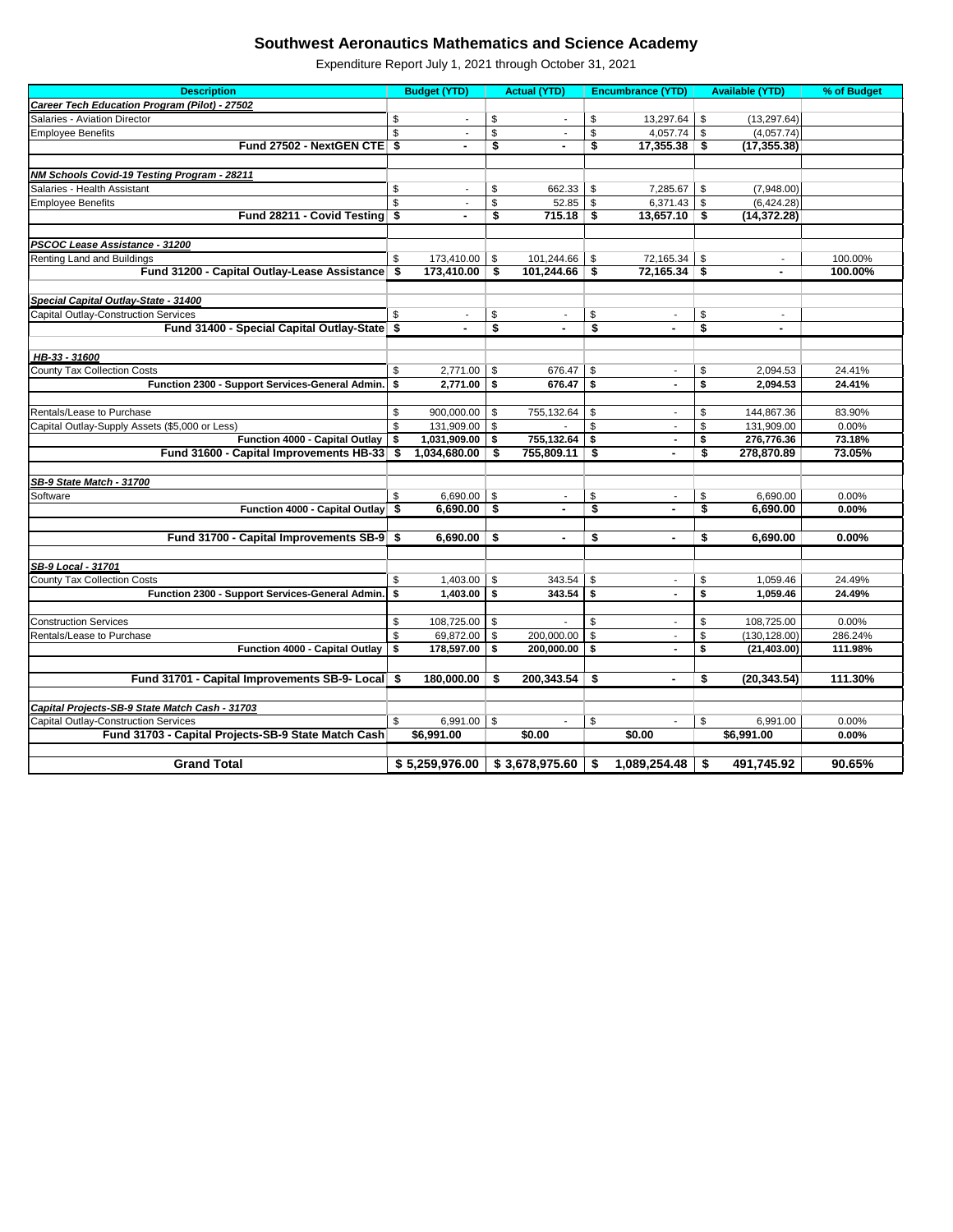| <b>Description</b>                                                            | <b>Budget (YTD)</b>            |                           | <b>Actual (YTD)</b>      |                         | <b>Encumbrance (YTD)</b>    |      | <b>Available (YTD)</b>   | % of Budget        |
|-------------------------------------------------------------------------------|--------------------------------|---------------------------|--------------------------|-------------------------|-----------------------------|------|--------------------------|--------------------|
| <b>Career Tech Education Program (Pilot) - 27502</b>                          |                                |                           |                          |                         |                             |      |                          |                    |
| Salaries - Aviation Director                                                  | \$<br>$\blacksquare$           | \$                        |                          | \$                      | 13,297.64                   | -\$  | (13, 297.64)             |                    |
| <b>Employee Benefits</b>                                                      | \$                             | \$                        |                          | $\sqrt[6]{\frac{1}{2}}$ | $4,057.74$ \$               |      | (4,057.74)               |                    |
| Fund 27502 - NextGEN CTE \$                                                   |                                | \$                        |                          | \$                      | $17,355.38$ \$              |      | (17, 355.38)             |                    |
|                                                                               |                                |                           |                          |                         |                             |      |                          |                    |
| <b>NM Schools Covid-19 Testing Program - 28211</b>                            |                                |                           |                          |                         |                             |      |                          |                    |
| Salaries - Health Assistant                                                   | \$                             | \$                        | 662.33                   | \$                      | 7,285.67                    | - \$ | (7,948.00)               |                    |
| <b>Employee Benefits</b>                                                      | \$                             | \$                        | 52.85                    | $\sqrt[6]{3}$           | 6,371.43 $\frac{1}{3}$      |      | (6,424.28)               |                    |
| Fund 28211 - Covid Testing \$                                                 |                                | \$                        | 715.18                   | \$                      | $13,657.10$ \$              |      | (14, 372.28)             |                    |
|                                                                               |                                |                           |                          |                         |                             |      |                          |                    |
| PSCOC Lease Assistance - 31200                                                |                                |                           |                          |                         |                             |      |                          |                    |
| Renting Land and Buildings<br>Fund 31200 - Capital Outlay-Lease Assistance \$ | \$<br>173,410.00<br>173,410.00 | \$<br>\$                  | 101,244.66<br>101,244.66 | \$                      | 72,165.34<br>$72,165.34$ \$ | -\$  | $\overline{\phantom{a}}$ | 100.00%<br>100.00% |
|                                                                               |                                |                           |                          | \$                      |                             |      | $\blacksquare$           |                    |
| Special Capital Outlay-State - 31400                                          |                                |                           |                          |                         |                             |      |                          |                    |
| <b>Capital Outlay-Construction Services</b>                                   | \$                             | \$                        |                          | \$                      | $\blacksquare$              | \$   |                          |                    |
| Fund 31400 - Special Capital Outlay-State \$                                  |                                | \$                        |                          | \$                      | $\blacksquare$              | \$   |                          |                    |
|                                                                               |                                |                           |                          |                         |                             |      |                          |                    |
| HB-33 - 31600                                                                 |                                |                           |                          |                         |                             |      |                          |                    |
| <b>County Tax Collection Costs</b>                                            | \$<br>2,771.00                 | \$                        | 676.47                   | \$                      | $\blacksquare$              | \$   | 2,094.53                 | 24.41%             |
| Function 2300 - Support Services-General Admin.                               | \$<br>2,771.00                 | \$                        | 676.47                   | \$                      |                             | \$   | 2,094.53                 | 24.41%             |
|                                                                               |                                |                           |                          |                         |                             |      |                          |                    |
| Rentals/Lease to Purchase                                                     | \$<br>900,000.00               | \$                        | 755,132.64               | \$                      | $\blacksquare$              | \$   | 144,867.36               | 83.90%             |
| Capital Outlay-Supply Assets (\$5,000 or Less)                                | \$<br>131,909.00               | \$                        |                          | \$                      | $\blacksquare$              | \$   | 131,909.00               | 0.00%              |
| Function 4000 - Capital Outlay                                                | \$<br>1,031,909.00             | \$                        | 755,132.64               | \$                      | $\blacksquare$              | S    | 276,776.36               | 73.18%             |
| Fund 31600 - Capital Improvements HB-33 \$                                    | 1,034,680.00                   | S.                        | 755,809.11               | -\$                     |                             | S    | 278,870.89               | 73.05%             |
|                                                                               |                                |                           |                          |                         |                             |      |                          |                    |
| SB-9 State Match - 31700                                                      |                                |                           |                          |                         |                             |      |                          |                    |
| Software                                                                      | \$<br>6,690.00                 | \$                        |                          | \$                      |                             | \$   | 6,690.00                 | 0.00%              |
| Function 4000 - Capital Outlay \$                                             | $6,690.00$ \$                  |                           |                          | \$                      | $\blacksquare$              | \$   | 6,690.00                 | 0.00%              |
|                                                                               |                                |                           |                          |                         |                             |      |                          |                    |
| Fund 31700 - Capital Improvements SB-9 \$                                     | 6,690.00                       | $\overline{\mathbf{S}}$   | ۰                        | \$                      | $\blacksquare$              | \$   | 6,690.00                 | 0.00%              |
|                                                                               |                                |                           |                          |                         |                             |      |                          |                    |
| <b>SB-9 Local - 31701</b>                                                     |                                |                           |                          |                         |                             |      |                          |                    |
| <b>County Tax Collection Costs</b>                                            | \$<br>1,403.00                 | -\$                       | 343.54                   | \$                      | $\blacksquare$              | \$   | 1,059.46                 | 24.49%             |
| Function 2300 - Support Services-General Admin.                               | \$<br>1,403.00                 | \$                        | 343.54                   | \$                      | $\blacksquare$              | \$   | 1,059.46                 | 24.49%             |
| <b>Construction Services</b>                                                  | \$<br>108,725.00               | $\boldsymbol{\mathsf{s}}$ |                          | \$                      | $\overline{\phantom{a}}$    | \$   | 108,725.00               | 0.00%              |
| Rentals/Lease to Purchase                                                     | \$<br>69,872.00                | \$                        | 200,000.00               | \$                      | $\overline{\phantom{a}}$    | \$   | (130, 128.00)            | 286.24%            |
| Function 4000 - Capital Outlay                                                | \$<br>178,597.00               | \$                        | 200,000.00               | \$                      | $\blacksquare$              | \$   | (21, 403.00)             | 111.98%            |
|                                                                               |                                |                           |                          |                         |                             |      |                          |                    |
| Fund 31701 - Capital Improvements SB-9- Local \$                              | 180,000.00                     | - \$                      | 200,343.54               | \$                      | $\blacksquare$              | \$   | (20, 343.54)             | 111.30%            |
|                                                                               |                                |                           |                          |                         |                             |      |                          |                    |
| Capital Projects-SB-9 State Match Cash - 31703                                |                                |                           |                          |                         |                             |      |                          |                    |
| <b>Capital Outlay-Construction Services</b>                                   | \$<br>6,991.00                 | $\sqrt[6]{3}$             |                          | \$                      |                             | \$   | 6,991.00                 | 0.00%              |
| Fund 31703 - Capital Projects-SB-9 State Match Cash                           | \$6,991.00                     |                           | \$0.00                   |                         | $\sqrt{$0.00}$              |      | \$6,991.00               | 0.00%              |
|                                                                               |                                |                           |                          |                         |                             |      |                          |                    |
| <b>Grand Total</b>                                                            | \$5,259,976.00                 |                           | \$3,678,975.60           | \$                      | $1,089,254.48$ \ \$         |      | 491,745.92               | 90.65%             |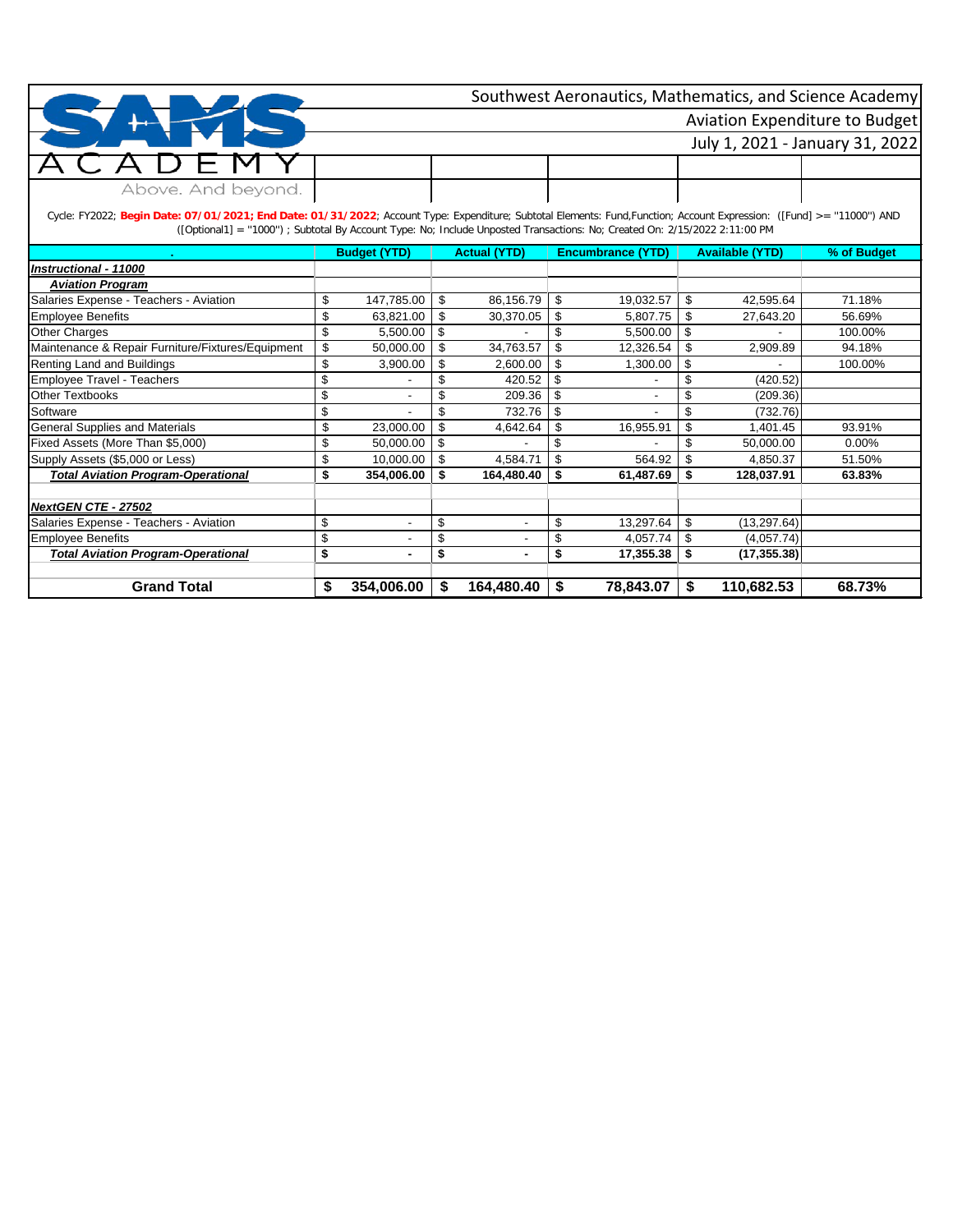|                    | Southwest Aeronautics, Mathematics, and Science Academy |  |  |  |  |  |  |  |  |
|--------------------|---------------------------------------------------------|--|--|--|--|--|--|--|--|
|                    | Aviation Expenditure to Budget                          |  |  |  |  |  |  |  |  |
|                    | July 1, 2021 - January 31, 2022                         |  |  |  |  |  |  |  |  |
|                    |                                                         |  |  |  |  |  |  |  |  |
| Above. And beyond. |                                                         |  |  |  |  |  |  |  |  |

Cycle: FY2022; **Begin Date: 07/01/2021; End Date: 01/31/2022**; Account Type: Expenditure; Subtotal Elements: Fund,Function; Account Expression: ([Fund] >= ''11000'') AND ([Optional1] = ''1000'') ; Subtotal By Account Type: No; Include Unposted Transactions: No; Created On: 2/15/2022 2:11:00 PM

|                                                   | <b>Budget (YTD)</b>            |     | <b>Actual (YTD)</b> |    | <b>Encumbrance (YTD)</b> | <b>Available (YTD)</b> | % of Budget |
|---------------------------------------------------|--------------------------------|-----|---------------------|----|--------------------------|------------------------|-------------|
| Instructional - 11000                             |                                |     |                     |    |                          |                        |             |
| <b>Aviation Program</b>                           |                                |     |                     |    |                          |                        |             |
| Salaries Expense - Teachers - Aviation            | \$<br>147,785.00               | \$  | 86,156.79           | \$ | 19,032.57                | \$<br>42,595.64        | 71.18%      |
| Employee Benefits                                 | \$<br>63,821.00                | \$. | 30,370.05           | \$ | 5,807.75                 | \$<br>27,643.20        | 56.69%      |
| <b>Other Charges</b>                              | \$<br>5,500.00                 | \$  |                     | \$ | 5,500.00                 | \$                     | 100.00%     |
| Maintenance & Repair Furniture/Fixtures/Equipment | \$<br>50,000.00                | \$  | 34,763.57           | \$ | 12,326.54                | \$<br>2,909.89         | 94.18%      |
| Renting Land and Buildings                        | \$<br>3,900.00                 | S   | 2,600.00            | \$ | 1,300.00                 | \$                     | 100.00%     |
| <b>Employee Travel - Teachers</b>                 | \$                             |     | 420.52              | S  |                          | (420.52)               |             |
| <b>Other Textbooks</b>                            | \$<br>$\overline{\phantom{a}}$ |     | 209.36              | \$ |                          | \$<br>(209.36)         |             |
| Software                                          | \$                             |     | 732.76              |    |                          | (732.76)               |             |
| <b>General Supplies and Materials</b>             | \$<br>23,000.00                | \$  | 4,642.64            | \$ | 16,955.91                | \$<br>1,401.45         | 93.91%      |
| Fixed Assets (More Than \$5,000)                  | \$<br>50,000.00                | -S  |                     | \$ |                          | \$<br>50,000.00        | $0.00\%$    |
| Supply Assets (\$5,000 or Less)                   | \$<br>10,000.00                | \$  | 4,584.71            |    | 564.92                   | \$<br>4,850.37         | 51.50%      |
| <b>Total Aviation Program-Operational</b>         | \$<br>354,006.00               | S.  | 164,480.40          | \$ | 61,487.69                | \$<br>128,037.91       | 63.83%      |
|                                                   |                                |     |                     |    |                          |                        |             |
| NextGEN CTE - 27502                               |                                |     |                     |    |                          |                        |             |
| Salaries Expense - Teachers - Aviation            | \$<br>$\blacksquare$           | \$  |                     | \$ | 13,297.64                | \$<br>(13, 297.64)     |             |
| <b>Employee Benefits</b>                          | \$<br>$\overline{\phantom{a}}$ | \$  |                     | \$ | 4,057.74                 | \$<br>(4,057.74)       |             |
| <b>Total Aviation Program-Operational</b>         | \$<br>$\blacksquare$           | \$  |                     | \$ | 17,355.38                | \$<br>(17, 355.38)     |             |
|                                                   |                                |     |                     |    |                          |                        |             |
| <b>Grand Total</b>                                | \$<br>354,006.00               | S   | 164,480.40          | \$ | 78,843.07                | \$<br>110,682.53       | 68.73%      |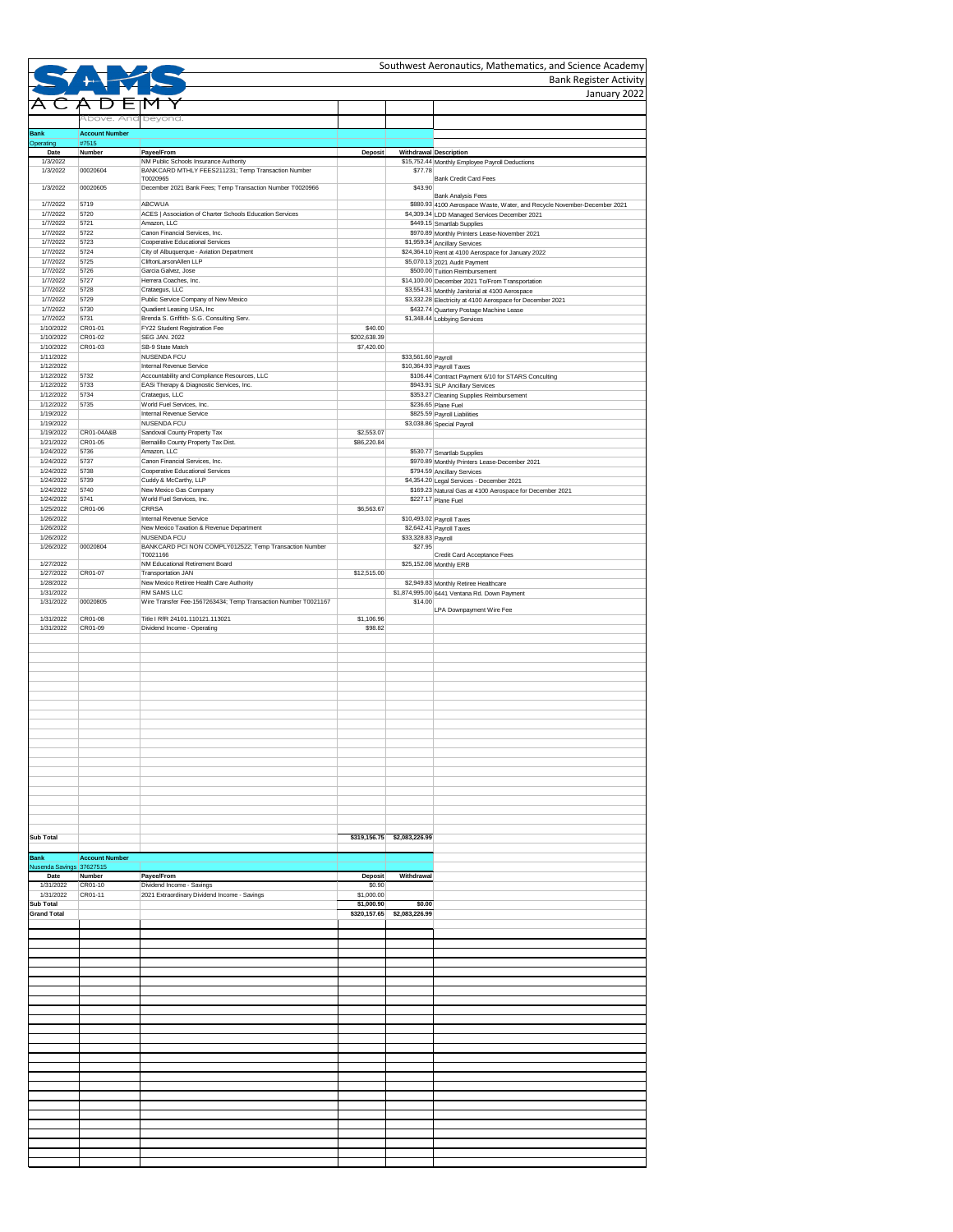|                                  |                                |                                                                                             |                          |                                  | Southwest Aeronautics, Mathematics, and Science Academy                                                                   |
|----------------------------------|--------------------------------|---------------------------------------------------------------------------------------------|--------------------------|----------------------------------|---------------------------------------------------------------------------------------------------------------------------|
|                                  |                                |                                                                                             |                          |                                  | <b>Bank Register Activity</b><br>January 2022                                                                             |
|                                  |                                |                                                                                             |                          |                                  |                                                                                                                           |
|                                  | Above. And beyond.             |                                                                                             |                          |                                  |                                                                                                                           |
| <b>Bank</b><br>Operating         | <b>Account Number</b><br>#7515 |                                                                                             |                          |                                  |                                                                                                                           |
| Date                             | Number                         | Payee/From                                                                                  | <b>Deposit</b>           |                                  | Withdrawal Description                                                                                                    |
| 1/3/2022<br>1/3/2022             | 00020604                       | NM Public Schools Insurance Authority<br>BANKCARD MTHLY FEES211231; Temp Transaction Number |                          | \$77.78                          | \$15,752.44 Monthly Employee Payroll Deductions                                                                           |
| 1/3/2022                         | 00020605                       | T0020965<br>December 2021 Bank Fees; Temp Transaction Number T0020966                       |                          | \$43.90                          | <b>Bank Credit Card Fees</b>                                                                                              |
|                                  |                                | <b>ABCWUA</b>                                                                               |                          |                                  | <b>Bank Analysis Fees</b>                                                                                                 |
| 1/7/2022<br>1/7/2022             | 5719<br>5720                   | ACES   Association of Charter Schools Education Services                                    |                          |                                  | \$880.93 4100 Aerospace Waste, Water, and Recycle November-December 2021<br>\$4,309.34 LDD Managed Services December 2021 |
| 1/7/2022<br>1/7/2022             | 5721<br>5722                   | Amazon, LLC<br>Canon Financial Services, Inc.                                               |                          |                                  | \$449.15 Smartlab Supplies<br>\$970.89 Monthly Printers Lease-November 2021                                               |
| 1/7/2022                         | 5723                           | Cooperative Educational Services                                                            |                          |                                  | \$1,959.34 Ancillary Services                                                                                             |
| 1/7/2022<br>1/7/2022             | 5724<br>5725                   | City of Albuquerque - Aviation Department<br>CliftonLarsonAllen LLP                         |                          |                                  | \$24,364.10 Rent at 4100 Aerospace for January 2022<br>\$5,070.13 2021 Audit Payment                                      |
| 1/7/2022<br>1/7/2022             | 5726<br>5727                   | Garcia Galvez, Jose<br>Herrera Coaches, Inc.                                                |                          |                                  | \$500.00 Tuition Reimbursement                                                                                            |
| 1/7/2022                         | 5728                           | Crataegus, LLC                                                                              |                          |                                  | \$14,100.00 December 2021 To/From Transportation<br>\$3,554.31 Monthly Janitorial at 4100 Aerospace                       |
| 1/7/2022<br>1/7/2022             | 5729<br>5730                   | Public Service Company of New Mexico<br>Quadient Leasing USA, Inc                           |                          |                                  | \$3,332.28 Electricity at 4100 Aerospace for December 2021<br>\$432.74 Quartery Postage Machine Lease                     |
| 1/7/2022                         | 5731                           | Brenda S. Griffith- S.G. Consulting Serv.                                                   |                          |                                  | \$1,348.44 Lobbying Services                                                                                              |
| 1/10/2022<br>1/10/2022           | CR01-01<br>CR01-02             | FY22 Student Registration Fee<br><b>SEG JAN. 2022</b>                                       | \$40.00<br>\$202,638.39  |                                  |                                                                                                                           |
| 1/10/2022<br>1/11/2022           | CR01-03                        | SB-9 State Match<br><b>NUSENDA FCU</b>                                                      | \$7,420.00               | \$33,561.60 Payroll              |                                                                                                                           |
| 1/12/2022                        |                                | <b>Internal Revenue Service</b>                                                             |                          |                                  | \$10,364.93 Payroll Taxes                                                                                                 |
| 1/12/2022<br>1/12/2022           | 5732<br>5733                   | Accountability and Compliance Resources, LLC<br>EASi Therapy & Diagnostic Services, Inc.    |                          |                                  | \$106.44 Contract Payment 6/10 for STARS Conculting<br>\$943.91 SLP Ancillary Services                                    |
| 1/12/2022                        | 5734                           | Crataegus, LLC                                                                              |                          |                                  | \$353.27 Cleaning Supplies Reimbursement                                                                                  |
| 1/12/2022<br>1/19/2022           | 5735                           | World Fuel Services, Inc.<br><b>Internal Revenue Service</b>                                |                          |                                  | \$236.65 Plane Fuel<br>\$825.59 Payroll Liabilities                                                                       |
| 1/19/2022<br>1/19/2022           | CR01-04A&B                     | <b>NUSENDA FCU</b><br>Sandoval County Property Tax                                          | \$2,553.07               |                                  | \$3,038.86 Special Payroll                                                                                                |
| 1/21/2022                        | CR01-05                        | Bernalillo County Property Tax Dist.                                                        | \$86,220.84              |                                  |                                                                                                                           |
| 1/24/2022<br>1/24/2022           | 5736<br>5737                   | Amazon, LLC<br>Canon Financial Services, Inc.                                               |                          |                                  | \$530.77 Smartlab Supplies<br>\$970.89 Monthly Printers Lease-December 2021                                               |
| 1/24/2022                        | 5738                           | Cooperative Educational Services                                                            |                          |                                  | \$794.59 Ancillary Services                                                                                               |
| 1/24/2022<br>1/24/2022           | 5739<br>5740                   | Cuddy & McCarthy, LLP<br>New Mexico Gas Company                                             |                          |                                  | \$4,354.20 Legal Services - December 2021<br>\$169.23 Natural Gas at 4100 Aerospace for December 2021                     |
| 1/24/2022                        | 5741                           | World Fuel Services, Inc.<br><b>CRRSA</b>                                                   |                          |                                  | \$227.17 Plane Fuel                                                                                                       |
| 1/25/2022<br>1/26/2022           | CR01-06                        | Internal Revenue Service                                                                    | \$6,563.67               |                                  | \$10,493.02 Payroll Taxes                                                                                                 |
| 1/26/2022<br>1/26/2022           |                                | New Mexico Taxation & Revenue Department<br><b>NUSENDA FCU</b>                              |                          | \$33,328.83 Payroll              | $$2,642.41$ Payroll Taxes                                                                                                 |
| 1/26/2022                        | 00020804                       | BANKCARD PCI NON COMPLY012522; Temp Transaction Number<br>T0021166                          |                          | \$27.95                          |                                                                                                                           |
| 1/27/2022                        |                                | NM Educational Retirement Board                                                             |                          |                                  | Credit Card Acceptance Fees<br>\$25,152.08 Monthly ERB                                                                    |
| 1/27/2022<br>1/28/2022           | CR01-07                        | <b>Transportation JAN</b><br>New Mexico Retiree Health Care Authority                       | \$12,515.00              |                                  | \$2,949.83 Monthly Retiree Healthcare                                                                                     |
| 1/31/2022                        |                                | <b>RM SAMS LLC</b>                                                                          |                          |                                  | \$1,874,995.00 6441 Ventana Rd. Down Payment                                                                              |
| 1/31/2022                        | 00020805                       | Wire Transfer Fee-1567263434; Temp Transaction Number T0021167                              |                          | \$14.00                          | LPA Downpayment Wire Fee                                                                                                  |
| 1/31/2022<br>1/31/2022           | CR01-08<br>CR01-09             | Title I RfR 24101.110121.113021<br>Dividend Income - Operating                              | \$1,106.96<br>\$98.82    |                                  |                                                                                                                           |
|                                  |                                |                                                                                             |                          |                                  |                                                                                                                           |
|                                  |                                |                                                                                             |                          |                                  |                                                                                                                           |
|                                  |                                |                                                                                             |                          |                                  |                                                                                                                           |
|                                  |                                |                                                                                             |                          |                                  |                                                                                                                           |
|                                  |                                |                                                                                             |                          |                                  |                                                                                                                           |
|                                  |                                |                                                                                             |                          |                                  |                                                                                                                           |
|                                  |                                |                                                                                             |                          |                                  |                                                                                                                           |
|                                  |                                |                                                                                             |                          |                                  |                                                                                                                           |
|                                  |                                |                                                                                             |                          |                                  |                                                                                                                           |
|                                  |                                |                                                                                             |                          |                                  |                                                                                                                           |
|                                  |                                |                                                                                             |                          |                                  |                                                                                                                           |
|                                  |                                |                                                                                             |                          |                                  |                                                                                                                           |
|                                  |                                |                                                                                             |                          |                                  |                                                                                                                           |
| <b>Sub Total</b>                 |                                |                                                                                             |                          | $$319, 156.75$ $$2, 083, 226.99$ |                                                                                                                           |
| <b>Bank</b>                      | <b>Account Number</b>          |                                                                                             |                          |                                  |                                                                                                                           |
| Nusenda Savings 37627515<br>Date | Number                         |                                                                                             |                          | Withdrawal                       |                                                                                                                           |
| 1/31/2022                        | CR01-10                        | Payee/From<br>Dividend Income - Savings                                                     | <b>Deposit</b><br>\$0.90 |                                  |                                                                                                                           |
| 1/31/2022<br><b>Sub Total</b>    | CR01-11                        | 2021 Extraordinary Dividend Income - Savings                                                | \$1,000.00<br>\$1,000.90 | \$0.00                           |                                                                                                                           |
| <b>Grand Total</b>               |                                |                                                                                             | \$320,157.65             | \$2,083,226.99                   |                                                                                                                           |
|                                  |                                |                                                                                             |                          |                                  |                                                                                                                           |
|                                  |                                |                                                                                             |                          |                                  |                                                                                                                           |
|                                  |                                |                                                                                             |                          |                                  |                                                                                                                           |
|                                  |                                |                                                                                             |                          |                                  |                                                                                                                           |
|                                  |                                |                                                                                             |                          |                                  |                                                                                                                           |
|                                  |                                |                                                                                             |                          |                                  |                                                                                                                           |
|                                  |                                |                                                                                             |                          |                                  |                                                                                                                           |
|                                  |                                |                                                                                             |                          |                                  |                                                                                                                           |
|                                  |                                |                                                                                             |                          |                                  |                                                                                                                           |
|                                  |                                |                                                                                             |                          |                                  |                                                                                                                           |
|                                  |                                |                                                                                             |                          |                                  |                                                                                                                           |
|                                  |                                |                                                                                             |                          |                                  |                                                                                                                           |
|                                  |                                |                                                                                             |                          |                                  |                                                                                                                           |
|                                  |                                |                                                                                             |                          |                                  |                                                                                                                           |
|                                  |                                |                                                                                             |                          |                                  |                                                                                                                           |
|                                  |                                |                                                                                             |                          |                                  |                                                                                                                           |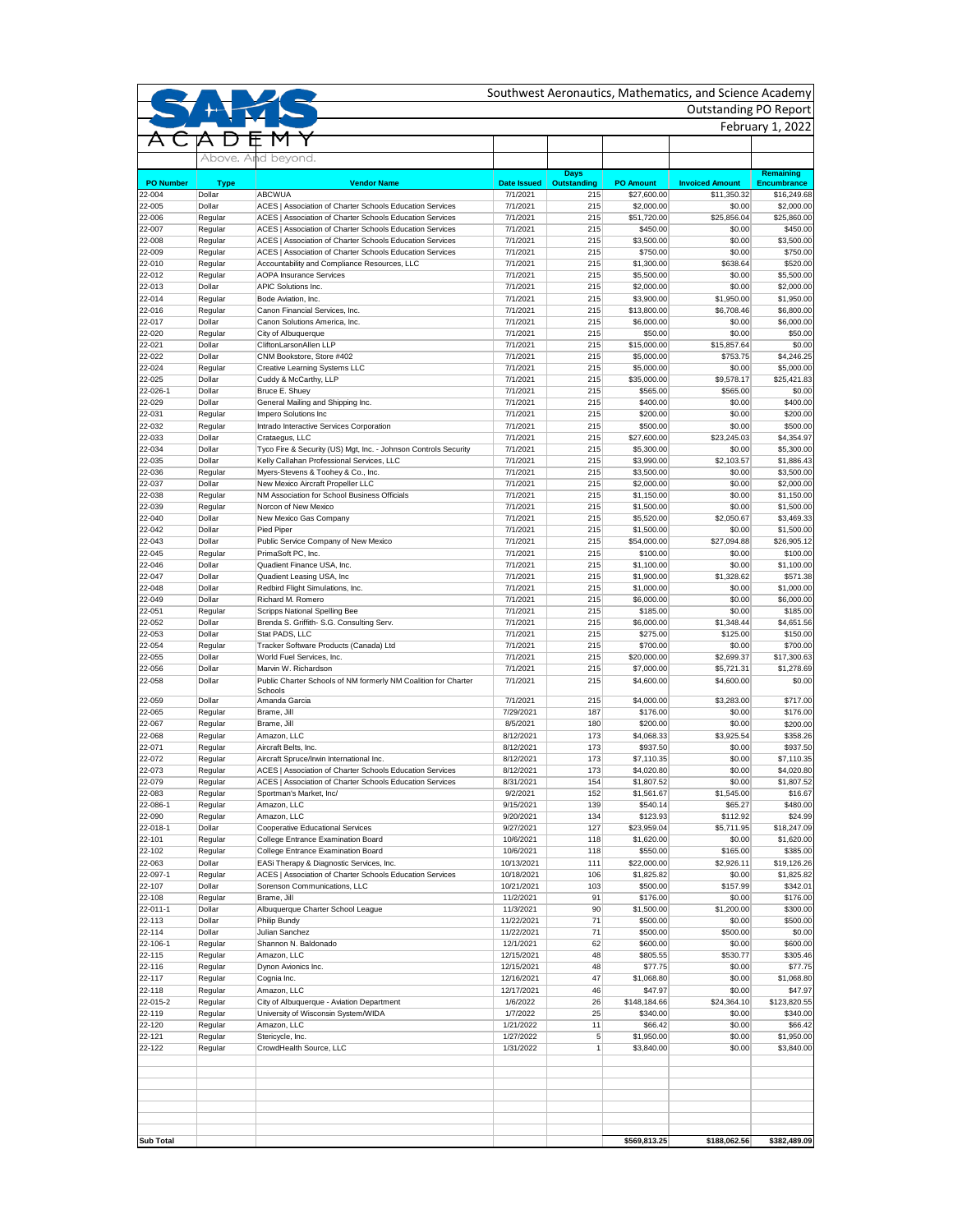|                            |                       |                                                                                   |                                |                           |                                 | <b>Outstanding PO Report</b>          | February 1, 2022                  |
|----------------------------|-----------------------|-----------------------------------------------------------------------------------|--------------------------------|---------------------------|---------------------------------|---------------------------------------|-----------------------------------|
|                            |                       |                                                                                   |                                |                           |                                 |                                       |                                   |
|                            |                       | Above. And beyond.                                                                |                                |                           |                                 |                                       |                                   |
|                            |                       |                                                                                   |                                | <b>Days</b>               |                                 |                                       | Remaining                         |
| <b>PO Number</b><br>22-004 | <b>Type</b><br>Dollar | <b>Vendor Name</b><br><b>ABCWUA</b>                                               | <b>Date Issued</b><br>7/1/2021 | <b>Outstanding</b><br>215 | <b>PO Amount</b><br>\$27,600.00 | <b>Invoiced Amount</b><br>\$11,350.32 | <b>Encumbrance</b><br>\$16,249.68 |
| 22-005                     | Dollar                | ACES   Association of Charter Schools Education Services                          | 7/1/2021                       | 215                       | \$2,000.00                      | \$0.00                                | \$2,000.00                        |
| 22-006                     | Regular               | ACES   Association of Charter Schools Education Services                          | 7/1/2021                       | 215                       | \$51,720.00                     | \$25,856.04                           | \$25,860.00                       |
| 22-007                     | Regular               | ACES   Association of Charter Schools Education Services                          | 7/1/2021                       | 215                       | \$450.00                        | \$0.00                                | \$450.00                          |
| 22-008                     | Regular               | ACES   Association of Charter Schools Education Services                          | 7/1/2021                       | 215                       | \$3,500.00                      | \$0.00                                | \$3,500.00                        |
| 22-009                     | Regular               | ACES   Association of Charter Schools Education Services                          | 7/1/2021                       | 215                       | \$750.00                        | \$0.00                                | \$750.00                          |
| 22-010                     | Regular               | Accountability and Compliance Resources, LLC                                      | 7/1/2021                       | 215                       | \$1,300.00                      | \$638.64                              | \$520.00                          |
| 22-012<br>22-013           | Regular               | <b>AOPA Insurance Services</b>                                                    | 7/1/2021<br>7/1/2021           | 215                       | \$5,500.00                      | \$0.00                                | \$5,500.00                        |
| 22-014                     | Dollar<br>Regular     | <b>APIC Solutions Inc.</b><br>Bode Aviation, Inc.                                 | 7/1/2021                       | 215<br>215                | \$2,000.00<br>\$3,900.00        | \$0.00<br>\$1,950.00                  | \$2,000.00<br>\$1,950.00          |
| 22-016                     | Regular               | Canon Financial Services, Inc.                                                    | 7/1/2021                       | 215                       | \$13,800.00                     | \$6,708.46                            | \$6,800.00                        |
| 22-017                     | Dollar                | Canon Solutions America, Inc.                                                     | 7/1/2021                       | 215                       | \$6,000.00                      | \$0.00                                | \$6,000.00                        |
| 22-020                     | Regular               | City of Albuquerque                                                               | 7/1/2021                       | 215                       | \$50.00                         | \$0.00                                | \$50.00                           |
| 22-021                     | Dollar                | CliftonLarsonAllen LLP                                                            | 7/1/2021                       | 215                       | \$15,000.00                     | \$15,857.64                           |                                   |
| 22-022                     | Dollar                | CNM Bookstore, Store #402                                                         | 7/1/2021                       | 215                       | \$5,000.00                      | \$753.75                              | \$4,246.25                        |
| 22-024                     | Regular               | <b>Creative Learning Systems LLC</b>                                              | 7/1/2021                       | 215                       | \$5,000.00                      | \$0.00                                | \$5,000.00                        |
| 22-025                     | Dollar                | Cuddy & McCarthy, LLP                                                             | 7/1/2021                       | 215                       | \$35,000.00                     | \$9,578.17                            | \$25,421.83                       |
| 22-026-1                   | Dollar                | Bruce E. Shuey                                                                    | 7/1/2021                       | 215                       | \$565.00                        | \$565.00                              |                                   |
| 22-029                     | Dollar                | General Mailing and Shipping Inc.                                                 | 7/1/2021                       | 215                       | \$400.00                        | \$0.00                                | \$400.00                          |
| 22-031                     | Regular               | Impero Solutions Inc                                                              | 7/1/2021                       | 215                       | \$200.00                        | \$0.00                                | \$200.00                          |
| 22-032                     | Regular               | Intrado Interactive Services Corporation                                          | 7/1/2021                       | 215                       | \$500.00                        | \$0.00                                | \$500.00                          |
| 22-033                     | Dollar                | Crataegus, LLC                                                                    | 7/1/2021                       | 215                       | \$27,600.00                     | \$23,245.03                           | \$4,354.97                        |
| 22-034                     | Dollar                | Tyco Fire & Security (US) Mgt, Inc. - Johnson Controls Security                   | 7/1/2021                       | 215                       | \$5,300.00                      | \$0.00                                | \$5,300.00                        |
| 22-035                     | Dollar                | Kelly Callahan Professional Services, LLC                                         | 7/1/2021                       | 215                       | \$3,990.00                      | \$2,103.57                            | \$1,886.43                        |
| 22-036                     | Regular               | Myers-Stevens & Toohey & Co., Inc.                                                | 7/1/2021                       | 215                       | \$3,500.00                      | \$0.00                                | \$3,500.00                        |
| 22-037<br>22-038           | Dollar                | New Mexico Aircraft Propeller LLC<br>NM Association for School Business Officials | 7/1/2021                       | 215                       | \$2,000.00                      | \$0.00                                | \$2,000.00                        |
| 22-039                     | Regular<br>Regular    | Norcon of New Mexico                                                              | 7/1/2021<br>7/1/2021           | 215<br>215                | \$1,150.00                      | \$0.00<br>\$0.00                      | \$1,150.00<br>\$1,500.00          |
| 22-040                     | Dollar                | New Mexico Gas Company                                                            | 7/1/2021                       | 215                       | \$1,500.00<br>\$5,520.00        | \$2,050.67                            | \$3,469.33                        |
| 22-042                     | Dollar                | Pied Piper                                                                        | 7/1/2021                       | 215                       | \$1,500.00                      | \$0.00                                | \$1,500.00                        |
| 22-043                     | Dollar                | Public Service Company of New Mexico                                              | 7/1/2021                       | 215                       | \$54,000.00                     | \$27,094.88                           | \$26,905.12                       |
| 22-045                     | Regular               | PrimaSoft PC, Inc.                                                                | 7/1/2021                       | 215                       | \$100.00                        | \$0.00                                | \$100.00                          |
| 22-046                     | Dollar                | Quadient Finance USA, Inc.                                                        | 7/1/2021                       | 215                       | \$1,100.00                      | \$0.00                                | \$1,100.00                        |
| 22-047                     | Dollar                | Quadient Leasing USA, Inc                                                         | 7/1/2021                       | 215                       | \$1,900.00                      | \$1,328.62                            | \$571.38                          |
| 22-048                     | Dollar                | Redbird Flight Simulations, Inc.                                                  | 7/1/2021                       | 215                       | \$1,000.00                      | \$0.00                                | \$1,000.00                        |
| 22-049                     | Dollar                | Richard M. Romero                                                                 | 7/1/2021                       | 215                       | \$6,000.00                      | \$0.00                                | \$6,000.00                        |
| 22-051                     | Regular               | <b>Scripps National Spelling Bee</b>                                              | 7/1/2021                       | 215                       | \$185.00                        | \$0.00                                | \$185.00                          |
| 22-052                     | Dollar                | Brenda S. Griffith- S.G. Consulting Serv.                                         | 7/1/2021                       | 215                       | \$6,000.00                      | \$1,348.44                            | \$4,651.56                        |
| 22-053                     | Dollar                | Stat PADS, LLC                                                                    | 7/1/2021                       | 215                       | \$275.00                        | \$125.00                              | \$150.00                          |
| 22-054                     | Regular               | Tracker Software Products (Canada) Ltd                                            | 7/1/2021                       | 215                       | \$700.00                        | \$0.00                                | \$700.00                          |
| 22-055                     | Dollar                | World Fuel Services, Inc.                                                         | 7/1/2021                       | 215                       | \$20,000.00                     | \$2,699.37                            | \$17,300.63                       |
| 22-056                     | Dollar                | Marvin W. Richardson                                                              | 7/1/2021                       | 215                       | \$7,000.00                      | \$5,721.31                            | \$1,278.69                        |
| 22-058                     | Dollar                | Public Charter Schools of NM formerly NM Coalition for Charter                    | 7/1/2021                       | 215                       | \$4,600.00                      | \$4,600.00                            |                                   |
|                            | Dollar                | Schools                                                                           |                                |                           |                                 |                                       |                                   |
| 22-059<br>22-065           | Regular               | Amanda Garcia<br>Brame, Jill                                                      | 7/1/2021<br>7/29/2021          | 215<br>187                | \$4,000.00<br>\$176.00          | \$3,283.00<br>\$0.00                  | \$717.00<br>\$176.00              |
| 22-067                     | Regular               | Brame, Jill                                                                       | 8/5/2021                       | 180                       | \$200.00                        | \$0.00                                | \$200.00                          |
| 22-068                     | Regular               | Amazon, LLC                                                                       | 8/12/2021                      | 173                       | \$4,068.33                      | \$3,925.54                            | \$358.26                          |
| 22-071                     | Regular               | Aircraft Belts, Inc.                                                              | 8/12/2021                      | 173                       | \$937.50                        | \$0.00                                | \$937.50                          |
| 22-072                     | Regular               | Aircraft Spruce/Irwin International Inc.                                          | 8/12/2021                      | 173                       | \$7,110.35                      | \$0.00                                | \$7,110.35                        |
| 22-073                     | Regular               | ACES   Association of Charter Schools Education Services                          | 8/12/2021                      | 173                       | \$4,020.80                      | \$0.00                                | \$4,020.80                        |
| 22-079                     | Regular               | ACES   Association of Charter Schools Education Services                          | 8/31/2021                      | 154                       | \$1,807.52                      | \$0.00                                | \$1,807.52                        |
| 22-083                     | Regular               | Sportman's Market, Inc/                                                           | 9/2/2021                       | 152                       | \$1,561.67                      | \$1,545.00                            | \$16.67                           |
| 22-086-1                   | Regular               | Amazon, LLC                                                                       | 9/15/2021                      | 139                       | \$540.14                        | \$65.27                               | \$480.00                          |
| 22-090                     | Regular               | Amazon, LLC                                                                       | 9/20/2021                      | 134                       | \$123.93                        | \$112.92                              | \$24.99                           |
| 22-018-1                   | Dollar                | <b>Cooperative Educational Services</b>                                           | 9/27/2021                      | 127                       | \$23,959.04                     | \$5,711.95                            | \$18,247.09                       |
| 22-101                     | Regular               | <b>College Entrance Examination Board</b>                                         | 10/6/2021                      | 118                       | \$1,620.00                      | \$0.00                                | \$1,620.00                        |
| 22-102                     | Regular               | <b>College Entrance Examination Board</b>                                         | 10/6/2021                      | 118                       | \$550.00                        | \$165.00                              | \$385.00                          |
| 22-063                     | Dollar                | EASi Therapy & Diagnostic Services, Inc.                                          | 10/13/2021                     | 111                       | \$22,000.00                     | \$2,926.11                            | \$19,126.26                       |
| 22-097-1                   | Regular               | ACES   Association of Charter Schools Education Services                          | 10/18/2021                     | 106                       | \$1,825.82                      | \$0.00                                | \$1,825.82                        |
| 22-107                     | Dollar                | Sorenson Communications, LLC                                                      | 10/21/2021                     | 103                       | \$500.00                        | \$157.99                              | \$342.01                          |
| 22-108                     | Regular               | Brame, Jill                                                                       | 11/2/2021                      | 91                        | \$176.00                        | \$0.00                                | \$176.00                          |
| 22-011-1<br>22-113         | Dollar<br>Dollar      | Albuquerque Charter School League                                                 | 11/3/2021<br>11/22/2021        | 90 <sub>1</sub>           | \$1,500.00                      | \$1,200.00                            | \$300.00                          |
| 22-114                     | Dollar                | Philip Bundy<br><b>Julian Sanchez</b>                                             | 11/22/2021                     | 71<br>71                  | \$500.00<br>\$500.00            | \$0.00<br>\$500.00                    | \$500.00                          |
| 22-106-1                   | Regular               | Shannon N. Baldonado                                                              | 12/1/2021                      | 62                        | \$600.00                        | \$0.00                                | \$600.00                          |
| 22-115                     | Regular               | Amazon, LLC                                                                       | 12/15/2021                     | 48                        | \$805.55                        | \$530.77                              | \$305.46                          |
| 22-116                     | Regular               | Dynon Avionics Inc.                                                               | 12/15/2021                     | 48                        | \$77.75                         | \$0.00                                | \$77.75                           |
| 22-117                     | Regular               | Cognia Inc.                                                                       | 12/16/2021                     | 47                        | \$1,068.80                      | \$0.00                                | $\overline{$}1,068.80$            |
| 22-118                     | Regular               | Amazon, LLC                                                                       | 12/17/2021                     | 46                        | \$47.97                         | \$0.00                                | \$47.97                           |
| 22-015-2                   | Regular               | City of Albuquerque - Aviation Department                                         | 1/6/2022                       | 26                        | \$148,184.66                    | \$24,364.10                           | \$123,820.55                      |
| 22-119                     | Regular               | University of Wisconsin System/WIDA                                               | 1/7/2022                       | 25                        | \$340.00                        | \$0.00                                | \$340.00                          |
| 22-120                     | Regular               | Amazon, LLC                                                                       | 1/21/2022                      | 11                        | \$66.42                         | \$0.00                                | \$66.42                           |
| 22-121                     | Regular               | Stericycle, Inc.                                                                  | 1/27/2022                      | 5 <sup>5</sup>            | \$1,950.00                      | \$0.00                                | \$1,950.00                        |
| 22-122                     | Regular               | CrowdHealth Source, LLC                                                           | 1/31/2022                      | $\mathbf{1}$              | \$3,840.00                      | \$0.00                                | \$3,840.00                        |
|                            |                       |                                                                                   |                                |                           |                                 |                                       |                                   |
|                            |                       |                                                                                   |                                |                           |                                 |                                       |                                   |
|                            |                       |                                                                                   |                                |                           | \$569,813.25                    |                                       |                                   |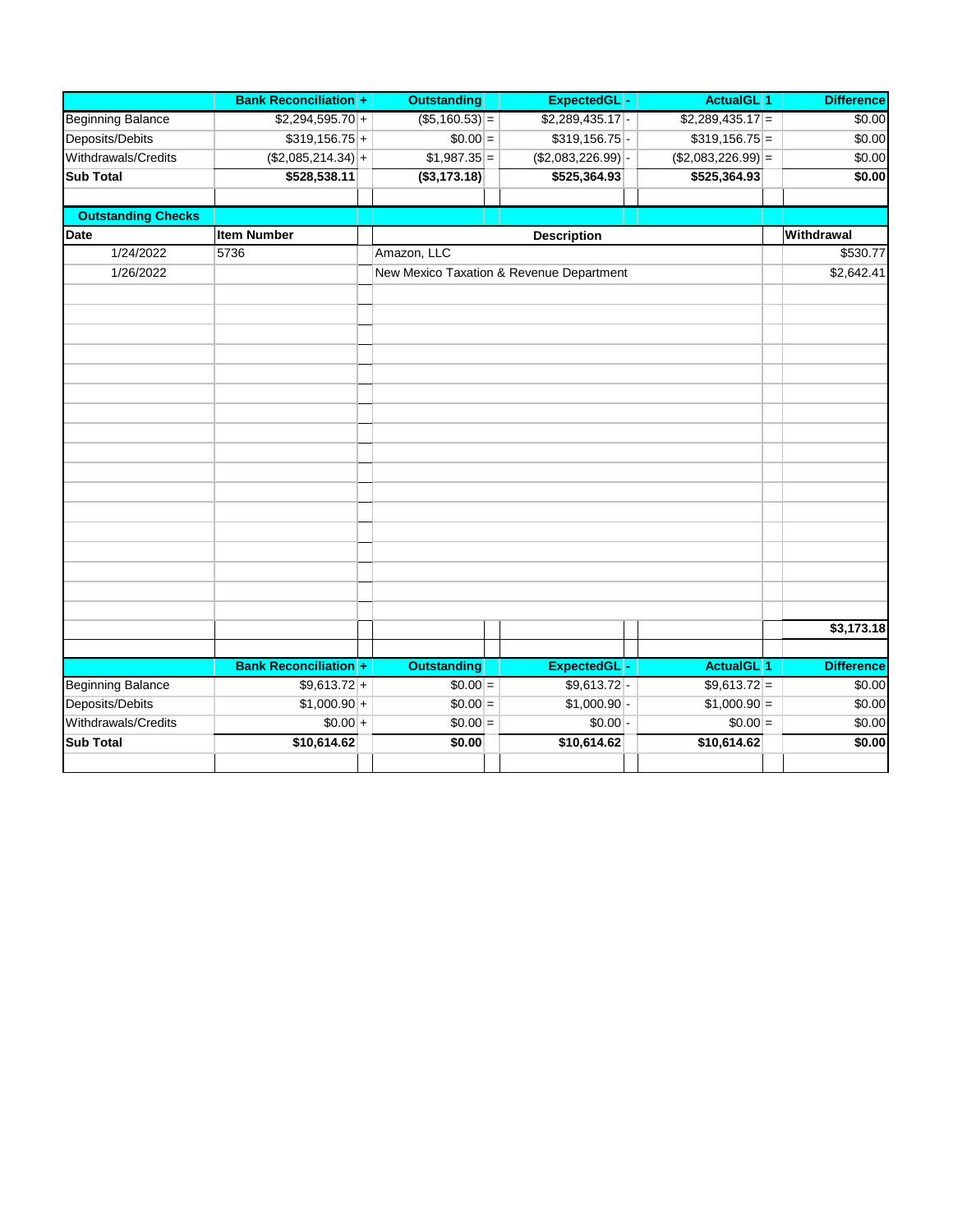|                           | <b>Bank Reconciliation +</b> | <b>Outstanding</b> | ExpectedGL -                             | <b>ActualGL</b> 1   | <b>Difference</b> |
|---------------------------|------------------------------|--------------------|------------------------------------------|---------------------|-------------------|
| <b>Beginning Balance</b>  | $$2,294,595.70$ +            | $( $5,160.53)$ =   | $$2,289,435.17$ -                        | $$2,289,435.17$ =   | \$0.00            |
| Deposits/Debits           | $$319,156.75$ +              | $$0.00 =$          | $$319,156.75$ -                          | $$319,156.75$ =     | \$0.00            |
| Withdrawals/Credits       | $( $2,085,214.34)$ +         | $$1,987.35$ =      | $(\$2,083,226.99)$ -                     | $($2,083,226.99)$ = | \$0.00            |
| <b>Sub Total</b>          | \$528,538.11                 | (\$3,173.18)       | \$525,364.93                             | \$525,364.93        | \$0.00            |
|                           |                              |                    |                                          |                     |                   |
| <b>Outstanding Checks</b> |                              |                    |                                          |                     |                   |
| Date                      | <b>Item Number</b>           |                    | <b>Description</b>                       |                     | Withdrawal        |
| 1/24/2022                 | 5736                         | Amazon, LLC        |                                          |                     | \$530.77          |
| 1/26/2022                 |                              |                    | New Mexico Taxation & Revenue Department |                     | \$2,642.41        |
|                           |                              |                    |                                          |                     |                   |
|                           |                              |                    |                                          |                     |                   |
|                           |                              |                    |                                          |                     |                   |
|                           |                              |                    |                                          |                     |                   |
|                           |                              |                    |                                          |                     |                   |
|                           |                              |                    |                                          |                     |                   |
|                           |                              |                    |                                          |                     |                   |
|                           |                              |                    |                                          |                     |                   |
|                           |                              |                    |                                          |                     |                   |
|                           |                              |                    |                                          |                     |                   |
|                           |                              |                    |                                          |                     |                   |
|                           |                              |                    |                                          |                     |                   |
|                           |                              |                    |                                          |                     |                   |
|                           |                              |                    |                                          |                     |                   |
|                           |                              |                    |                                          |                     |                   |
|                           |                              |                    |                                          |                     |                   |
|                           |                              |                    |                                          |                     |                   |
|                           |                              |                    |                                          |                     |                   |
|                           |                              |                    |                                          |                     | \$3,173.18        |
|                           |                              |                    |                                          |                     |                   |
|                           | <b>Bank Reconciliation +</b> | <b>Outstanding</b> | ExpectedGL-                              | <b>ActualGL</b> 1   | <b>Difference</b> |
| <b>Beginning Balance</b>  | $$9,613.72$ +                | $$0.00 =$          | $$9,613.72$ -                            | $$9,613.72 =$       | \$0.00            |
| Deposits/Debits           | $$1,000.90 +$                | $$0.00 =$          | $$1,000.90$ -                            | $$1,000.90 =$       | \$0.00            |
| Withdrawals/Credits       | $$0.00 +$                    | $$0.00 =$          | $$0.00$ -                                | $$0.00 =$           | \$0.00            |
| <b>Sub Total</b>          | \$10,614.62                  | \$0.00             | \$10,614.62                              | \$10,614.62         | \$0.00            |
|                           |                              |                    |                                          |                     |                   |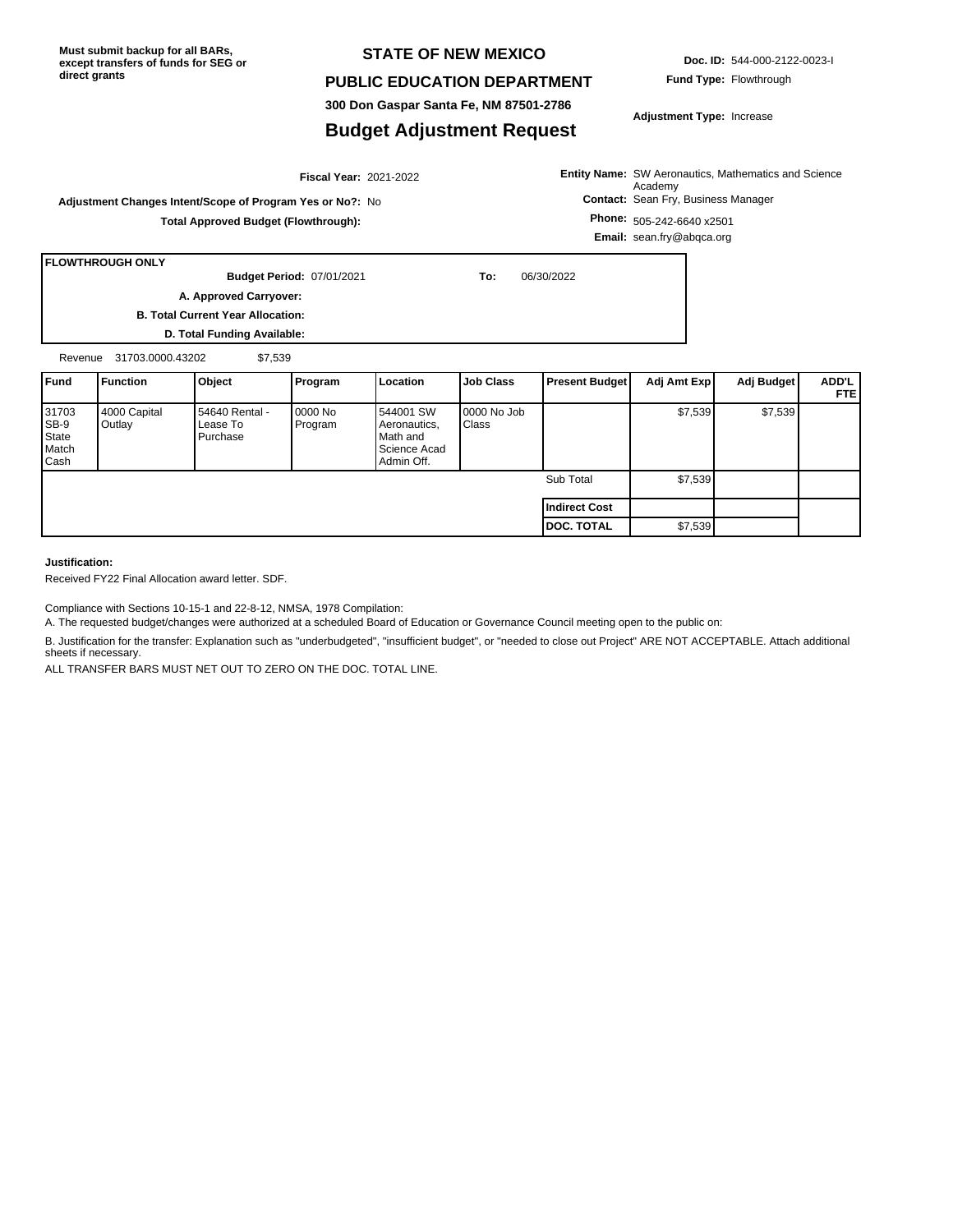**Must submit backup for all BARs, except transfers of funds for SEG or direct grants**

### **STATE OF NEW MEXICO**

#### **PUBLIC EDUCATION DEPARTMENT**

**300 Don Gaspar Santa Fe, NM 87501-2786**

### **Budget Adjustment Request**

**Doc. ID:** 544-000-2122-0023-I

**Adjustment Type:** Increase

**Entity Name:** SW Aeronautics, Mathematics and Science **Contact:** Sean Fry, Business Manager **Phone:** 505-242-6640 x2501 Academy

**Total Approved Budget (Flowthrough):**

**Email:** sean.fry@abqca.org

**Adjustment Changes Intent/Scope of Program Yes or No?:** No

**FLOWTHROUGH ONLY**

**B. Total Current Year Allocation: D. Total Funding Available:** 07/01/2021 **To:** 06/30/2022 **Budget Period: A. Approved Carryover:** 

2021-2022 **Fiscal Year:**

Revenue 31703.0000.43202 \$7,539

| <b>IFund</b>                                   | Function               | Object                                 | Program            | <b>Location</b>                                                     | <b>Job Class</b>     | <b>Present Budget</b> | Adj Amt Exp | Adj Budget | ADD'L<br>FTE. |
|------------------------------------------------|------------------------|----------------------------------------|--------------------|---------------------------------------------------------------------|----------------------|-----------------------|-------------|------------|---------------|
| 31703<br>SB-9<br>State<br>Match<br><b>Cash</b> | 4000 Capital<br>Outlay | 54640 Rental -<br>Lease To<br>Purchase | 0000 No<br>Program | 544001 SW<br>Aeronautics,<br>Math and<br>Science Acad<br>Admin Off. | 0000 No Job<br>Class |                       | \$7,539     | \$7,539    |               |
|                                                |                        |                                        |                    |                                                                     |                      | Sub Total             | \$7,539     |            |               |
|                                                |                        |                                        |                    |                                                                     |                      | <b>Indirect Cost</b>  |             |            |               |
|                                                |                        |                                        |                    |                                                                     |                      | <b>DOC. TOTAL</b>     | \$7,539     |            |               |

**Justification:**

Received FY22 Final Allocation award letter. SDF.

Compliance with Sections 10-15-1 and 22-8-12, NMSA, 1978 Compilation:

A. The requested budget/changes were authorized at a scheduled Board of Education or Governance Council meeting open to the public on:

B. Justification for the transfer: Explanation such as "underbudgeted", "insufficient budget", or "needed to close out Project" ARE NOT ACCEPTABLE. Attach additional sheets if necessary.

ALL TRANSFER BARS MUST NET OUT TO ZERO ON THE DOC. TOTAL LINE.

**Fund Type:** Flowthrough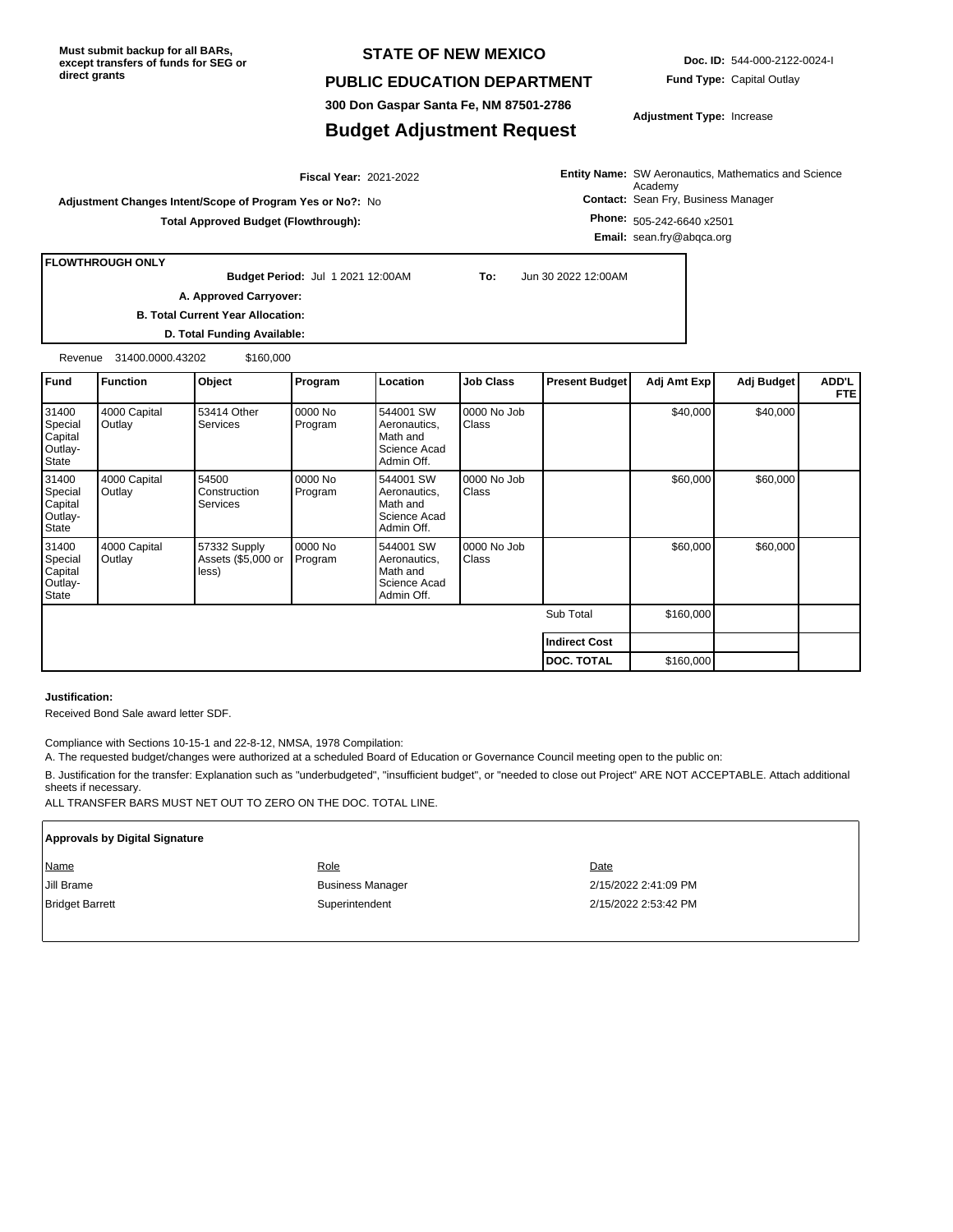**Must submit backup for all BARs, except transfers of funds for SEG or direct grants**

### **STATE OF NEW MEXICO**

#### **PUBLIC EDUCATION DEPARTMENT**

**300 Don Gaspar Santa Fe, NM 87501-2786**

### **Budget Adjustment Request**

**Doc. ID:** 544-000-2122-0024-I **Fund Type:** Capital Outlay

**Adjustment Type:** Increase

**Entity Name:** SW Aeronautics, Mathematics and Science **Contact:** Sean Fry, Business Manager **Phone:** 505-242-6640 x2501 Academy

**Email:** sean.fry@abqca.org

**FLOWTHROUGH ONLY**

**Budget Period:**

**B. Total Current Year Allocation:**

**Adjustment Changes Intent/Scope of Program Yes or No?:** No

**A. Approved Carryover:** 

**D. Total Funding Available:**

Revenue 31400.0000.43202 \$160,000

| Fund                                            | <b>Function</b>        | Object                                      | Program            | Location                                                            | <b>Job Class</b>            | <b>Present Budget</b> | Adj Amt Exp | Adj Budget | <b>ADD'L</b><br>FTE! |
|-------------------------------------------------|------------------------|---------------------------------------------|--------------------|---------------------------------------------------------------------|-----------------------------|-----------------------|-------------|------------|----------------------|
| 31400<br>Special<br>Capital<br>Outlay-<br>State | 4000 Capital<br>Outlay | 53414 Other<br><b>Services</b>              | 0000 No<br>Program | 544001 SW<br>Aeronautics,<br>Math and<br>Science Acad<br>Admin Off. | 0000 No Job<br><b>Class</b> |                       | \$40,000    | \$40,000   |                      |
| 31400<br>Special<br>Capital<br>Outlay-<br>State | 4000 Capital<br>Outlay | 54500<br>Construction<br><b>Services</b>    | 0000 No<br>Program | 544001 SW<br>Aeronautics,<br>Math and<br>Science Acad<br>Admin Off. | 0000 No Job<br><b>Class</b> |                       | \$60,000    | \$60,000   |                      |
| 31400<br>Special<br>Capital<br>Outlay-<br>State | 4000 Capital<br>Outlay | 57332 Supply<br>Assets (\$5,000 or<br>less) | 0000 No<br>Program | 544001 SW<br>Aeronautics,<br>Math and<br>Science Acad<br>Admin Off. | 0000 No Job<br><b>Class</b> |                       | \$60,000    | \$60,000   |                      |
|                                                 |                        |                                             |                    |                                                                     |                             | Sub Total             | \$160,000   |            |                      |
|                                                 |                        |                                             |                    |                                                                     |                             | <b>Indirect Cost</b>  |             |            |                      |
|                                                 |                        |                                             |                    |                                                                     |                             | <b>DOC. TOTAL</b>     | \$160,000   |            |                      |

**Justification:**

r

Received Bond Sale award letter SDF.

Compliance with Sections 10-15-1 and 22-8-12, NMSA, 1978 Compilation:

A. The requested budget/changes were authorized at a scheduled Board of Education or Governance Council meeting open to the public on:

B. Justification for the transfer: Explanation such as "underbudgeted", "insufficient budget", or "needed to close out Project" ARE NOT ACCEPTABLE. Attach additional sheets if necessary.

ALL TRANSFER BARS MUST NET OUT TO ZERO ON THE DOC. TOTAL LINE.

| <b>Approvals by Digital Signature</b> |                         |                      |
|---------------------------------------|-------------------------|----------------------|
| Name                                  | Role                    | Date                 |
| Jill Brame                            | <b>Business Manager</b> | 2/15/2022 2:41:09 PM |
| <b>Bridget Barrett</b>                | Superintendent          | 2/15/2022 2:53:42 PM |
|                                       |                         |                      |

**Total Approved Budget (Flowthrough):**

2021-2022 **Fiscal Year:**

Jul 1 2021 12:00AM **To:** Jun 30 2022 12:00AM